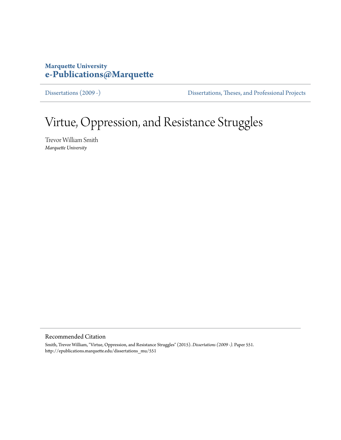## **Marquette University [e-Publications@Marquette](http://epublications.marquette.edu)**

[Dissertations \(2009 -\)](http://epublications.marquette.edu/dissertations_mu) [Dissertations, Theses, and Professional Projects](http://epublications.marquette.edu/diss_theses)

# Virtue, Oppression, and Resistance Struggles

Trevor William Smith *Marquette University*

#### Recommended Citation

Smith, Trevor William, "Virtue, Oppression, and Resistance Struggles" (2015). *Dissertations (2009 -).* Paper 551. http://epublications.marquette.edu/dissertations\_mu/551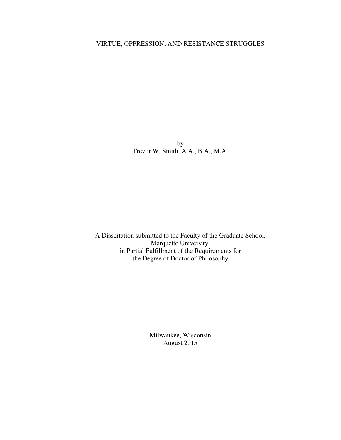### VIRTUE, OPPRESSION, AND RESISTANCE STRUGGLES

by Trevor W. Smith, A.A., B.A., M.A.

A Dissertation submitted to the Faculty of the Graduate School, Marquette University, in Partial Fulfillment of the Requirements for the Degree of Doctor of Philosophy

> Milwaukee, Wisconsin August 2015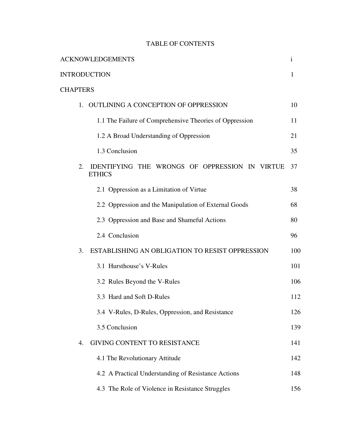## TABLE OF CONTENTS

| <b>ACKNOWLEDGEMENTS</b>                                               | $\mathbf{i}$ |
|-----------------------------------------------------------------------|--------------|
| <b>INTRODUCTION</b>                                                   | 1            |
| <b>CHAPTERS</b>                                                       |              |
| 1. OUTLINING A CONCEPTION OF OPPRESSION                               | 10           |
| 1.1 The Failure of Comprehensive Theories of Oppression               | 11           |
| 1.2 A Broad Understanding of Oppression                               | 21           |
| 1.3 Conclusion                                                        | 35           |
| IDENTIFYING THE WRONGS OF OPPRESSION IN VIRTUE<br>2.<br><b>ETHICS</b> | 37           |
| 2.1 Oppression as a Limitation of Virtue                              | 38           |
| 2.2 Oppression and the Manipulation of External Goods                 | 68           |
| 2.3 Oppression and Base and Shameful Actions                          | 80           |
| 2.4 Conclusion                                                        | 96           |
| ESTABLISHING AN OBLIGATION TO RESIST OPPRESSION<br>3.                 | 100          |
| 3.1 Hursthouse's V-Rules                                              | 101          |
| 3.2 Rules Beyond the V-Rules                                          | 106          |
| 3.3 Hard and Soft D-Rules                                             | 112          |
| 3.4 V-Rules, D-Rules, Oppression, and Resistance                      | 126          |
| 3.5 Conclusion                                                        | 139          |
| <b>GIVING CONTENT TO RESISTANCE</b><br>$\overline{4}$ .               | 141          |
| 4.1 The Revolutionary Attitude                                        | 142          |
| 4.2 A Practical Understanding of Resistance Actions                   | 148          |
| 4.3 The Role of Violence in Resistance Struggles                      | 156          |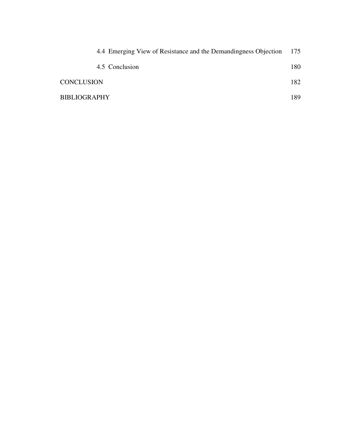| 4.4 Emerging View of Resistance and the Demandingness Objection | 175  |
|-----------------------------------------------------------------|------|
| 4.5 Conclusion                                                  | 180  |
| <b>CONCLUSION</b>                                               | 182  |
| <b>BIBLIOGRAPHY</b>                                             | 189. |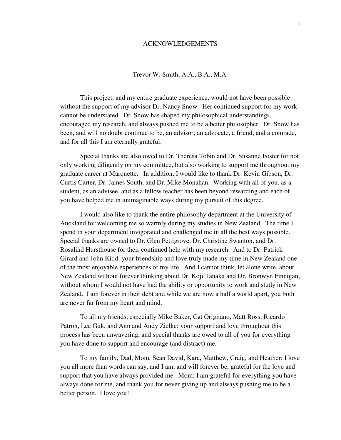#### ACKNOWLEDGEMENTS

Trevor W. Smith, A.A., B.A., M.A.

This project, and my entire graduate experience, would not have been possible without the support of my advisor Dr. Nancy Snow. Her continued support for my work cannot be understated. Dr. Snow has shaped my philosophical understandings, encouraged my research, and always pushed me to be a better philosopher. Dr. Snow has been, and will no doubt continue to be, an advisor, an advocate, a friend, and a comrade, and for all this I am eternally grateful.

Special thanks are also owed to Dr. Theresa Tobin and Dr. Susanne Foster for not only working diligently on my committee, but also working to support me throughout my graduate career at Marquette. In addition, I would like to thank Dr. Kevin Gibson, Dr. Curtis Carter, Dr. James South, and Dr. Mike Monahan. Working with all of you, as a student, as an advisee, and as a fellow teacher has been beyond rewarding and each of you have helped me in unimaginable ways during my pursuit of this degree.

I would also like to thank the entire philosophy department at the University of Auckland for welcoming me so warmly during my studies in New Zealand. The time I spend in your department invigorated and challenged me in all the best ways possible. Special thanks are owned to Dr. Glen Pettigrove, Dr. Christine Swanton, and Dr. Rosalind Hursthouse for their continued help with my research. And to Dr. Patrick Girard and John Kidd: your friendship and love truly made my time in New Zealand one of the most enjoyable experiences of my life. And I cannot think, let alone write, about New Zealand without forever thinking about Dr. Koji Tanaka and Dr. Bronwyn Finnigan, without whom I would not have had the ability or opportunity to work and study in New Zealand. I am forever in their debt and while we are now a half a world apart, you both are never far from my heart and mind.

To all my friends, especially Mike Baker, Cat Origitano, Matt Ross, Ricardo Patron, Lee Guk, and Ann and Andy Zielke: your support and love throughout this process has been unwavering, and special thanks are owed to all of you for everything you have done to support and encourage (and distract) me.

To my family, Dad, Mom, Sean David, Kara, Matthew, Craig, and Heather: I love you all more than words can say, and I am, and will forever be, grateful for the love and support that you have always provided me. Mom: I am grateful for everything you have always done for me, and thank you for never giving up and always pushing me to be a better person. I love you!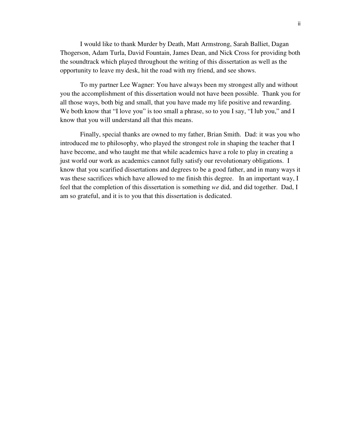I would like to thank Murder by Death, Matt Armstrong, Sarah Balliet, Dagan Thogerson, Adam Turla, David Fountain, James Dean, and Nick Cross for providing both the soundtrack which played throughout the writing of this dissertation as well as the opportunity to leave my desk, hit the road with my friend, and see shows.

To my partner Lee Wagner: You have always been my strongest ally and without you the accomplishment of this dissertation would not have been possible. Thank you for all those ways, both big and small, that you have made my life positive and rewarding. We both know that "I love you" is too small a phrase, so to you I say, "I lub you," and I know that you will understand all that this means.

Finally, special thanks are owned to my father, Brian Smith. Dad: it was you who introduced me to philosophy, who played the strongest role in shaping the teacher that I have become, and who taught me that while academics have a role to play in creating a just world our work as academics cannot fully satisfy our revolutionary obligations. I know that you scarified dissertations and degrees to be a good father, and in many ways it was these sacrifices which have allowed to me finish this degree. In an important way, I feel that the completion of this dissertation is something *we* did, and did together. Dad, I am so grateful, and it is to you that this dissertation is dedicated.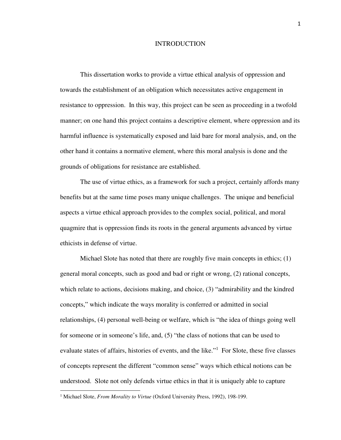#### INTRODUCTION

This dissertation works to provide a virtue ethical analysis of oppression and towards the establishment of an obligation which necessitates active engagement in resistance to oppression. In this way, this project can be seen as proceeding in a twofold manner; on one hand this project contains a descriptive element, where oppression and its harmful influence is systematically exposed and laid bare for moral analysis, and, on the other hand it contains a normative element, where this moral analysis is done and the grounds of obligations for resistance are established.

The use of virtue ethics, as a framework for such a project, certainly affords many benefits but at the same time poses many unique challenges. The unique and beneficial aspects a virtue ethical approach provides to the complex social, political, and moral quagmire that is oppression finds its roots in the general arguments advanced by virtue ethicists in defense of virtue.

Michael Slote has noted that there are roughly five main concepts in ethics; (1) general moral concepts, such as good and bad or right or wrong, (2) rational concepts, which relate to actions, decisions making, and choice, (3) "admirability and the kindred concepts," which indicate the ways morality is conferred or admitted in social relationships, (4) personal well-being or welfare, which is "the idea of things going well for someone or in someone's life, and, (5) "the class of notions that can be used to evaluate states of affairs, histories of events, and the like."<sup>1</sup> For Slote, these five classes of concepts represent the different "common sense" ways which ethical notions can be understood. Slote not only defends virtue ethics in that it is uniquely able to capture

.<br>-

<sup>&</sup>lt;sup>1</sup> Michael Slote, *From Morality to Virtue* (Oxford University Press, 1992), 198-199.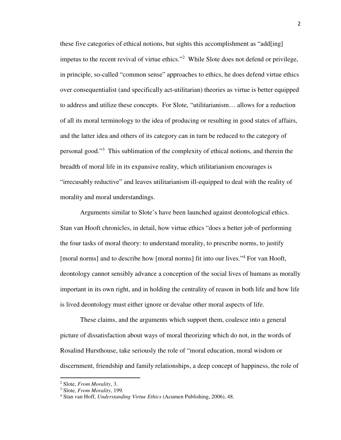these five categories of ethical notions, but sights this accomplishment as "add[ing] impetus to the recent revival of virtue ethics."<sup>2</sup> While Slote does not defend or privilege, in principle, so-called "common sense" approaches to ethics, he does defend virtue ethics over consequentialist (and specifically act-utilitarian) theories as virtue is better equipped to address and utilize these concepts. For Slote, "utilitarianism… allows for a reduction of all its moral terminology to the idea of producing or resulting in good states of affairs, and the latter idea and others of its category can in turn be reduced to the category of personal good."<sup>3</sup> This sublimation of the complexity of ethical notions, and therein the breadth of moral life in its expansive reality, which utilitarianism encourages is "irrecusably reductive" and leaves utilitarianism ill-equipped to deal with the reality of morality and moral understandings.

 Arguments similar to Slote's have been launched against deontological ethics. Stan van Hooft chronicles, in detail, how virtue ethics "does a better job of performing the four tasks of moral theory: to understand morality, to prescribe norms, to justify [moral norms] and to describe how [moral norms] fit into our lives."<sup>4</sup> For van Hooft, deontology cannot sensibly advance a conception of the social lives of humans as morally important in its own right, and in holding the centrality of reason in both life and how life is lived deontology must either ignore or devalue other moral aspects of life.

 These claims, and the arguments which support them, coalesce into a general picture of dissatisfaction about ways of moral theorizing which do not, in the words of Rosalind Hursthouse, take seriously the role of "moral education, moral wisdom or discernment, friendship and family relationships, a deep concept of happiness, the role of

<u>.</u>

<sup>2</sup> Slote, *From Morality*, 3.

<sup>3</sup> Slote, *From Morality*, 199.

<sup>4</sup> Stan van Hoff, *Understanding Virtue Ethics* (Acumen Publishing, 2006), 48.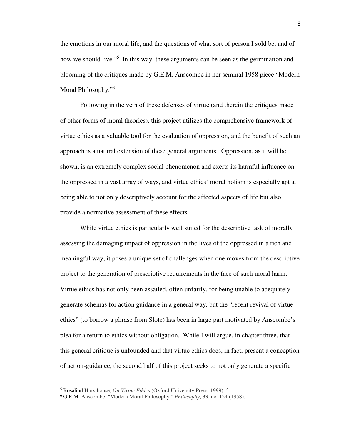the emotions in our moral life, and the questions of what sort of person I sold be, and of how we should live."<sup>5</sup> In this way, these arguments can be seen as the germination and blooming of the critiques made by G.E.M. Anscombe in her seminal 1958 piece "Modern Moral Philosophy."<sup>6</sup>

Following in the vein of these defenses of virtue (and therein the critiques made of other forms of moral theories), this project utilizes the comprehensive framework of virtue ethics as a valuable tool for the evaluation of oppression, and the benefit of such an approach is a natural extension of these general arguments. Oppression, as it will be shown, is an extremely complex social phenomenon and exerts its harmful influence on the oppressed in a vast array of ways, and virtue ethics' moral holism is especially apt at being able to not only descriptively account for the affected aspects of life but also provide a normative assessment of these effects.

 While virtue ethics is particularly well suited for the descriptive task of morally assessing the damaging impact of oppression in the lives of the oppressed in a rich and meaningful way, it poses a unique set of challenges when one moves from the descriptive project to the generation of prescriptive requirements in the face of such moral harm. Virtue ethics has not only been assailed, often unfairly, for being unable to adequately generate schemas for action guidance in a general way, but the "recent revival of virtue ethics" (to borrow a phrase from Slote) has been in large part motivated by Anscombe's plea for a return to ethics without obligation. While I will argue, in chapter three, that this general critique is unfounded and that virtue ethics does, in fact, present a conception of action-guidance, the second half of this project seeks to not only generate a specific

-

<sup>5</sup> Rosalind Hursthouse, *On Virtue Ethics* (Oxford University Press, 1999), 3.

<sup>6</sup> G.E.M. Anscombe, "Modern Moral Philosophy," *Philosophy*, 33, no. 124 (1958).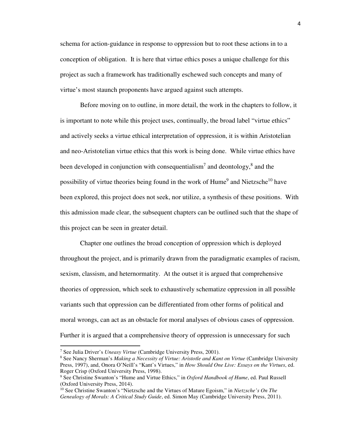schema for action-guidance in response to oppression but to root these actions in to a conception of obligation. It is here that virtue ethics poses a unique challenge for this project as such a framework has traditionally eschewed such concepts and many of virtue's most staunch proponents have argued against such attempts.

 Before moving on to outline, in more detail, the work in the chapters to follow, it is important to note while this project uses, continually, the broad label "virtue ethics" and actively seeks a virtue ethical interpretation of oppression, it is within Aristotelian and neo-Aristotelian virtue ethics that this work is being done. While virtue ethics have been developed in conjunction with consequentialism<sup>7</sup> and deontology,<sup>8</sup> and the possibility of virtue theories being found in the work of Hume<sup>9</sup> and Nietzsche<sup>10</sup> have been explored, this project does not seek, nor utilize, a synthesis of these positions. With this admission made clear, the subsequent chapters can be outlined such that the shape of this project can be seen in greater detail.

Chapter one outlines the broad conception of oppression which is deployed throughout the project, and is primarily drawn from the paradigmatic examples of racism, sexism, classism, and heternormatity. At the outset it is argued that comprehensive theories of oppression, which seek to exhaustively schematize oppression in all possible variants such that oppression can be differentiated from other forms of political and moral wrongs, can act as an obstacle for moral analyses of obvious cases of oppression. Further it is argued that a comprehensive theory of oppression is unnecessary for such

<u>.</u>

<sup>7</sup> See Julia Driver's *Uneasy Virtue* (Cambridge University Press, 2001).

<sup>8</sup> See Nancy Sherman's *Making a Necessity of Virtue: Aristotle and Kant on Virtue* (Cambridge University Press, 1997), and, Onora O'Neill's "Kant's Virtues," in *How Should One Live: Essays on the Virtues*, ed. Roger Crisp (Oxford University Press, 1998).

<sup>9</sup> See Christine Swanton's "Hume and Virtue Ethics," in *Oxford Handbook of Hume*, ed. Paul Russell (Oxford University Press, 2014).

<sup>10</sup> See Christine Swanton's "Nietzsche and the Virtues of Mature Egoism," in *Nietzsche's On The Genealogy of Morals: A Critical Study Guide*, ed. Simon May (Cambridge University Press, 2011).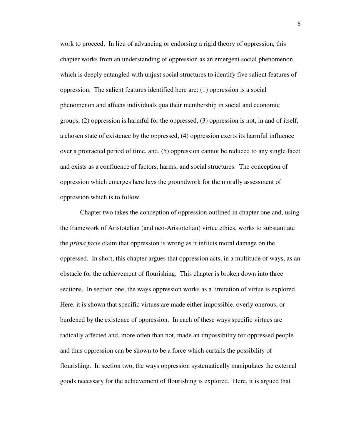work to proceed. In lieu of advancing or endorsing a rigid theory of oppression, this chapter works from an understanding of oppression as an emergent social phenomenon which is deeply entangled with unjust social structures to identify five salient features of oppression. The salient features identified here are: (1) oppression is a social phenomenon and affects individuals qua their membership in social and economic groups, (2) oppression is harmful for the oppressed, (3) oppression is not, in and of itself, a chosen state of existence by the oppressed, (4) oppression exerts its harmful influence over a protracted period of time, and, (5) oppression cannot be reduced to any single facet and exists as a confluence of factors, harms, and social structures. The conception of oppression which emerges here lays the groundwork for the morally assessment of oppression which is to follow.

Chapter two takes the conception of oppression outlined in chapter one and, using the framework of Aristotelian (and neo-Aristotelian) virtue ethics, works to substantiate the *prima facie* claim that oppression is wrong as it inflicts moral damage on the oppressed. In short, this chapter argues that oppression acts, in a multitude of ways, as an obstacle for the achievement of flourishing. This chapter is broken down into three sections. In section one, the ways oppression works as a limitation of virtue is explored. Here, it is shown that specific virtues are made either impossible, overly onerous, or burdened by the existence of oppression. In each of these ways specific virtues are radically affected and, more often than not, made an impossibility for oppressed people and thus oppression can be shown to be a force which curtails the possibility of flourishing. In section two, the ways oppression systematically manipulates the external goods necessary for the achievement of flourishing is explored. Here, it is argued that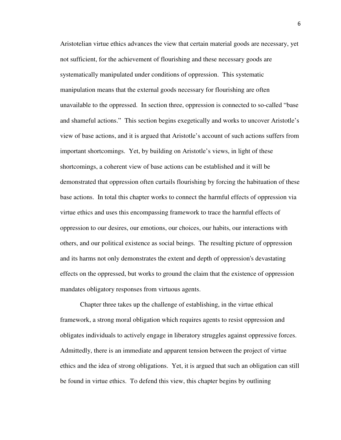Aristotelian virtue ethics advances the view that certain material goods are necessary, yet not sufficient, for the achievement of flourishing and these necessary goods are systematically manipulated under conditions of oppression. This systematic manipulation means that the external goods necessary for flourishing are often unavailable to the oppressed. In section three, oppression is connected to so-called "base and shameful actions." This section begins exegetically and works to uncover Aristotle's view of base actions, and it is argued that Aristotle's account of such actions suffers from important shortcomings. Yet, by building on Aristotle's views, in light of these shortcomings, a coherent view of base actions can be established and it will be demonstrated that oppression often curtails flourishing by forcing the habituation of these base actions. In total this chapter works to connect the harmful effects of oppression via virtue ethics and uses this encompassing framework to trace the harmful effects of oppression to our desires, our emotions, our choices, our habits, our interactions with others, and our political existence as social beings. The resulting picture of oppression and its harms not only demonstrates the extent and depth of oppression's devastating effects on the oppressed, but works to ground the claim that the existence of oppression mandates obligatory responses from virtuous agents.

Chapter three takes up the challenge of establishing, in the virtue ethical framework, a strong moral obligation which requires agents to resist oppression and obligates individuals to actively engage in liberatory struggles against oppressive forces. Admittedly, there is an immediate and apparent tension between the project of virtue ethics and the idea of strong obligations. Yet, it is argued that such an obligation can still be found in virtue ethics. To defend this view, this chapter begins by outlining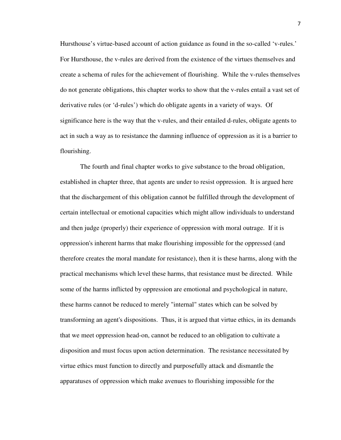Hursthouse's virtue-based account of action guidance as found in the so-called 'v-rules.' For Hursthouse, the v-rules are derived from the existence of the virtues themselves and create a schema of rules for the achievement of flourishing. While the v-rules themselves do not generate obligations, this chapter works to show that the v-rules entail a vast set of derivative rules (or 'd-rules') which do obligate agents in a variety of ways. Of significance here is the way that the v-rules, and their entailed d-rules, obligate agents to act in such a way as to resistance the damning influence of oppression as it is a barrier to flourishing.

The fourth and final chapter works to give substance to the broad obligation, established in chapter three, that agents are under to resist oppression. It is argued here that the dischargement of this obligation cannot be fulfilled through the development of certain intellectual or emotional capacities which might allow individuals to understand and then judge (properly) their experience of oppression with moral outrage. If it is oppression's inherent harms that make flourishing impossible for the oppressed (and therefore creates the moral mandate for resistance), then it is these harms, along with the practical mechanisms which level these harms, that resistance must be directed. While some of the harms inflicted by oppression are emotional and psychological in nature, these harms cannot be reduced to merely "internal" states which can be solved by transforming an agent's dispositions. Thus, it is argued that virtue ethics, in its demands that we meet oppression head-on, cannot be reduced to an obligation to cultivate a disposition and must focus upon action determination. The resistance necessitated by virtue ethics must function to directly and purposefully attack and dismantle the apparatuses of oppression which make avenues to flourishing impossible for the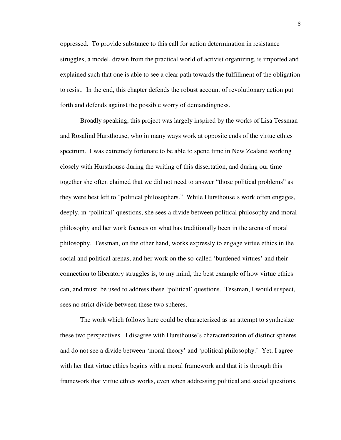oppressed. To provide substance to this call for action determination in resistance struggles, a model, drawn from the practical world of activist organizing, is imported and explained such that one is able to see a clear path towards the fulfillment of the obligation to resist. In the end, this chapter defends the robust account of revolutionary action put forth and defends against the possible worry of demandingness.

Broadly speaking, this project was largely inspired by the works of Lisa Tessman and Rosalind Hursthouse, who in many ways work at opposite ends of the virtue ethics spectrum. I was extremely fortunate to be able to spend time in New Zealand working closely with Hursthouse during the writing of this dissertation, and during our time together she often claimed that we did not need to answer "those political problems" as they were best left to "political philosophers." While Hursthouse's work often engages, deeply, in 'political' questions, she sees a divide between political philosophy and moral philosophy and her work focuses on what has traditionally been in the arena of moral philosophy. Tessman, on the other hand, works expressly to engage virtue ethics in the social and political arenas, and her work on the so-called 'burdened virtues' and their connection to liberatory struggles is, to my mind, the best example of how virtue ethics can, and must, be used to address these 'political' questions. Tessman, I would suspect, sees no strict divide between these two spheres.

 The work which follows here could be characterized as an attempt to synthesize these two perspectives. I disagree with Hursthouse's characterization of distinct spheres and do not see a divide between 'moral theory' and 'political philosophy.' Yet, I agree with her that virtue ethics begins with a moral framework and that it is through this framework that virtue ethics works, even when addressing political and social questions.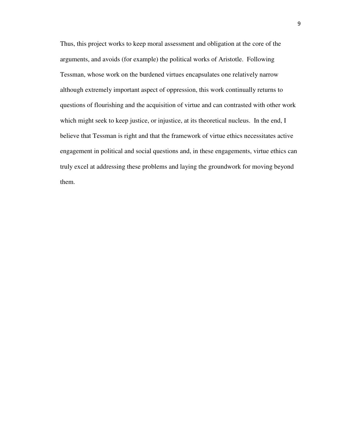Thus, this project works to keep moral assessment and obligation at the core of the arguments, and avoids (for example) the political works of Aristotle. Following Tessman, whose work on the burdened virtues encapsulates one relatively narrow although extremely important aspect of oppression, this work continually returns to questions of flourishing and the acquisition of virtue and can contrasted with other work which might seek to keep justice, or injustice, at its theoretical nucleus. In the end, I believe that Tessman is right and that the framework of virtue ethics necessitates active engagement in political and social questions and, in these engagements, virtue ethics can truly excel at addressing these problems and laying the groundwork for moving beyond them.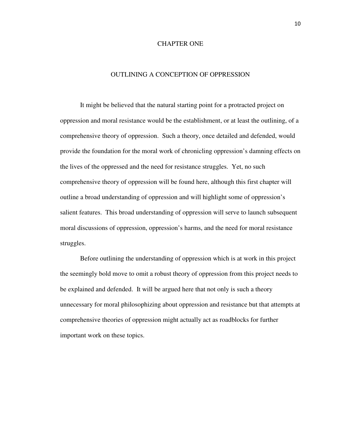#### CHAPTER ONE

#### OUTLINING A CONCEPTION OF OPPRESSION

It might be believed that the natural starting point for a protracted project on oppression and moral resistance would be the establishment, or at least the outlining, of a comprehensive theory of oppression. Such a theory, once detailed and defended, would provide the foundation for the moral work of chronicling oppression's damning effects on the lives of the oppressed and the need for resistance struggles. Yet, no such comprehensive theory of oppression will be found here, although this first chapter will outline a broad understanding of oppression and will highlight some of oppression's salient features. This broad understanding of oppression will serve to launch subsequent moral discussions of oppression, oppression's harms, and the need for moral resistance struggles.

 Before outlining the understanding of oppression which is at work in this project the seemingly bold move to omit a robust theory of oppression from this project needs to be explained and defended. It will be argued here that not only is such a theory unnecessary for moral philosophizing about oppression and resistance but that attempts at comprehensive theories of oppression might actually act as roadblocks for further important work on these topics.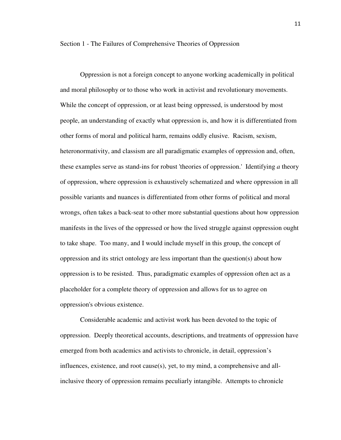Section 1 - The Failures of Comprehensive Theories of Oppression

Oppression is not a foreign concept to anyone working academically in political and moral philosophy or to those who work in activist and revolutionary movements. While the concept of oppression, or at least being oppressed, is understood by most people, an understanding of exactly what oppression is, and how it is differentiated from other forms of moral and political harm, remains oddly elusive. Racism, sexism, heteronormativity, and classism are all paradigmatic examples of oppression and, often, these examples serve as stand-ins for robust 'theories of oppression.' Identifying *a* theory of oppression, where oppression is exhaustively schematized and where oppression in all possible variants and nuances is differentiated from other forms of political and moral wrongs, often takes a back-seat to other more substantial questions about how oppression manifests in the lives of the oppressed or how the lived struggle against oppression ought to take shape. Too many, and I would include myself in this group, the concept of oppression and its strict ontology are less important than the question(s) about how oppression is to be resisted. Thus, paradigmatic examples of oppression often act as a placeholder for a complete theory of oppression and allows for us to agree on oppression's obvious existence.

Considerable academic and activist work has been devoted to the topic of oppression. Deeply theoretical accounts, descriptions, and treatments of oppression have emerged from both academics and activists to chronicle, in detail, oppression's influences, existence, and root cause(s), yet, to my mind, a comprehensive and allinclusive theory of oppression remains peculiarly intangible. Attempts to chronicle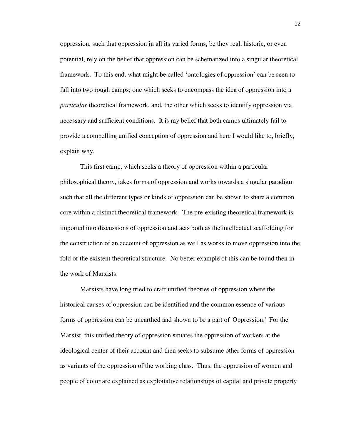oppression, such that oppression in all its varied forms, be they real, historic, or even potential, rely on the belief that oppression can be schematized into a singular theoretical framework. To this end, what might be called 'ontologies of oppression' can be seen to fall into two rough camps; one which seeks to encompass the idea of oppression into a *particular* theoretical framework, and, the other which seeks to identify oppression via necessary and sufficient conditions. It is my belief that both camps ultimately fail to provide a compelling unified conception of oppression and here I would like to, briefly, explain why.

 This first camp, which seeks a theory of oppression within a particular philosophical theory, takes forms of oppression and works towards a singular paradigm such that all the different types or kinds of oppression can be shown to share a common core within a distinct theoretical framework. The pre-existing theoretical framework is imported into discussions of oppression and acts both as the intellectual scaffolding for the construction of an account of oppression as well as works to move oppression into the fold of the existent theoretical structure. No better example of this can be found then in the work of Marxists.

 Marxists have long tried to craft unified theories of oppression where the historical causes of oppression can be identified and the common essence of various forms of oppression can be unearthed and shown to be a part of 'Oppression.' For the Marxist, this unified theory of oppression situates the oppression of workers at the ideological center of their account and then seeks to subsume other forms of oppression as variants of the oppression of the working class. Thus, the oppression of women and people of color are explained as exploitative relationships of capital and private property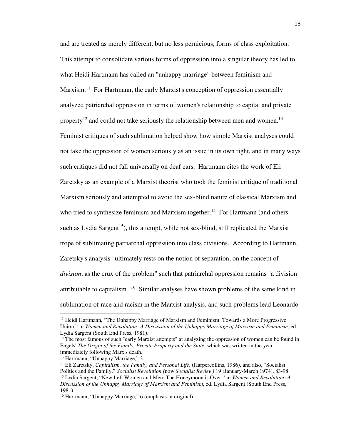and are treated as merely different, but no less pernicious, forms of class exploitation. This attempt to consolidate various forms of oppression into a singular theory has led to what Heidi Hartmann has called an "unhappy marriage" between feminism and Marxism.<sup>11</sup> For Hartmann, the early Marxist's conception of oppression essentially analyzed patriarchal oppression in terms of women's relationship to capital and private property<sup>12</sup> and could not take seriously the relationship between men and women.<sup>13</sup> Feminist critiques of such sublimation helped show how simple Marxist analyses could not take the oppression of women seriously as an issue in its own right, and in many ways such critiques did not fall universally on deaf ears. Hartmann cites the work of Eli Zaretsky as an example of a Marxist theorist who took the feminist critique of traditional Marxism seriously and attempted to avoid the sex-blind nature of classical Marxism and who tried to synthesize feminism and Marxism together.<sup>14</sup> For Hartmann (and others such as Lydia Sargent<sup>15</sup>), this attempt, while not sex-blind, still replicated the Marxist trope of sublimating patriarchal oppression into class divisions. According to Hartmann, Zaretsky's analysis "ultimately rests on the notion of separation, on the concept of *division*, as the crux of the problem" such that patriarchal oppression remains "a division attributable to capitalism."<sup>16</sup> Similar analyses have shown problems of the same kind in sublimation of race and racism in the Marxist analysis, and such problems lead Leonardo

.<br>-

<sup>&</sup>lt;sup>11</sup> Heidi Hartmann, "The Unhappy Marriage of Marxism and Feminism: Towards a More Progressive Union," in *Women and Revolution: A Discussion of the Unhappy Marriage of Marxism and Feminism*, ed. Lydia Sargent (South End Press, 1981).

<sup>&</sup>lt;sup>12</sup> The most famous of such "early Marxist attempts" at analyzing the oppression of women can be found in Engels' *The Origin of the Family, Private Property and the State*, which was written in the year immediately following Marx's death.

<sup>&</sup>lt;sup>13</sup> Hartmann, "Unhappy Marriage," 3.

<sup>14</sup> Eli Zaretsky, *Capitalism, the Family, and Personal Life*, (Harpercollins, 1986), and also, "Socialist Politics and the Family," *Socialist Revolution (*now *Socialist Review)* 19 (January-March 1974), 83-98. <sup>15</sup> Lydia Sargent, "New Left Women and Men: The Honeymoon is Over," in *Women and Revolution: A Discussion of the Unhappy Marriage of Marxism and Feminism*, ed. Lydia Sargent (South End Press, 1981).

<sup>16</sup> Hartmann, "Unhappy Marriage," 6 (emphasis in original).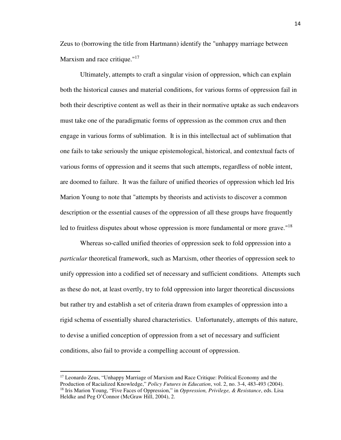Zeus to (borrowing the title from Hartmann) identify the "unhappy marriage between Marxism and race critique."<sup>17</sup>

 Ultimately, attempts to craft a singular vision of oppression, which can explain both the historical causes and material conditions, for various forms of oppression fail in both their descriptive content as well as their in their normative uptake as such endeavors must take one of the paradigmatic forms of oppression as the common crux and then engage in various forms of sublimation. It is in this intellectual act of sublimation that one fails to take seriously the unique epistemological, historical, and contextual facts of various forms of oppression and it seems that such attempts, regardless of noble intent, are doomed to failure. It was the failure of unified theories of oppression which led Iris Marion Young to note that "attempts by theorists and activists to discover a common description or the essential causes of the oppression of all these groups have frequently led to fruitless disputes about whose oppression is more fundamental or more grave."<sup>18</sup>

 Whereas so-called unified theories of oppression seek to fold oppression into a *particular* theoretical framework, such as Marxism, other theories of oppression seek to unify oppression into a codified set of necessary and sufficient conditions. Attempts such as these do not, at least overtly, try to fold oppression into larger theoretical discussions but rather try and establish a set of criteria drawn from examples of oppression into a rigid schema of essentially shared characteristics. Unfortunately, attempts of this nature, to devise a unified conception of oppression from a set of necessary and sufficient conditions, also fail to provide a compelling account of oppression.

.<br>-

<sup>&</sup>lt;sup>17</sup> Leonardo Zeus, "Unhappy Marriage of Marxism and Race Critique: Political Economy and the Production of Racialized Knowledge," *Policy Futures in Education*, vol. 2, no. 3-4, 483-493 (2004). <sup>18</sup> Iris Marion Young, "Five Faces of Oppression," in *Oppression, Privilege, & Resistance*, eds. Lisa Heldke and Peg O'Connor (McGraw Hill, 2004), 2.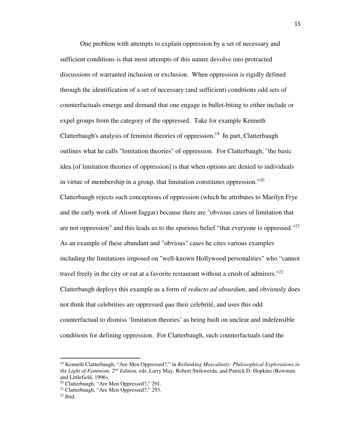One problem with attempts to explain oppression by a set of necessary and sufficient conditions is that most attempts of this nature devolve into protracted discussions of warranted inclusion or exclusion. When oppression is rigidly defined through the identification of a set of necessary (and sufficient) conditions odd sets of counterfactuals emerge and demand that one engage in bullet-biting to either include or expel groups from the category of the oppressed. Take for example Kenneth Clatterbaugh's analysis of feminist theories of oppression.<sup>19</sup> In part, Clatterbaugh outlines what he calls "limitation theories" of oppression. For Clatterbaugh, "the basic idea [of limitation theories of oppression] is that when options are denied to individuals in virtue of membership in a group, that limitation constitutes oppression."<sup>20</sup> Clatterbaugh rejects such conceptions of oppression (which he attributes to Marilyn Frye and the early work of Alison Jaggar) because there are "obvious cases of limitation that are not oppression" and this leads us to the spurious belief "that everyone is oppressed."<sup>21</sup> As an example of these abundant and "obvious" cases he cites various examples including the limitations imposed on "well-known Hollywood personalities" who "cannot travel freely in the city or eat at a favorite restaurant without a crush of admirers." $^{22}$ Clatterbaugh deploys this example as a form of *reducto ad absurdum*, and obviously does not think that celebrities are oppressed *qua* their celebrité, and uses this odd counterfactual to dismiss 'limitation theories' as being built on unclear and indefensible conditions for defining oppression. For Clatterbaugh, such counterfactuals (and the

<u>.</u>

<sup>19</sup> Kenneth Clatterbaugh, "Are Men Oppressed?," in *Rethinking Masculinity: Philosophical Explorations in the Light of Feminism, 2nd Edition,* eds. Larry May, Robert Strikwerda, and Patrick D. Hopkins (Rowman and Littlefield, 1996).

<sup>20</sup> Clatterbaugh, "Are Men Oppressed?," 291.

<sup>&</sup>lt;sup>21</sup> Clatterbaugh, "Are Men Oppressed?," 293.

 $22$  Ibid.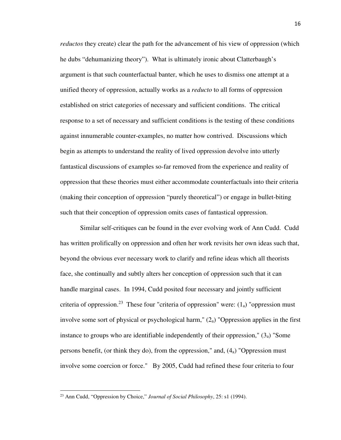*reductos* they create) clear the path for the advancement of his view of oppression (which he dubs "dehumanizing theory"). What is ultimately ironic about Clatterbaugh's argument is that such counterfactual banter, which he uses to dismiss one attempt at a unified theory of oppression, actually works as a *reducto* to all forms of oppression established on strict categories of necessary and sufficient conditions. The critical response to a set of necessary and sufficient conditions is the testing of these conditions against innumerable counter-examples, no matter how contrived. Discussions which begin as attempts to understand the reality of lived oppression devolve into utterly fantastical discussions of examples so-far removed from the experience and reality of oppression that these theories must either accommodate counterfactuals into their criteria (making their conception of oppression "purely theoretical") or engage in bullet-biting such that their conception of oppression omits cases of fantastical oppression.

 Similar self-critiques can be found in the ever evolving work of Ann Cudd. Cudd has written prolifically on oppression and often her work revisits her own ideas such that, beyond the obvious ever necessary work to clarify and refine ideas which all theorists face, she continually and subtly alters her conception of oppression such that it can handle marginal cases. In 1994, Cudd posited four necessary and jointly sufficient criteria of oppression.<sup>23</sup> These four "criteria of oppression" were:  $(1<sub>a</sub>)$  "oppression must involve some sort of physical or psychological harm,"  $(2<sub>a</sub>)$  "Oppression applies in the first instance to groups who are identifiable independently of their oppression,"  $(3<sub>a</sub>)$  "Some persons benefit, (or think they do), from the oppression," and, (4a) "Oppression must involve some coercion or force." By 2005, Cudd had refined these four criteria to four

.<br>-

<sup>23</sup> Ann Cudd, "Oppression by Choice," *Journal of Social Philosophy*, 25: s1 (1994).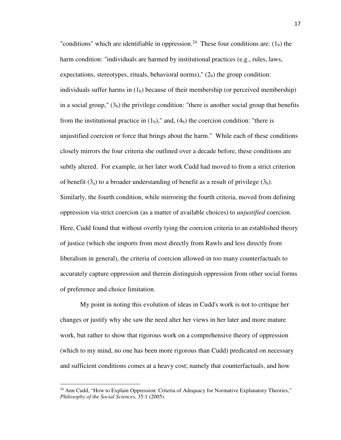"conditions" which are identifiable in oppression.<sup>24</sup> These four conditions are:  $(1<sub>b</sub>)$  the harm condition: "individuals are harmed by institutional practices (e.g., rules, laws, expectations, stereotypes, rituals, behavioral norms),"  $(2<sub>b</sub>)$  the group condition: individuals suffer harms in  $(1<sub>b</sub>)$  because of their membership (or perceived membership) in a social group,"  $(3<sub>b</sub>)$  the privilege condition: "there is another social group that benefits from the institutional practice in  $(1<sub>b</sub>)$ ," and,  $(4<sub>b</sub>)$  the coercion condition: "there is unjustified coercion or force that brings about the harm." While each of these conditions closely mirrors the four criteria she outlined over a decade before, these conditions are subtly altered. For example, in her later work Cudd had moved to from a strict criterion of benefit  $(3_a)$  to a broader understanding of benefit as a result of privilege  $(3_b)$ . Similarly, the fourth condition, while mirroring the fourth criteria, moved from defining oppression via strict coercion (as a matter of available choices) to *unjustified* coercion. Here, Cudd found that without overtly tying the coercion criteria to an established theory of justice (which she imports from most directly from Rawls and less directly from liberalism in general), the criteria of coercion allowed-in too many counterfactuals to accurately capture oppression and therein distinguish oppression from other social forms of preference and choice limitation.

 My point in noting this evolution of ideas in Cudd's work is not to critique her changes or justify why she saw the need alter her views in her later and more mature work, but rather to show that rigorous work on a comprehensive theory of oppression (which to my mind, no one has been more rigorous than Cudd) predicated on necessary and sufficient conditions comes at a heavy cost; namely that counterfactuals, and how

-

 $24$  Ann Cudd, "How to Explain Oppression: Criteria of Adequacy for Normative Explanatory Theories," *Philosophy of the Social Sciences*, 35:1 (2005).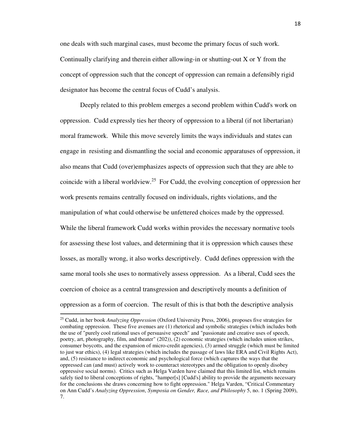one deals with such marginal cases, must become the primary focus of such work. Continually clarifying and therein either allowing-in or shutting-out X or Y from the concept of oppression such that the concept of oppression can remain a defensibly rigid designator has become the central focus of Cudd's analysis.

 Deeply related to this problem emerges a second problem within Cudd's work on oppression. Cudd expressly ties her theory of oppression to a liberal (if not libertarian) moral framework. While this move severely limits the ways individuals and states can engage in resisting and dismantling the social and economic apparatuses of oppression, it also means that Cudd (over)emphasizes aspects of oppression such that they are able to coincide with a liberal worldview.<sup>25</sup> For Cudd, the evolving conception of oppression her work presents remains centrally focused on individuals, rights violations, and the manipulation of what could otherwise be unfettered choices made by the oppressed. While the liberal framework Cudd works within provides the necessary normative tools for assessing these lost values, and determining that it is oppression which causes these losses, as morally wrong, it also works descriptively. Cudd defines oppression with the same moral tools she uses to normatively assess oppression. As a liberal, Cudd sees the coercion of choice as a central transgression and descriptively mounts a definition of oppression as a form of coercion. The result of this is that both the descriptive analysis

.<br>-

<sup>25</sup> Cudd, in her book *Analyzing Oppression* (Oxford University Press, 2006), proposes five strategies for combating oppression. These five avenues are (1) rhetorical and symbolic strategies (which includes both the use of "purely cool rational uses of persuasive speech" and "passionate and creative uses of speech, poetry, art, photography, film, and theater" (202)), (2) economic strategies (which includes union strikes, consumer boycotts, and the expansion of micro-credit agencies), (3) armed struggle (which must be limited to just war ethics), (4) legal strategies (which includes the passage of laws like ERA and Civil Rights Act), and, (5) resistance to indirect economic and psychological force (which captures the ways that the oppressed can (and must) actively work to counteract stereotypes and the obligation to openly disobey oppressive social norms). Critics such as Helga Varden have claimed that this limited list, which remains safely tied to liberal conceptions of rights, "hamper[s] [Cudd's] ability to provide the arguments necessary for the conclusions she draws concerning how to fight oppression." Helga Varden, "Critical Commentary on Ann Cudd's *Analyzing Oppression*, *Symposia on Gender, Race, and Philosophy* 5, no. 1 (Spring 2009), 7.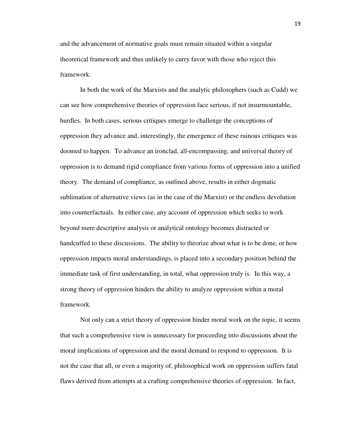and the advancement of normative goals must remain situated within a singular theoretical framework and thus unlikely to curry favor with those who reject this framework.

In both the work of the Marxists and the analytic philosophers (such as Cudd) we can see how comprehensive theories of oppression face serious, if not insurmountable, hurdles. In both cases, serious critiques emerge to challenge the conceptions of oppression they advance and, interestingly, the emergence of these ruinous critiques was doomed to happen. To advance an ironclad, all-encompassing, and universal theory of oppression is to demand rigid compliance from various forms of oppression into a unified theory. The demand of compliance, as outlined above, results in either dogmatic sublimation of alternative views (as in the case of the Marxist) or the endless devolution into counterfactuals. In either case, any account of oppression which seeks to work beyond mere descriptive analysis or analytical ontology becomes distracted or handcuffed to these discussions. The ability to theorize about what is to be done, or how oppression impacts moral understandings, is placed into a secondary position behind the immediate task of first understanding, in total, what oppression truly is. In this way, a strong theory of oppression hinders the ability to analyze oppression within a moral framework.

 Not only can a strict theory of oppression hinder moral work on the topic, it seems that such a comprehensive view is unnecessary for proceeding into discussions about the moral implications of oppression and the moral demand to respond to oppression. It is not the case that all, or even a majority of, philosophical work on oppression suffers fatal flaws derived from attempts at a crafting comprehensive theories of oppression. In fact,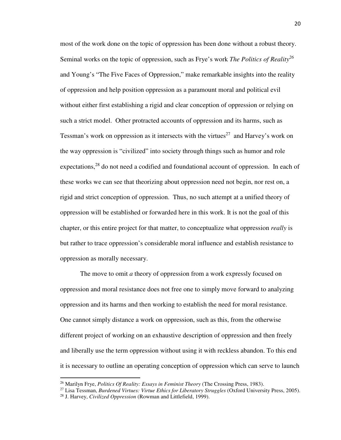most of the work done on the topic of oppression has been done without a robust theory. Seminal works on the topic of oppression, such as Frye's work *The Politics of Reality<sup>26</sup>* and Young's "The Five Faces of Oppression," make remarkable insights into the reality of oppression and help position oppression as a paramount moral and political evil without either first establishing a rigid and clear conception of oppression or relying on such a strict model. Other protracted accounts of oppression and its harms, such as Tessman's work on oppression as it intersects with the virtues<sup>27</sup> and Harvey's work on the way oppression is "civilized" into society through things such as humor and role expectations,  $28$  do not need a codified and foundational account of oppression. In each of these works we can see that theorizing about oppression need not begin, nor rest on, a rigid and strict conception of oppression. Thus, no such attempt at a unified theory of oppression will be established or forwarded here in this work. It is not the goal of this chapter, or this entire project for that matter, to conceptualize what oppression *really* is but rather to trace oppression's considerable moral influence and establish resistance to oppression as morally necessary.

 The move to omit *a* theory of oppression from a work expressly focused on oppression and moral resistance does not free one to simply move forward to analyzing oppression and its harms and then working to establish the need for moral resistance. One cannot simply distance a work on oppression, such as this, from the otherwise different project of working on an exhaustive description of oppression and then freely and liberally use the term oppression without using it with reckless abandon. To this end it is necessary to outline an operating conception of oppression which can serve to launch

<u>.</u>

<sup>26</sup> Marilyn Frye, *Politics Of Reality: Essays in Feminist Theory* (The Crossing Press, 1983).

<sup>27</sup> Lisa Tessman, *Burdened Virtues: Virtue Ethics for Liberatory Struggles* (Oxford University Press, 2005).

<sup>28</sup> J. Harvey, *Civilized Oppression* (Rowman and Littlefield, 1999).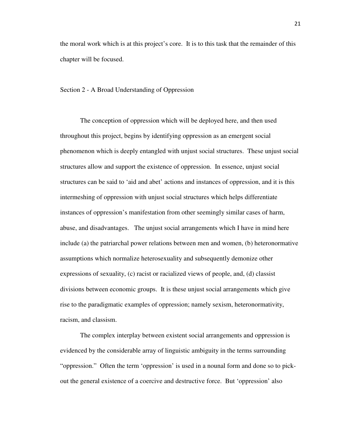the moral work which is at this project's core. It is to this task that the remainder of this chapter will be focused.

#### Section 2 - A Broad Understanding of Oppression

The conception of oppression which will be deployed here, and then used throughout this project, begins by identifying oppression as an emergent social phenomenon which is deeply entangled with unjust social structures. These unjust social structures allow and support the existence of oppression. In essence, unjust social structures can be said to 'aid and abet' actions and instances of oppression, and it is this intermeshing of oppression with unjust social structures which helps differentiate instances of oppression's manifestation from other seemingly similar cases of harm, abuse, and disadvantages. The unjust social arrangements which I have in mind here include (a) the patriarchal power relations between men and women, (b) heteronormative assumptions which normalize heterosexuality and subsequently demonize other expressions of sexuality, (c) racist or racialized views of people, and, (d) classist divisions between economic groups. It is these unjust social arrangements which give rise to the paradigmatic examples of oppression; namely sexism, heteronormativity, racism, and classism.

The complex interplay between existent social arrangements and oppression is evidenced by the considerable array of linguistic ambiguity in the terms surrounding "oppression." Often the term 'oppression' is used in a nounal form and done so to pickout the general existence of a coercive and destructive force. But 'oppression' also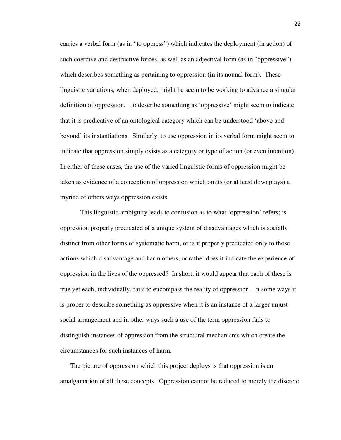carries a verbal form (as in "to oppress") which indicates the deployment (in action) of such coercive and destructive forces, as well as an adjectival form (as in "oppressive") which describes something as pertaining to oppression (in its nounal form). These linguistic variations, when deployed, might be seem to be working to advance a singular definition of oppression. To describe something as 'oppressive' might seem to indicate that it is predicative of an ontological category which can be understood 'above and beyond' its instantiations. Similarly, to use oppression in its verbal form might seem to indicate that oppression simply exists as a category or type of action (or even intention). In either of these cases, the use of the varied linguistic forms of oppression might be taken as evidence of a conception of oppression which omits (or at least downplays) a myriad of others ways oppression exists.

This linguistic ambiguity leads to confusion as to what 'oppression' refers; is oppression properly predicated of a unique system of disadvantages which is socially distinct from other forms of systematic harm, or is it properly predicated only to those actions which disadvantage and harm others, or rather does it indicate the experience of oppression in the lives of the oppressed? In short, it would appear that each of these is true yet each, individually, fails to encompass the reality of oppression. In some ways it is proper to describe something as oppressive when it is an instance of a larger unjust social arrangement and in other ways such a use of the term oppression fails to distinguish instances of oppression from the structural mechanisms which create the circumstances for such instances of harm.

The picture of oppression which this project deploys is that oppression is an amalgamation of all these concepts. Oppression cannot be reduced to merely the discrete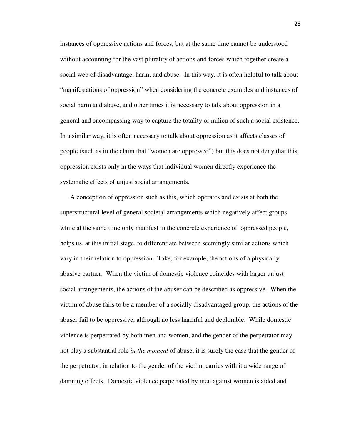instances of oppressive actions and forces, but at the same time cannot be understood without accounting for the vast plurality of actions and forces which together create a social web of disadvantage, harm, and abuse. In this way, it is often helpful to talk about "manifestations of oppression" when considering the concrete examples and instances of social harm and abuse, and other times it is necessary to talk about oppression in a general and encompassing way to capture the totality or milieu of such a social existence. In a similar way, it is often necessary to talk about oppression as it affects classes of people (such as in the claim that "women are oppressed") but this does not deny that this oppression exists only in the ways that individual women directly experience the systematic effects of unjust social arrangements.

A conception of oppression such as this, which operates and exists at both the superstructural level of general societal arrangements which negatively affect groups while at the same time only manifest in the concrete experience of oppressed people, helps us, at this initial stage, to differentiate between seemingly similar actions which vary in their relation to oppression. Take, for example, the actions of a physically abusive partner. When the victim of domestic violence coincides with larger unjust social arrangements, the actions of the abuser can be described as oppressive. When the victim of abuse fails to be a member of a socially disadvantaged group, the actions of the abuser fail to be oppressive, although no less harmful and deplorable. While domestic violence is perpetrated by both men and women, and the gender of the perpetrator may not play a substantial role *in the moment* of abuse, it is surely the case that the gender of the perpetrator, in relation to the gender of the victim, carries with it a wide range of damning effects. Domestic violence perpetrated by men against women is aided and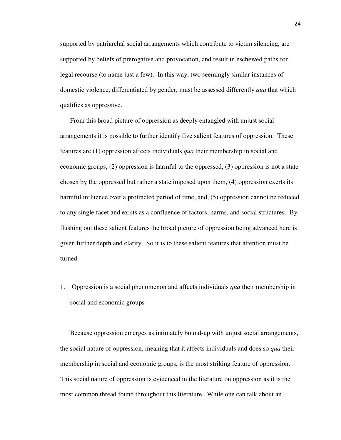supported by patriarchal social arrangements which contribute to victim silencing, are supported by beliefs of prerogative and provocation, and result in eschewed paths for legal recourse (to name just a few). In this way, two seemingly similar instances of domestic violence, differentiated by gender, must be assessed differently *qua* that which qualifies as oppressive.

From this broad picture of oppression as deeply entangled with unjust social arrangements it is possible to further identify five salient features of oppression. These features are (1) oppression affects individuals *qua* their membership in social and economic groups, (2) oppression is harmful to the oppressed, (3) oppression is not a state chosen by the oppressed but rather a state imposed upon them, (4) oppression exerts its harmful influence over a protracted period of time, and, (5) oppression cannot be reduced to any single facet and exists as a confluence of factors, harms, and social structures. By flushing out these salient features the broad picture of oppression being advanced here is given further depth and clarity. So it is to these salient features that attention must be turned.

1. Oppression is a social phenomenon and affects individuals *qua* their membership in social and economic groups

Because oppression emerges as intimately bound-up with unjust social arrangements, the social nature of oppression, meaning that it affects individuals and does so *qua* their membership in social and economic groups, is the most striking feature of oppression. This social nature of oppression is evidenced in the literature on oppression as it is the most common thread found throughout this literature. While one can talk about an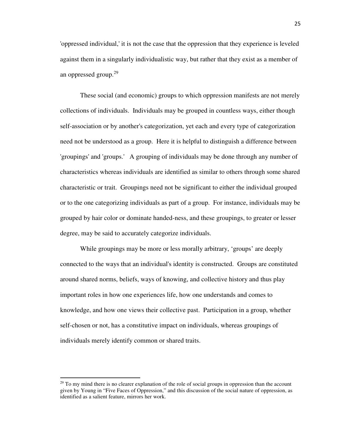'oppressed individual,' it is not the case that the oppression that they experience is leveled against them in a singularly individualistic way, but rather that they exist as a member of an oppressed group.<sup>29</sup>

 These social (and economic) groups to which oppression manifests are not merely collections of individuals. Individuals may be grouped in countless ways, either though self-association or by another's categorization, yet each and every type of categorization need not be understood as a group. Here it is helpful to distinguish a difference between 'groupings' and 'groups.' A grouping of individuals may be done through any number of characteristics whereas individuals are identified as similar to others through some shared characteristic or trait. Groupings need not be significant to either the individual grouped or to the one categorizing individuals as part of a group. For instance, individuals may be grouped by hair color or dominate handed-ness, and these groupings, to greater or lesser degree, may be said to accurately categorize individuals.

 While groupings may be more or less morally arbitrary, 'groups' are deeply connected to the ways that an individual's identity is constructed. Groups are constituted around shared norms, beliefs, ways of knowing, and collective history and thus play important roles in how one experiences life, how one understands and comes to knowledge, and how one views their collective past. Participation in a group, whether self-chosen or not, has a constitutive impact on individuals, whereas groupings of individuals merely identify common or shared traits.

<u>.</u>

 $^{29}$  To my mind there is no clearer explanation of the role of social groups in oppression than the account given by Young in "Five Faces of Oppression," and this discussion of the social nature of oppression, as identified as a salient feature, mirrors her work.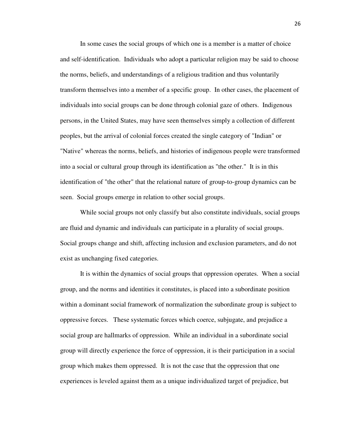In some cases the social groups of which one is a member is a matter of choice and self-identification. Individuals who adopt a particular religion may be said to choose the norms, beliefs, and understandings of a religious tradition and thus voluntarily transform themselves into a member of a specific group. In other cases, the placement of individuals into social groups can be done through colonial gaze of others. Indigenous persons, in the United States, may have seen themselves simply a collection of different peoples, but the arrival of colonial forces created the single category of "Indian" or "Native" whereas the norms, beliefs, and histories of indigenous people were transformed into a social or cultural group through its identification as "the other." It is in this identification of "the other" that the relational nature of group-to-group dynamics can be seen. Social groups emerge in relation to other social groups.

 While social groups not only classify but also constitute individuals, social groups are fluid and dynamic and individuals can participate in a plurality of social groups. Social groups change and shift, affecting inclusion and exclusion parameters, and do not exist as unchanging fixed categories.

 It is within the dynamics of social groups that oppression operates. When a social group, and the norms and identities it constitutes, is placed into a subordinate position within a dominant social framework of normalization the subordinate group is subject to oppressive forces. These systematic forces which coerce, subjugate, and prejudice a social group are hallmarks of oppression. While an individual in a subordinate social group will directly experience the force of oppression, it is their participation in a social group which makes them oppressed. It is not the case that the oppression that one experiences is leveled against them as a unique individualized target of prejudice, but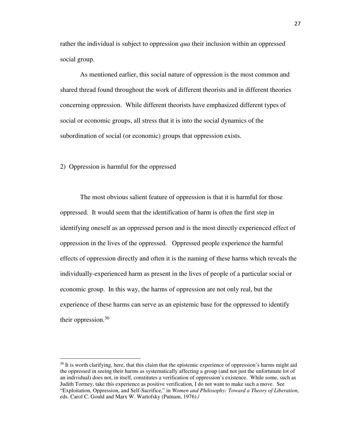rather the individual is subject to oppression *qua* their inclusion within an oppressed social group.

 As mentioned earlier, this social nature of oppression is the most common and shared thread found throughout the work of different theorists and in different theories concerning oppression. While different theorists have emphasized different types of social or economic groups, all stress that it is into the social dynamics of the subordination of social (or economic) groups that oppression exists.

2) Oppression is harmful for the oppressed

<u>.</u>

The most obvious salient feature of oppression is that it is harmful for those oppressed. It would seem that the identification of harm is often the first step in identifying oneself as an oppressed person and is the most directly experienced effect of oppression in the lives of the oppressed. Oppressed people experience the harmful effects of oppression directly and often it is the naming of these harms which reveals the individually-experienced harm as present in the lives of people of a particular social or economic group. In this way, the harms of oppression are not only real, but the experience of these harms can serve as an epistemic base for the oppressed to identify their oppression. $30$ 

<sup>&</sup>lt;sup>30</sup> It is worth clarifying, here, that this claim that the epistemic experience of oppression's harms might aid the oppressed in seeing their harms as systematically affecting a group (and not just the unfortunate lot of an individual) does not, in itself, constitutes a verification of oppression's existence. While some, such as Judith Tormey, take this experience as positive verification, I do not want to make such a move. See "Exploitation, Oppression, and Self-Sacrifice," in *Women and Philosophy: Toward a Theory of Liberation*, eds. Carol C. Gould and Marx W. Wartofsky (Putnam, 1976)./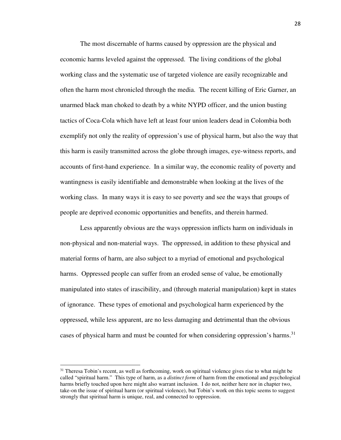The most discernable of harms caused by oppression are the physical and economic harms leveled against the oppressed. The living conditions of the global working class and the systematic use of targeted violence are easily recognizable and often the harm most chronicled through the media. The recent killing of Eric Garner, an unarmed black man choked to death by a white NYPD officer, and the union busting tactics of Coca-Cola which have left at least four union leaders dead in Colombia both exemplify not only the reality of oppression's use of physical harm, but also the way that this harm is easily transmitted across the globe through images, eye-witness reports, and accounts of first-hand experience. In a similar way, the economic reality of poverty and wantingness is easily identifiable and demonstrable when looking at the lives of the working class. In many ways it is easy to see poverty and see the ways that groups of people are deprived economic opportunities and benefits, and therein harmed.

Less apparently obvious are the ways oppression inflicts harm on individuals in non-physical and non-material ways. The oppressed, in addition to these physical and material forms of harm, are also subject to a myriad of emotional and psychological harms. Oppressed people can suffer from an eroded sense of value, be emotionally manipulated into states of irascibility, and (through material manipulation) kept in states of ignorance. These types of emotional and psychological harm experienced by the oppressed, while less apparent, are no less damaging and detrimental than the obvious cases of physical harm and must be counted for when considering oppression's harms.<sup>31</sup>

-

 $31$  Theresa Tobin's recent, as well as forthcoming, work on spiritual violence gives rise to what might be called "spiritual harm." This type of harm, as a *distinct form* of harm from the emotional and psychological harms briefly touched upon here might also warrant inclusion. I do not, neither here nor in chapter two, take-on the issue of spiritual harm (or spiritual violence), but Tobin's work on this topic seems to suggest strongly that spiritual harm is unique, real, and connected to oppression.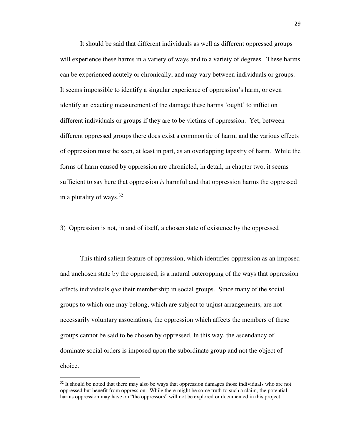It should be said that different individuals as well as different oppressed groups will experience these harms in a variety of ways and to a variety of degrees. These harms can be experienced acutely or chronically, and may vary between individuals or groups. It seems impossible to identify a singular experience of oppression's harm, or even identify an exacting measurement of the damage these harms 'ought' to inflict on different individuals or groups if they are to be victims of oppression. Yet, between different oppressed groups there does exist a common tie of harm, and the various effects of oppression must be seen, at least in part, as an overlapping tapestry of harm. While the forms of harm caused by oppression are chronicled, in detail, in chapter two, it seems sufficient to say here that oppression *is* harmful and that oppression harms the oppressed in a plurality of ways.  $32$ 

3) Oppression is not, in and of itself, a chosen state of existence by the oppressed

 This third salient feature of oppression, which identifies oppression as an imposed and unchosen state by the oppressed, is a natural outcropping of the ways that oppression affects individuals *qua* their membership in social groups. Since many of the social groups to which one may belong, which are subject to unjust arrangements, are not necessarily voluntary associations, the oppression which affects the members of these groups cannot be said to be chosen by oppressed. In this way, the ascendancy of dominate social orders is imposed upon the subordinate group and not the object of choice.

<u>.</u>

 $32$  It should be noted that there may also be ways that oppression damages those individuals who are not oppressed but benefit from oppression. While there might be some truth to such a claim, the potential harms oppression may have on "the oppressors" will not be explored or documented in this project.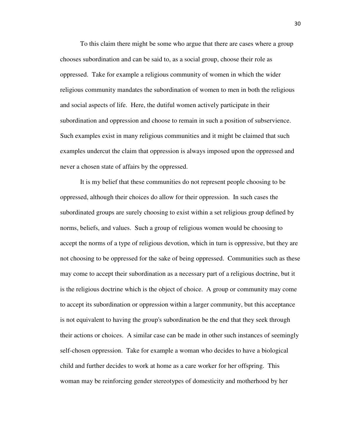To this claim there might be some who argue that there are cases where a group chooses subordination and can be said to, as a social group, choose their role as oppressed. Take for example a religious community of women in which the wider religious community mandates the subordination of women to men in both the religious and social aspects of life. Here, the dutiful women actively participate in their subordination and oppression and choose to remain in such a position of subservience. Such examples exist in many religious communities and it might be claimed that such examples undercut the claim that oppression is always imposed upon the oppressed and never a chosen state of affairs by the oppressed.

It is my belief that these communities do not represent people choosing to be oppressed, although their choices do allow for their oppression. In such cases the subordinated groups are surely choosing to exist within a set religious group defined by norms, beliefs, and values. Such a group of religious women would be choosing to accept the norms of a type of religious devotion, which in turn is oppressive, but they are not choosing to be oppressed for the sake of being oppressed. Communities such as these may come to accept their subordination as a necessary part of a religious doctrine, but it is the religious doctrine which is the object of choice. A group or community may come to accept its subordination or oppression within a larger community, but this acceptance is not equivalent to having the group's subordination be the end that they seek through their actions or choices. A similar case can be made in other such instances of seemingly self-chosen oppression. Take for example a woman who decides to have a biological child and further decides to work at home as a care worker for her offspring. This woman may be reinforcing gender stereotypes of domesticity and motherhood by her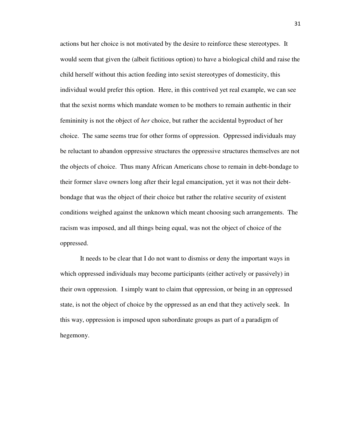actions but her choice is not motivated by the desire to reinforce these stereotypes. It would seem that given the (albeit fictitious option) to have a biological child and raise the child herself without this action feeding into sexist stereotypes of domesticity, this individual would prefer this option. Here, in this contrived yet real example, we can see that the sexist norms which mandate women to be mothers to remain authentic in their femininity is not the object of *her* choice, but rather the accidental byproduct of her choice. The same seems true for other forms of oppression. Oppressed individuals may be reluctant to abandon oppressive structures the oppressive structures themselves are not the objects of choice. Thus many African Americans chose to remain in debt-bondage to their former slave owners long after their legal emancipation, yet it was not their debtbondage that was the object of their choice but rather the relative security of existent conditions weighed against the unknown which meant choosing such arrangements. The racism was imposed, and all things being equal, was not the object of choice of the oppressed.

 It needs to be clear that I do not want to dismiss or deny the important ways in which oppressed individuals may become participants (either actively or passively) in their own oppression. I simply want to claim that oppression, or being in an oppressed state, is not the object of choice by the oppressed as an end that they actively seek. In this way, oppression is imposed upon subordinate groups as part of a paradigm of hegemony.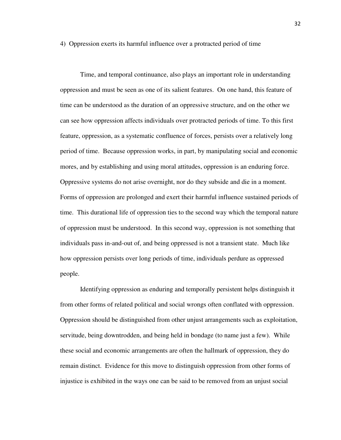4) Oppression exerts its harmful influence over a protracted period of time

 Time, and temporal continuance, also plays an important role in understanding oppression and must be seen as one of its salient features. On one hand, this feature of time can be understood as the duration of an oppressive structure, and on the other we can see how oppression affects individuals over protracted periods of time. To this first feature, oppression, as a systematic confluence of forces, persists over a relatively long period of time. Because oppression works, in part, by manipulating social and economic mores, and by establishing and using moral attitudes, oppression is an enduring force. Oppressive systems do not arise overnight, nor do they subside and die in a moment. Forms of oppression are prolonged and exert their harmful influence sustained periods of time. This durational life of oppression ties to the second way which the temporal nature of oppression must be understood. In this second way, oppression is not something that individuals pass in-and-out of, and being oppressed is not a transient state. Much like how oppression persists over long periods of time, individuals perdure as oppressed people.

 Identifying oppression as enduring and temporally persistent helps distinguish it from other forms of related political and social wrongs often conflated with oppression. Oppression should be distinguished from other unjust arrangements such as exploitation, servitude, being downtrodden, and being held in bondage (to name just a few). While these social and economic arrangements are often the hallmark of oppression, they do remain distinct. Evidence for this move to distinguish oppression from other forms of injustice is exhibited in the ways one can be said to be removed from an unjust social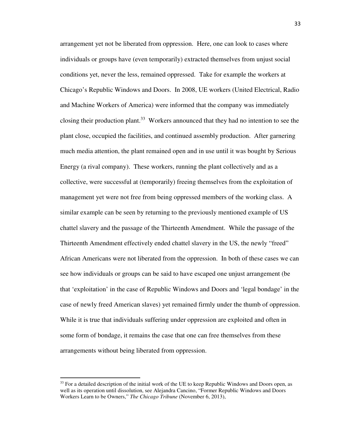arrangement yet not be liberated from oppression. Here, one can look to cases where individuals or groups have (even temporarily) extracted themselves from unjust social conditions yet, never the less, remained oppressed. Take for example the workers at Chicago's Republic Windows and Doors. In 2008, UE workers (United Electrical, Radio and Machine Workers of America) were informed that the company was immediately closing their production plant.<sup>33</sup> Workers announced that they had no intention to see the plant close, occupied the facilities, and continued assembly production. After garnering much media attention, the plant remained open and in use until it was bought by Serious Energy (a rival company). These workers, running the plant collectively and as a collective, were successful at (temporarily) freeing themselves from the exploitation of management yet were not free from being oppressed members of the working class. A similar example can be seen by returning to the previously mentioned example of US chattel slavery and the passage of the Thirteenth Amendment. While the passage of the Thirteenth Amendment effectively ended chattel slavery in the US, the newly "freed" African Americans were not liberated from the oppression. In both of these cases we can see how individuals or groups can be said to have escaped one unjust arrangement (be that 'exploitation' in the case of Republic Windows and Doors and 'legal bondage' in the case of newly freed American slaves) yet remained firmly under the thumb of oppression. While it is true that individuals suffering under oppression are exploited and often in some form of bondage, it remains the case that one can free themselves from these arrangements without being liberated from oppression.

<sup>&</sup>lt;sup>33</sup> For a detailed description of the initial work of the UE to keep Republic Windows and Doors open, as well as its operation until dissolution, see Alejandra Cancino, "Former Republic Windows and Doors Workers Learn to be Owners," *The Chicago Tribune* (November 6, 2013),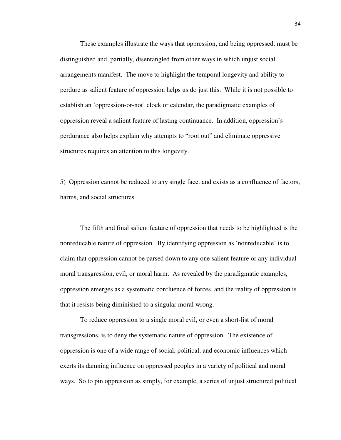These examples illustrate the ways that oppression, and being oppressed, must be distinguished and, partially, disentangled from other ways in which unjust social arrangements manifest. The move to highlight the temporal longevity and ability to perdure as salient feature of oppression helps us do just this. While it is not possible to establish an 'oppression-or-not' clock or calendar, the paradigmatic examples of oppression reveal a salient feature of lasting continuance. In addition, oppression's perdurance also helps explain why attempts to "root out" and eliminate oppressive structures requires an attention to this longevity.

5) Oppression cannot be reduced to any single facet and exists as a confluence of factors, harms, and social structures

The fifth and final salient feature of oppression that needs to be highlighted is the nonreducable nature of oppression. By identifying oppression as 'nonreducable' is to claim that oppression cannot be parsed down to any one salient feature or any individual moral transgression, evil, or moral harm. As revealed by the paradigmatic examples, oppression emerges as a systematic confluence of forces, and the reality of oppression is that it resists being diminished to a singular moral wrong.

 To reduce oppression to a single moral evil, or even a short-list of moral transgressions, is to deny the systematic nature of oppression. The existence of oppression is one of a wide range of social, political, and economic influences which exerts its damning influence on oppressed peoples in a variety of political and moral ways. So to pin oppression as simply, for example, a series of unjust structured political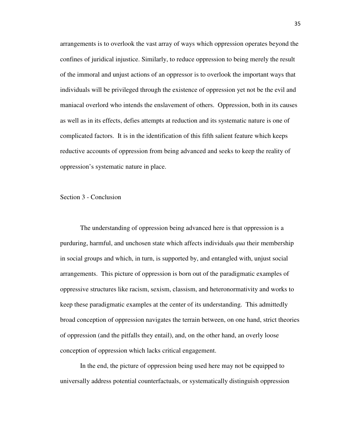arrangements is to overlook the vast array of ways which oppression operates beyond the confines of juridical injustice. Similarly, to reduce oppression to being merely the result of the immoral and unjust actions of an oppressor is to overlook the important ways that individuals will be privileged through the existence of oppression yet not be the evil and maniacal overlord who intends the enslavement of others. Oppression, both in its causes as well as in its effects, defies attempts at reduction and its systematic nature is one of complicated factors. It is in the identification of this fifth salient feature which keeps reductive accounts of oppression from being advanced and seeks to keep the reality of oppression's systematic nature in place.

#### Section 3 - Conclusion

The understanding of oppression being advanced here is that oppression is a purduring, harmful, and unchosen state which affects individuals *qua* their membership in social groups and which, in turn, is supported by, and entangled with, unjust social arrangements. This picture of oppression is born out of the paradigmatic examples of oppressive structures like racism, sexism, classism, and heteronormativity and works to keep these paradigmatic examples at the center of its understanding. This admittedly broad conception of oppression navigates the terrain between, on one hand, strict theories of oppression (and the pitfalls they entail), and, on the other hand, an overly loose conception of oppression which lacks critical engagement.

In the end, the picture of oppression being used here may not be equipped to universally address potential counterfactuals, or systematically distinguish oppression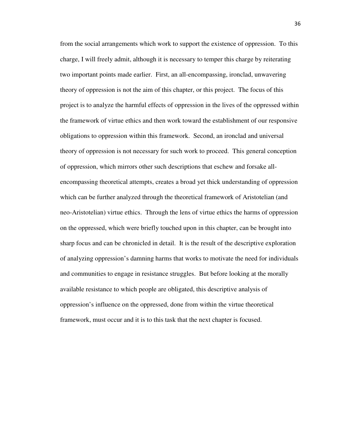from the social arrangements which work to support the existence of oppression. To this charge, I will freely admit, although it is necessary to temper this charge by reiterating two important points made earlier. First, an all-encompassing, ironclad, unwavering theory of oppression is not the aim of this chapter, or this project. The focus of this project is to analyze the harmful effects of oppression in the lives of the oppressed within the framework of virtue ethics and then work toward the establishment of our responsive obligations to oppression within this framework. Second, an ironclad and universal theory of oppression is not necessary for such work to proceed. This general conception of oppression, which mirrors other such descriptions that eschew and forsake allencompassing theoretical attempts, creates a broad yet thick understanding of oppression which can be further analyzed through the theoretical framework of Aristotelian (and neo-Aristotelian) virtue ethics. Through the lens of virtue ethics the harms of oppression on the oppressed, which were briefly touched upon in this chapter, can be brought into sharp focus and can be chronicled in detail. It is the result of the descriptive exploration of analyzing oppression's damning harms that works to motivate the need for individuals and communities to engage in resistance struggles. But before looking at the morally available resistance to which people are obligated, this descriptive analysis of oppression's influence on the oppressed, done from within the virtue theoretical framework, must occur and it is to this task that the next chapter is focused.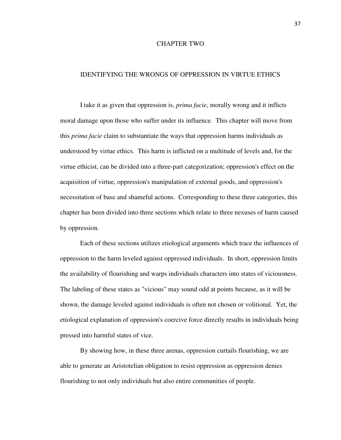## CHAPTER TWO

# IDENTIFYING THE WRONGS OF OPPRESSION IN VIRTUE ETHICS

 I take it as given that oppression is, *prima facie*, morally wrong and it inflicts moral damage upon those who suffer under its influence. This chapter will move from this *prima facie* claim to substantiate the ways that oppression harms individuals as understood by virtue ethics. This harm is inflicted on a multitude of levels and, for the virtue ethicist, can be divided into a three-part categorization; oppression's effect on the acquisition of virtue, oppression's manipulation of external goods, and oppression's necessitation of base and shameful actions. Corresponding to these three categories, this chapter has been divided into three sections which relate to three nexuses of harm caused by oppression.

 Each of these sections utilizes etiological arguments which trace the influences of oppression to the harm leveled against oppressed individuals. In short, oppression limits the availability of flourishing and warps individuals characters into states of viciousness. The labeling of these states as "vicious" may sound odd at points because, as it will be shown, the damage leveled against individuals is often not chosen or volitional. Yet, the etiological explanation of oppression's coercive force directly results in individuals being pressed into harmful states of vice.

 By showing how, in these three arenas, oppression curtails flourishing, we are able to generate an Aristotelian obligation to resist oppression as oppression denies flourishing to not only individuals but also entire communities of people.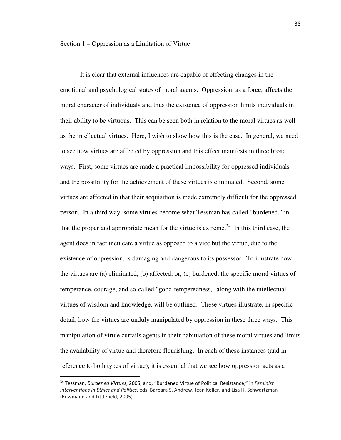It is clear that external influences are capable of effecting changes in the emotional and psychological states of moral agents. Oppression, as a force, affects the moral character of individuals and thus the existence of oppression limits individuals in their ability to be virtuous. This can be seen both in relation to the moral virtues as well as the intellectual virtues. Here, I wish to show how this is the case. In general, we need to see how virtues are affected by oppression and this effect manifests in three broad ways. First, some virtues are made a practical impossibility for oppressed individuals and the possibility for the achievement of these virtues is eliminated. Second, some virtues are affected in that their acquisition is made extremely difficult for the oppressed person. In a third way, some virtues become what Tessman has called "burdened," in that the proper and appropriate mean for the virtue is extreme.<sup>34</sup> In this third case, the agent does in fact inculcate a virtue as opposed to a vice but the virtue, due to the existence of oppression, is damaging and dangerous to its possessor. To illustrate how the virtues are (a) eliminated, (b) affected, or, (c) burdened, the specific moral virtues of temperance, courage, and so-called "good-temperedness," along with the intellectual virtues of wisdom and knowledge, will be outlined. These virtues illustrate, in specific detail, how the virtues are unduly manipulated by oppression in these three ways. This manipulation of virtue curtails agents in their habituation of these moral virtues and limits the availability of virtue and therefore flourishing. In each of these instances (and in reference to both types of virtue), it is essential that we see how oppression acts as a

<sup>34</sup> Tessman, *Burdened Virtues*, 2005, and, "Burdened Virtue of Political Resistance," in *Feminist Interventions in Ethics and Politics*, eds. Barbara S. Andrew, Jean Keller, and Lisa H. Schwartzman (Rowmann and Littlefield, 2005).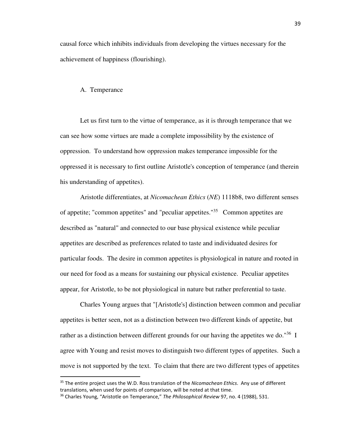causal force which inhibits individuals from developing the virtues necessary for the achievement of happiness (flourishing).

#### A. Temperance

<u>.</u>

 Let us first turn to the virtue of temperance, as it is through temperance that we can see how some virtues are made a complete impossibility by the existence of oppression. To understand how oppression makes temperance impossible for the oppressed it is necessary to first outline Aristotle's conception of temperance (and therein his understanding of appetites).

 Aristotle differentiates, at *Nicomachean Ethics* (*NE*) 1118b8, two different senses of appetite; "common appetites" and "peculiar appetites."<sup>35</sup> Common appetites are described as "natural" and connected to our base physical existence while peculiar appetites are described as preferences related to taste and individuated desires for particular foods. The desire in common appetites is physiological in nature and rooted in our need for food as a means for sustaining our physical existence. Peculiar appetites appear, for Aristotle, to be not physiological in nature but rather preferential to taste.

 Charles Young argues that "[Aristotle's] distinction between common and peculiar appetites is better seen, not as a distinction between two different kinds of appetite, but rather as a distinction between different grounds for our having the appetites we do."<sup>36</sup> I agree with Young and resist moves to distinguish two different types of appetites. Such a move is not supported by the text. To claim that there are two different types of appetites

<sup>35</sup> The entire project uses the W.D. Ross translation of the *Nicomachean Ethics*. Any use of different translations, when used for points of comparison, will be noted at that time.

<sup>36</sup> Charles Young, "Aristotle on Temperance," *The Philosophical Review* 97, no. 4 (1988), 531.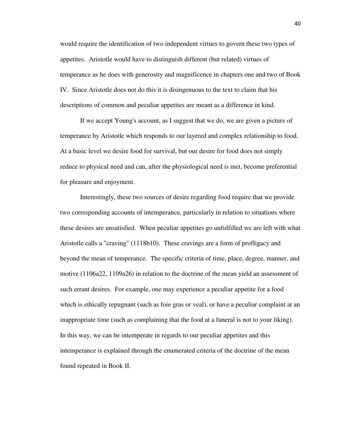would require the identification of two independent virtues to govern these two types of appetites. Aristotle would have to distinguish different (but related) virtues of temperance as he does with generosity and magnificence in chapters one and two of Book IV. Since Aristotle does not do this it is disingenuous to the text to claim that his descriptions of common and peculiar appetites are meant as a difference in kind.

 If we accept Young's account, as I suggest that we do, we are given a picture of temperance by Aristotle which responds to our layered and complex relationship to food. At a basic level we desire food for survival, but our desire for food does not simply reduce to physical need and can, after the physiological need is met, become preferential for pleasure and enjoyment.

 Interestingly, these two sources of desire regarding food require that we provide two corresponding accounts of intemperance, particularly in relation to situations where these desires are unsatisfied. When peculiar appetites go unfulfilled we are left with what Aristotle calls a "craving" (1118b10). These cravings are a form of profligacy and beyond the mean of temperance. The specific criteria of time, place, degree, manner, and motive (1106a22, 1109a26) in relation to the doctrine of the mean yield an assessment of such errant desires. For example, one may experience a peculiar appetite for a food which is ethically repugnant (such as foie gras or veal), or have a peculiar complaint at an inappropriate time (such as complaining that the food at a funeral is not to your liking). In this way, we can be intemperate in regards to our peculiar appetites and this intemperance is explained through the enumerated criteria of the doctrine of the mean found repeated in Book II.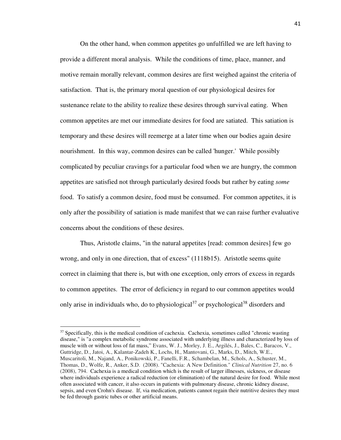On the other hand, when common appetites go unfulfilled we are left having to provide a different moral analysis. While the conditions of time, place, manner, and motive remain morally relevant, common desires are first weighed against the criteria of satisfaction. That is, the primary moral question of our physiological desires for sustenance relate to the ability to realize these desires through survival eating. When common appetites are met our immediate desires for food are satiated. This satiation is temporary and these desires will reemerge at a later time when our bodies again desire nourishment. In this way, common desires can be called 'hunger.' While possibly complicated by peculiar cravings for a particular food when we are hungry, the common appetites are satisfied not through particularly desired foods but rather by eating *some* food. To satisfy a common desire, food must be consumed. For common appetites, it is only after the possibility of satiation is made manifest that we can raise further evaluative concerns about the conditions of these desires.

 Thus, Aristotle claims, "in the natural appetites [read: common desires] few go wrong, and only in one direction, that of excess" (1118b15). Aristotle seems quite correct in claiming that there is, but with one exception, only errors of excess in regards to common appetites. The error of deficiency in regard to our common appetites would only arise in individuals who, do to physiological<sup>37</sup> or psychological<sup>38</sup> disorders and

-

 $37$  Specifically, this is the medical condition of cachexia. Cachexia, sometimes called "chronic wasting" disease," is "a complex metabolic syndrome associated with underlying illness and characterized by loss of muscle with or without loss of fat mass," Evans, W. J., Morley, J. E., Argilés, J., Bales, C., Baracos, V., Guttridge, D., Jatoi, A., Kalantar-Zadeh K., Lochs, H., Mantovani, G., Marks, D., Mitch, W.E., Muscaritoli, M., Najand, A., Ponikowski, P., Fanelli, F.R., Schambelan, M., Schols, A., Schuster, M., Thomas, D., Wolfe, R., Anker, S.D. (2008). "Cachexia: A New Definition." *Clinical Nutrition* 27, no. 6 (2008), 794. Cachexia is a medical condition which is the result of larger illnesses, sickness, or disease where individuals experience a radical reduction (or elimination) of the natural desire for food. While most often associated with cancer, it also occurs in patients with pulmonary disease, chronic kidney disease, sepsis, and even Crohn's disease. If, via medication, patients cannot regain their nutritive desires they must be fed through gastric tubes or other artificial means.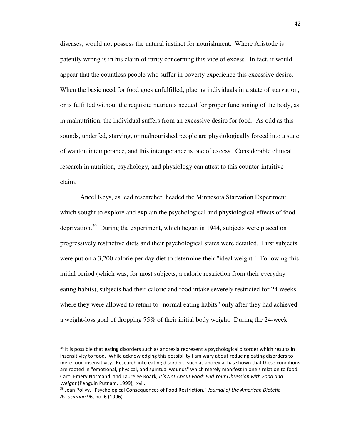diseases, would not possess the natural instinct for nourishment. Where Aristotle is patently wrong is in his claim of rarity concerning this vice of excess. In fact, it would appear that the countless people who suffer in poverty experience this excessive desire. When the basic need for food goes unfulfilled, placing individuals in a state of starvation, or is fulfilled without the requisite nutrients needed for proper functioning of the body, as in malnutrition, the individual suffers from an excessive desire for food. As odd as this sounds, underfed, starving, or malnourished people are physiologically forced into a state of wanton intemperance, and this intemperance is one of excess. Considerable clinical research in nutrition, psychology, and physiology can attest to this counter-intuitive claim.

 Ancel Keys, as lead researcher, headed the Minnesota Starvation Experiment which sought to explore and explain the psychological and physiological effects of food deprivation.<sup>39</sup> During the experiment, which began in 1944, subjects were placed on progressively restrictive diets and their psychological states were detailed. First subjects were put on a 3,200 calorie per day diet to determine their "ideal weight." Following this initial period (which was, for most subjects, a caloric restriction from their everyday eating habits), subjects had their caloric and food intake severely restricted for 24 weeks where they were allowed to return to "normal eating habits" only after they had achieved a weight-loss goal of dropping 75% of their initial body weight. During the 24-week

-

<sup>&</sup>lt;sup>38</sup> It is possible that eating disorders such as anorexia represent a psychological disorder which results in insensitivity to food. While acknowledging this possibility I am wary about reducing eating disorders to mere food insensitivity. Research into eating disorders, such as anorexia, has shown that these conditions are rooted in "emotional, physical, and spiritual wounds" which merely manifest in one's relation to food. Carol Emery Normandi and Laurelee Roark, *It's Not About Food: End Your Obsession with Food and Weight* (Penguin Putnam, 1999), xvii.

<sup>39</sup> Jean Polivy, "Psychological Consequences of Food Restriction," *Journal of the American Dietetic Association* 96, no. 6 (1996).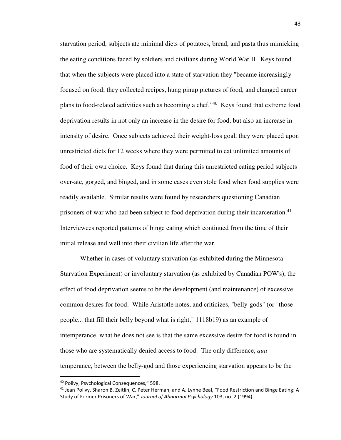starvation period, subjects ate minimal diets of potatoes, bread, and pasta thus mimicking the eating conditions faced by soldiers and civilians during World War II. Keys found that when the subjects were placed into a state of starvation they "became increasingly focused on food; they collected recipes, hung pinup pictures of food, and changed career plans to food-related activities such as becoming a chef."<sup>40</sup> Keys found that extreme food deprivation results in not only an increase in the desire for food, but also an increase in intensity of desire. Once subjects achieved their weight-loss goal, they were placed upon unrestricted diets for 12 weeks where they were permitted to eat unlimited amounts of food of their own choice. Keys found that during this unrestricted eating period subjects over-ate, gorged, and binged, and in some cases even stole food when food supplies were readily available. Similar results were found by researchers questioning Canadian prisoners of war who had been subject to food deprivation during their incarceration.<sup>41</sup> Interviewees reported patterns of binge eating which continued from the time of their initial release and well into their civilian life after the war.

 Whether in cases of voluntary starvation (as exhibited during the Minnesota Starvation Experiment) or involuntary starvation (as exhibited by Canadian POW's), the effect of food deprivation seems to be the development (and maintenance) of excessive common desires for food. While Aristotle notes, and criticizes, "belly-gods" (or "those people... that fill their belly beyond what is right," 1118b19) as an example of intemperance, what he does not see is that the same excessive desire for food is found in those who are systematically denied access to food. The only difference, *qua* temperance, between the belly-god and those experiencing starvation appears to be the

<sup>40</sup> Polivy, Psychological Consequences," 598.

<sup>41</sup> Jean Polivy, Sharon B. Zeitlin, C. Peter Herman, and A. Lynne Beal, "Food Restriction and Binge Eating: A Study of Former Prisoners of War," *Journal of Abnormal Psychology* 103, no. 2 (1994).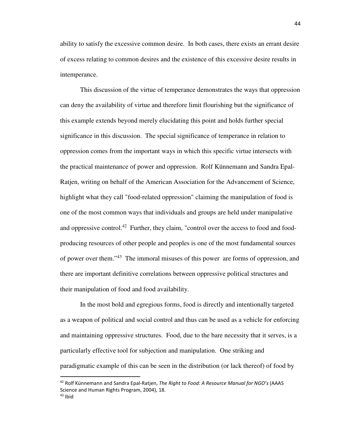ability to satisfy the excessive common desire. In both cases, there exists an errant desire of excess relating to common desires and the existence of this excessive desire results in intemperance.

 This discussion of the virtue of temperance demonstrates the ways that oppression can deny the availability of virtue and therefore limit flourishing but the significance of this example extends beyond merely elucidating this point and holds further special significance in this discussion. The special significance of temperance in relation to oppression comes from the important ways in which this specific virtue intersects with the practical maintenance of power and oppression. Rolf Künnemann and Sandra Epal-Ratjen, writing on behalf of the American Association for the Advancement of Science, highlight what they call "food-related oppression" claiming the manipulation of food is one of the most common ways that individuals and groups are held under manipulative and oppressive control.<sup>42</sup> Further, they claim, "control over the access to food and foodproducing resources of other people and peoples is one of the most fundamental sources of power over them."<sup>43</sup> The immoral misuses of this power are forms of oppression, and there are important definitive correlations between oppressive political structures and their manipulation of food and food availability.

 In the most bold and egregious forms, food is directly and intentionally targeted as a weapon of political and social control and thus can be used as a vehicle for enforcing and maintaining oppressive structures. Food, due to the bare necessity that it serves, is a particularly effective tool for subjection and manipulation. One striking and paradigmatic example of this can be seen in the distribution (or lack thereof) of food by

<sup>42</sup> Rolf Künnemann and Sandra Epal-Ratjen, *The Right to Food: A Resource Manual for NGO's* (AAAS Science and Human Rights Program, 2004), 18.

 $43$  Ibid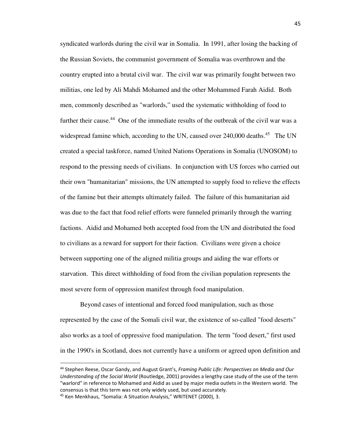syndicated warlords during the civil war in Somalia. In 1991, after losing the backing of the Russian Soviets, the communist government of Somalia was overthrown and the country erupted into a brutal civil war. The civil war was primarily fought between two militias, one led by Ali Mahdi Mohamed and the other Mohammed Farah Aidid. Both men, commonly described as "warlords," used the systematic withholding of food to further their cause.<sup>44</sup> One of the immediate results of the outbreak of the civil war was a widespread famine which, according to the UN, caused over 240,000 deaths.<sup>45</sup> The UN created a special taskforce, named United Nations Operations in Somalia (UNOSOM) to respond to the pressing needs of civilians. In conjunction with US forces who carried out their own "humanitarian" missions, the UN attempted to supply food to relieve the effects of the famine but their attempts ultimately failed. The failure of this humanitarian aid was due to the fact that food relief efforts were funneled primarily through the warring factions. Aidid and Mohamed both accepted food from the UN and distributed the food to civilians as a reward for support for their faction. Civilians were given a choice between supporting one of the aligned militia groups and aiding the war efforts or starvation. This direct withholding of food from the civilian population represents the most severe form of oppression manifest through food manipulation.

 Beyond cases of intentional and forced food manipulation, such as those represented by the case of the Somali civil war, the existence of so-called "food deserts" also works as a tool of oppressive food manipulation. The term "food desert," first used in the 1990's in Scotland, does not currently have a uniform or agreed upon definition and

<sup>44</sup> Stephen Reese, Oscar Gandy, and August Grant's, *Framing Public Life: Perspectives on Media and Our Understanding of the Social World* (Routledge, 2001) provides a lengthy case study of the use of the term "warlord" in reference to Mohamed and Aidid as used by major media outlets in the Western world. The consensus is that this term was not only widely used, but used accurately.

<sup>45</sup> Ken Menkhaus, "Somalia: A Situation Analysis," WRITENET (2000), 3.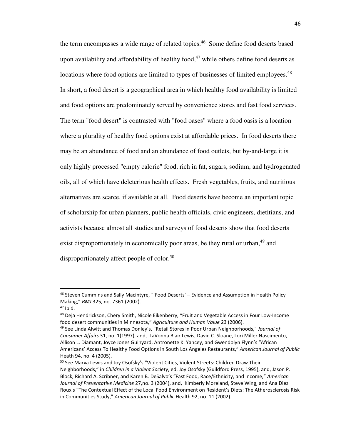the term encompasses a wide range of related topics. <sup>46</sup> Some define food deserts based upon availability and affordability of healthy food,<sup>47</sup> while others define food deserts as locations where food options are limited to types of businesses of limited employees.<sup>48</sup> In short, a food desert is a geographical area in which healthy food availability is limited and food options are predominately served by convenience stores and fast food services. The term "food desert" is contrasted with "food oases" where a food oasis is a location where a plurality of healthy food options exist at affordable prices. In food deserts there may be an abundance of food and an abundance of food outlets, but by-and-large it is only highly processed "empty calorie" food, rich in fat, sugars, sodium, and hydrogenated oils, all of which have deleterious health effects. Fresh vegetables, fruits, and nutritious alternatives are scarce, if available at all. Food deserts have become an important topic of scholarship for urban planners, public health officials, civic engineers, dietitians, and activists because almost all studies and surveys of food deserts show that food deserts exist disproportionately in economically poor areas, be they rural or urban, <sup>49</sup> and disproportionately affect people of color.<sup>50</sup>

<sup>46</sup> Steven Cummins and Sally Macintyre, "'Food Deserts' – Evidence and Assumption in Health Policy Making," *BMJ* 325, no. 7361 (2002).

 $47$  Ibid.

<sup>&</sup>lt;sup>48</sup> Deja Hendrickson, Chery Smith, Nicole Eikenberry, "Fruit and Vegetable Access in Four Low-Income food desert communities in Minnesota," *Agriculture and Human Value* 23 (2006).

<sup>49</sup> See Linda Alwitt and Thomas Donley's, "Retail Stores in Poor Urban Neighborhoods," *Journal of Consumer Affairs* 31, no. 1(1997), and, LaVonna Blair Lewis, David C. Sloane, Lori Miller Nascimento, Allison L. Diamant, Joyce Jones Guinyard, Antronette K. Yancey, and Gwendolyn Flynn's "African Americans' Access To Healthy Food Options in South Los Angeles Restaurants," *American Journal of Public* Heath 94, no. 4 (2005).

<sup>&</sup>lt;sup>50</sup> See Marva Lewis and Joy Osofsky's "Violent Cities, Violent Streets: Children Draw Their Neighborhoods," in *Children in a Violent Society*, ed. Joy Osofsky (Guildford Press, 1995), and, Jason P. Block, Richard A. Scribner, and Karen B. DeSalvo's "Fast Food, Race/Ethnicity, and Income," *American Journal of Preventative Medicine* 27,no. 3 (2004), and, Kimberly Moreland, Steve Wing, and Ana Diez Roux's "The Contextual Effect of the Local Food Environment on Resident's Diets: The Atherosclerosis Risk in Communities Study," *American Journal of Public* Health 92, no. 11 (2002).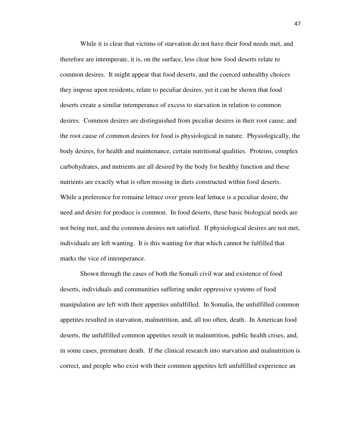While it is clear that victims of starvation do not have their food needs met, and therefore are intemperate, it is, on the surface, less clear how food deserts relate to common desires. It might appear that food deserts, and the coerced unhealthy choices they impose upon residents, relate to peculiar desires, yet it can be shown that food deserts create a similar intemperance of excess to starvation in relation to common desires. Common desires are distinguished from peculiar desires in their root cause, and the root cause of common desires for food is physiological in nature. Physiologically, the body desires, for health and maintenance, certain nutritional qualities. Proteins, complex carbohydrates, and nutrients are all desired by the body for healthy function and these nutrients are exactly what is often missing in diets constructed within food deserts. While a preference for romaine lettuce over green-leaf lettuce is a peculiar desire, the need and desire for produce is common. In food deserts, these basic biological needs are not being met, and the common desires not satisfied. If physiological desires are not met, individuals are left wanting. It is this wanting for that which cannot be fulfilled that marks the vice of intemperance.

 Shown through the cases of both the Somali civil war and existence of food deserts, individuals and communities suffering under oppressive systems of food manipulation are left with their appetites unfulfilled. In Somalia, the unfulfilled common appetites resulted in starvation, malnutrition, and, all too often, death. In American food deserts, the unfulfilled common appetites result in malnutrition, public health crises, and, in some cases, premature death. If the clinical research into starvation and malnutrition is correct, and people who exist with their common appetites left unfulfilled experience an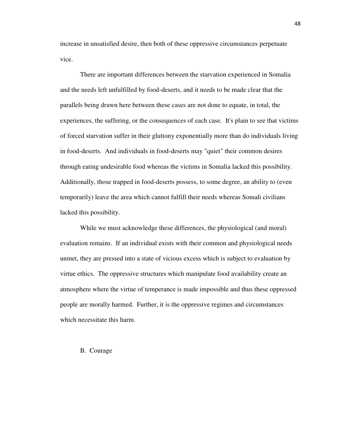increase in unsatisfied desire, then both of these oppressive circumstances perpetuate vice.

 There are important differences between the starvation experienced in Somalia and the needs left unfulfilled by food-deserts, and it needs to be made clear that the parallels being drawn here between these cases are not done to equate, in total, the experiences, the suffering, or the consequences of each case. It's plain to see that victims of forced starvation suffer in their gluttony exponentially more than do individuals living in food-deserts. And individuals in food-deserts may "quiet" their common desires through eating undesirable food whereas the victims in Somalia lacked this possibility. Additionally, those trapped in food-deserts possess, to some degree, an ability to (even temporarily) leave the area which cannot fulfill their needs whereas Somali civilians lacked this possibility.

 While we must acknowledge these differences, the physiological (and moral) evaluation remains. If an individual exists with their common and physiological needs unmet, they are pressed into a state of vicious excess which is subject to evaluation by virtue ethics. The oppressive structures which manipulate food availability create an atmosphere where the virtue of temperance is made impossible and thus these oppressed people are morally harmed. Further, it is the oppressive regimes and circumstances which necessitate this harm.

#### B. Courage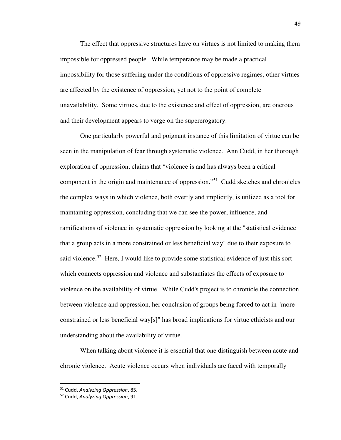The effect that oppressive structures have on virtues is not limited to making them impossible for oppressed people. While temperance may be made a practical impossibility for those suffering under the conditions of oppressive regimes, other virtues are affected by the existence of oppression, yet not to the point of complete unavailability. Some virtues, due to the existence and effect of oppression, are onerous and their development appears to verge on the supererogatory.

 One particularly powerful and poignant instance of this limitation of virtue can be seen in the manipulation of fear through systematic violence. Ann Cudd, in her thorough exploration of oppression, claims that "violence is and has always been a critical component in the origin and maintenance of oppression."<sup>51</sup> Cudd sketches and chronicles the complex ways in which violence, both overtly and implicitly, is utilized as a tool for maintaining oppression, concluding that we can see the power, influence, and ramifications of violence in systematic oppression by looking at the "statistical evidence that a group acts in a more constrained or less beneficial way" due to their exposure to said violence.<sup>52</sup> Here, I would like to provide some statistical evidence of just this sort which connects oppression and violence and substantiates the effects of exposure to violence on the availability of virtue. While Cudd's project is to chronicle the connection between violence and oppression, her conclusion of groups being forced to act in "more constrained or less beneficial way[s]" has broad implications for virtue ethicists and our understanding about the availability of virtue.

 When talking about violence it is essential that one distinguish between acute and chronic violence. Acute violence occurs when individuals are faced with temporally

<sup>51</sup> Cudd, *Analyzing Oppression*, 85.

<sup>52</sup> Cudd, *Analyzing Oppression*, 91.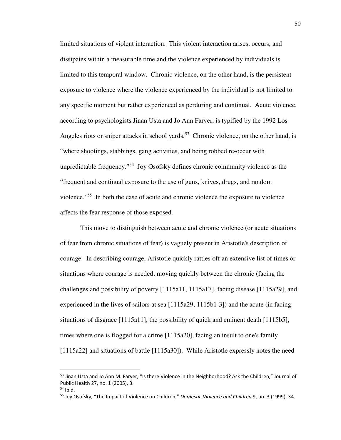limited situations of violent interaction. This violent interaction arises, occurs, and dissipates within a measurable time and the violence experienced by individuals is limited to this temporal window. Chronic violence, on the other hand, is the persistent exposure to violence where the violence experienced by the individual is not limited to any specific moment but rather experienced as perduring and continual. Acute violence, according to psychologists Jinan Usta and Jo Ann Farver, is typified by the 1992 Los Angeles riots or sniper attacks in school yards.<sup>53</sup> Chronic violence, on the other hand, is "where shootings, stabbings, gang activities, and being robbed re-occur with unpredictable frequency."<sup>54</sup> Joy Osofsky defines chronic community violence as the "frequent and continual exposure to the use of guns, knives, drugs, and random violence."<sup>55</sup> In both the case of acute and chronic violence the exposure to violence affects the fear response of those exposed.

 This move to distinguish between acute and chronic violence (or acute situations of fear from chronic situations of fear) is vaguely present in Aristotle's description of courage. In describing courage, Aristotle quickly rattles off an extensive list of times or situations where courage is needed; moving quickly between the chronic (facing the challenges and possibility of poverty [1115a11, 1115a17], facing disease [1115a29], and experienced in the lives of sailors at sea [1115a29, 1115b1-3]) and the acute (in facing situations of disgrace [1115a11], the possibility of quick and eminent death [1115b5], times where one is flogged for a crime [1115a20], facing an insult to one's family [1115a22] and situations of battle [1115a30]). While Aristotle expressly notes the need

-

<sup>53</sup> Jinan Usta and Jo Ann M. Farver, "Is there Violence in the Neighborhood? Ask the Children," Journal of Public Health 27, no. 1 (2005), 3.

 $54$  Ibid.

<sup>55</sup> Joy Osofsky, "The Impact of Violence on Children," *Domestic Violence and Children* 9, no. 3 (1999), 34.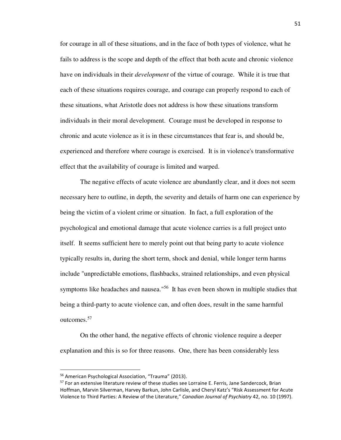for courage in all of these situations, and in the face of both types of violence, what he fails to address is the scope and depth of the effect that both acute and chronic violence have on individuals in their *development* of the virtue of courage. While it is true that each of these situations requires courage, and courage can properly respond to each of these situations, what Aristotle does not address is how these situations transform individuals in their moral development. Courage must be developed in response to chronic and acute violence as it is in these circumstances that fear is, and should be, experienced and therefore where courage is exercised. It is in violence's transformative effect that the availability of courage is limited and warped.

 The negative effects of acute violence are abundantly clear, and it does not seem necessary here to outline, in depth, the severity and details of harm one can experience by being the victim of a violent crime or situation. In fact, a full exploration of the psychological and emotional damage that acute violence carries is a full project unto itself. It seems sufficient here to merely point out that being party to acute violence typically results in, during the short term, shock and denial, while longer term harms include "unpredictable emotions, flashbacks, strained relationships, and even physical symptoms like headaches and nausea."<sup>56</sup> It has even been shown in multiple studies that being a third-party to acute violence can, and often does, result in the same harmful outcomes.<sup>57</sup>

 On the other hand, the negative effects of chronic violence require a deeper explanation and this is so for three reasons. One, there has been considerably less

-

<sup>56</sup> American Psychological Association, "Trauma" (2013).

<sup>&</sup>lt;sup>57</sup> For an extensive literature review of these studies see Lorraine E. Ferris, Jane Sandercock, Brian Hoffman, Marvin Silverman, Harvey Barkun, John Carlisle, and Cheryl Katz's "Risk Assessment for Acute Violence to Third Parties: A Review of the Literature," *Canadian Journal of Psychiatry* 42, no. 10 (1997).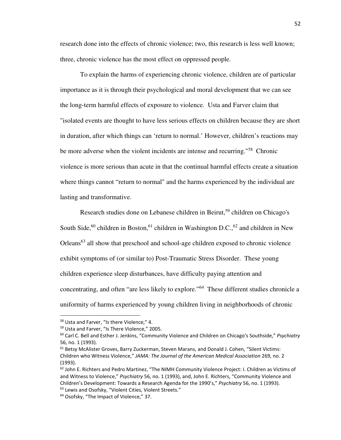research done into the effects of chronic violence; two, this research is less well known; three, chronic violence has the most effect on oppressed people.

 To explain the harms of experiencing chronic violence, children are of particular importance as it is through their psychological and moral development that we can see the long-term harmful effects of exposure to violence. Usta and Farver claim that "isolated events are thought to have less serious effects on children because they are short in duration, after which things can 'return to normal.' However, children's reactions may be more adverse when the violent incidents are intense and recurring.<sup>"58</sup> Chronic violence is more serious than acute in that the continual harmful effects create a situation where things cannot "return to normal" and the harms experienced by the individual are lasting and transformative.

Research studies done on Lebanese children in Beirut,<sup>59</sup> children on Chicago's South Side,<sup>60</sup> children in Boston,<sup>61</sup> children in Washington D.C.,<sup>62</sup> and children in New Orleans<sup>63</sup> all show that preschool and school-age children exposed to chronic violence exhibit symptoms of (or similar to) Post-Traumatic Stress Disorder. These young children experience sleep disturbances, have difficulty paying attention and concentrating, and often "are less likely to explore."<sup>64</sup> These different studies chronicle a uniformity of harms experienced by young children living in neighborhoods of chronic

<sup>&</sup>lt;sup>58</sup> Usta and Farver, "Is there Violence," 4.

<sup>59</sup> Usta and Farver, "Is There Violence," 2005.

<sup>60</sup> Carl C. Bell and Esther J. Jenkins, "Community Violence and Children on Chicago's Southside," *Psychiatry* 56, no. 1 (1993).

<sup>61</sup> Betsy McAlister Groves, Barry Zuckerman, Steven Marans, and Donald J. Cohen, "Silent Victims: Children who Witness Violence," *JAMA: The Journal of the American Medical Association* 269, no. 2 (1993).

<sup>&</sup>lt;sup>62</sup> John E. Richters and Pedro Martinez, "The NIMH Community Violence Project: I. Children as Victims of and Witness to Violence," *Psychiatry* 56, no. 1 (1993), and, John E. Richters, "Community Violence and Children's Development: Towards a Research Agenda for the 1990's," *Psychiatry* 56, no. 1 (1993). <sup>63</sup> Lewis and Osofsky, "Violent Cities, Violent Streets."

<sup>&</sup>lt;sup>64</sup> Osofsky, "The Impact of Violence," 37.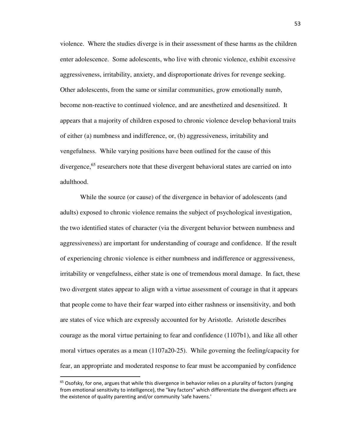violence. Where the studies diverge is in their assessment of these harms as the children enter adolescence. Some adolescents, who live with chronic violence, exhibit excessive aggressiveness, irritability, anxiety, and disproportionate drives for revenge seeking. Other adolescents, from the same or similar communities, grow emotionally numb, become non-reactive to continued violence, and are anesthetized and desensitized. It appears that a majority of children exposed to chronic violence develop behavioral traits of either (a) numbness and indifference, or, (b) aggressiveness, irritability and vengefulness. While varying positions have been outlined for the cause of this divergence, $65$  researchers note that these divergent behavioral states are carried on into adulthood.

 While the source (or cause) of the divergence in behavior of adolescents (and adults) exposed to chronic violence remains the subject of psychological investigation, the two identified states of character (via the divergent behavior between numbness and aggressiveness) are important for understanding of courage and confidence. If the result of experiencing chronic violence is either numbness and indifference or aggressiveness, irritability or vengefulness, either state is one of tremendous moral damage. In fact, these two divergent states appear to align with a virtue assessment of courage in that it appears that people come to have their fear warped into either rashness or insensitivity, and both are states of vice which are expressly accounted for by Aristotle. Aristotle describes courage as the moral virtue pertaining to fear and confidence (1107b1), and like all other moral virtues operates as a mean (1107a20-25). While governing the feeling/capacity for fear, an appropriate and moderated response to fear must be accompanied by confidence

 $65$  Osofsky, for one, argues that while this divergence in behavior relies on a plurality of factors (ranging from emotional sensitivity to intelligence), the "key factors" which differentiate the divergent effects are the existence of quality parenting and/or community 'safe havens.'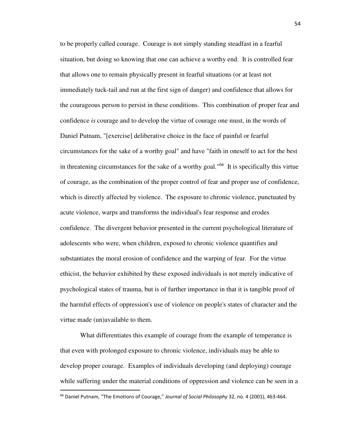to be properly called courage. Courage is not simply standing steadfast in a fearful situation, but doing so knowing that one can achieve a worthy end. It is controlled fear that allows one to remain physically present in fearful situations (or at least not immediately tuck-tail and run at the first sign of danger) and confidence that allows for the courageous person to persist in these conditions. This combination of proper fear and confidence *is* courage and to develop the virtue of courage one must, in the words of Daniel Putnam, "[exercise] deliberative choice in the face of painful or fearful circumstances for the sake of a worthy goal" and have "faith in oneself to act for the best in threatening circumstances for the sake of a worthy goal."<sup>66</sup> It is specifically this virtue of courage, as the combination of the proper control of fear and proper use of confidence, which is directly affected by violence. The exposure to chronic violence, punctuated by acute violence, warps and transforms the individual's fear response and erodes confidence. The divergent behavior presented in the current psychological literature of adolescents who were, when children, exposed to chronic violence quantifies and substantiates the moral erosion of confidence and the warping of fear. For the virtue ethicist, the behavior exhibited by these exposed individuals is not merely indicative of psychological states of trauma, but is of further importance in that it is tangible proof of the harmful effects of oppression's use of violence on people's states of character and the virtue made (un)available to them.

 What differentiates this example of courage from the example of temperance is that even with prolonged exposure to chronic violence, individuals may be able to develop proper courage. Examples of individuals developing (and deploying) courage while suffering under the material conditions of oppression and violence can be seen in a

<sup>66</sup> Daniel Putnam, "The Emotions of Courage," *Journal of Social Philosophy* 32, no. 4 (2001), 463-464.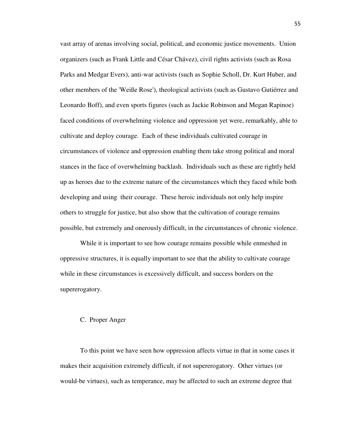vast array of arenas involving social, political, and economic justice movements. Union organizers (such as Frank Little and César Chávez), civil rights activists (such as Rosa Parks and Medgar Evers), anti-war activists (such as Sophie Scholl, Dr. Kurt Huber, and other members of the 'Weiße Rose'), theological activists (such as Gustavo Gutiérrez and Leonardo Boff), and even sports figures (such as Jackie Robinson and Megan Rapinoe) faced conditions of overwhelming violence and oppression yet were, remarkably, able to cultivate and deploy courage. Each of these individuals cultivated courage in circumstances of violence and oppression enabling them take strong political and moral stances in the face of overwhelming backlash. Individuals such as these are rightly held up as heroes due to the extreme nature of the circumstances which they faced while both developing and using their courage. These heroic individuals not only help inspire others to struggle for justice, but also show that the cultivation of courage remains possible, but extremely and onerously difficult, in the circumstances of chronic violence.

While it is important to see how courage remains possible while enmeshed in oppressive structures, it is equally important to see that the ability to cultivate courage while in these circumstances is excessively difficult, and success borders on the supererogatory.

#### C. Proper Anger

 To this point we have seen how oppression affects virtue in that in some cases it makes their acquisition extremely difficult, if not supererogatory. Other virtues (or would-be virtues), such as temperance, may be affected to such an extreme degree that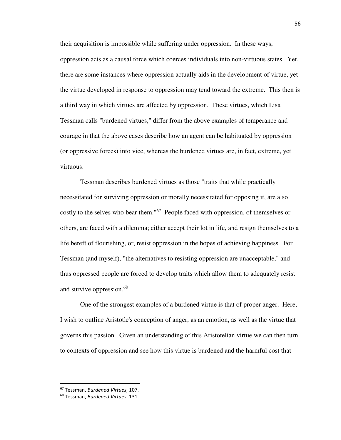their acquisition is impossible while suffering under oppression. In these ways, oppression acts as a causal force which coerces individuals into non-virtuous states. Yet, there are some instances where oppression actually aids in the development of virtue, yet the virtue developed in response to oppression may tend toward the extreme. This then is a third way in which virtues are affected by oppression. These virtues, which Lisa Tessman calls "burdened virtues," differ from the above examples of temperance and courage in that the above cases describe how an agent can be habituated by oppression (or oppressive forces) into vice, whereas the burdened virtues are, in fact, extreme, yet virtuous.

 Tessman describes burdened virtues as those "traits that while practically necessitated for surviving oppression or morally necessitated for opposing it, are also costly to the selves who bear them."<sup>67</sup> People faced with oppression, of themselves or others, are faced with a dilemma; either accept their lot in life, and resign themselves to a life bereft of flourishing, or, resist oppression in the hopes of achieving happiness. For Tessman (and myself), "the alternatives to resisting oppression are unacceptable," and thus oppressed people are forced to develop traits which allow them to adequately resist and survive oppression.<sup>68</sup>

 One of the strongest examples of a burdened virtue is that of proper anger. Here, I wish to outline Aristotle's conception of anger, as an emotion, as well as the virtue that governs this passion. Given an understanding of this Aristotelian virtue we can then turn to contexts of oppression and see how this virtue is burdened and the harmful cost that

<sup>67</sup> Tessman, *Burdened Virtues*, 107.

<sup>68</sup> Tessman, *Burdened Virtues*, 131.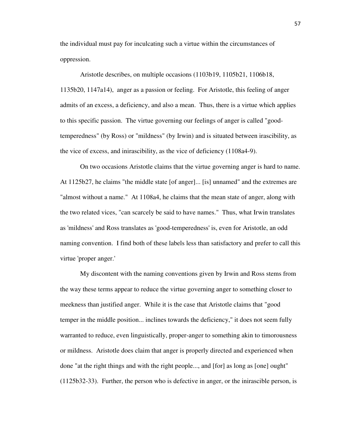the individual must pay for inculcating such a virtue within the circumstances of oppression.

 Aristotle describes, on multiple occasions (1103b19, 1105b21, 1106b18, 1135b20, 1147a14), anger as a passion or feeling. For Aristotle, this feeling of anger admits of an excess, a deficiency, and also a mean. Thus, there is a virtue which applies to this specific passion. The virtue governing our feelings of anger is called "goodtemperedness" (by Ross) or "mildness" (by Irwin) and is situated between irascibility, as the vice of excess, and inirascibility, as the vice of deficiency (1108a4-9).

 On two occasions Aristotle claims that the virtue governing anger is hard to name. At 1125b27, he claims "the middle state [of anger]... [is] unnamed" and the extremes are "almost without a name." At 1108a4, he claims that the mean state of anger, along with the two related vices, "can scarcely be said to have names." Thus, what Irwin translates as 'mildness' and Ross translates as 'good-temperedness' is, even for Aristotle, an odd naming convention. I find both of these labels less than satisfactory and prefer to call this virtue 'proper anger.'

 My discontent with the naming conventions given by Irwin and Ross stems from the way these terms appear to reduce the virtue governing anger to something closer to meekness than justified anger. While it is the case that Aristotle claims that "good temper in the middle position... inclines towards the deficiency," it does not seem fully warranted to reduce, even linguistically, proper-anger to something akin to timorousness or mildness. Aristotle does claim that anger is properly directed and experienced when done "at the right things and with the right people..., and [for] as long as [one] ought" (1125b32-33). Further, the person who is defective in anger, or the inirascible person, is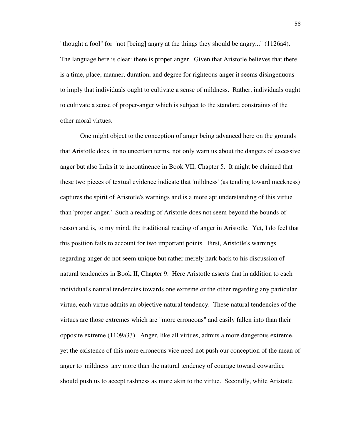"thought a fool" for "not [being] angry at the things they should be angry..." (1126a4). The language here is clear: there is proper anger. Given that Aristotle believes that there is a time, place, manner, duration, and degree for righteous anger it seems disingenuous to imply that individuals ought to cultivate a sense of mildness. Rather, individuals ought to cultivate a sense of proper-anger which is subject to the standard constraints of the other moral virtues.

 One might object to the conception of anger being advanced here on the grounds that Aristotle does, in no uncertain terms, not only warn us about the dangers of excessive anger but also links it to incontinence in Book VII, Chapter 5. It might be claimed that these two pieces of textual evidence indicate that 'mildness' (as tending toward meekness) captures the spirit of Aristotle's warnings and is a more apt understanding of this virtue than 'proper-anger.' Such a reading of Aristotle does not seem beyond the bounds of reason and is, to my mind, the traditional reading of anger in Aristotle. Yet, I do feel that this position fails to account for two important points. First, Aristotle's warnings regarding anger do not seem unique but rather merely hark back to his discussion of natural tendencies in Book II, Chapter 9. Here Aristotle asserts that in addition to each individual's natural tendencies towards one extreme or the other regarding any particular virtue, each virtue admits an objective natural tendency. These natural tendencies of the virtues are those extremes which are "more erroneous" and easily fallen into than their opposite extreme (1109a33). Anger, like all virtues, admits a more dangerous extreme, yet the existence of this more erroneous vice need not push our conception of the mean of anger to 'mildness' any more than the natural tendency of courage toward cowardice should push us to accept rashness as more akin to the virtue. Secondly, while Aristotle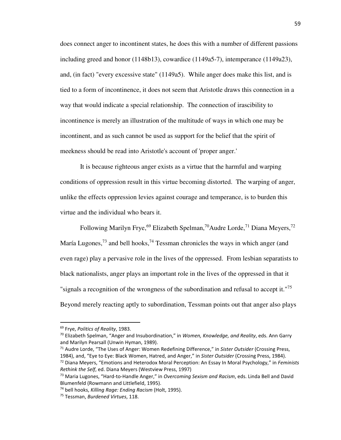does connect anger to incontinent states, he does this with a number of different passions including greed and honor (1148b13), cowardice (1149a5-7), intemperance (1149a23), and, (in fact) "every excessive state" (1149a5). While anger does make this list, and is tied to a form of incontinence, it does not seem that Aristotle draws this connection in a way that would indicate a special relationship. The connection of irascibility to incontinence is merely an illustration of the multitude of ways in which one may be incontinent, and as such cannot be used as support for the belief that the spirit of meekness should be read into Aristotle's account of 'proper anger.'

 It is because righteous anger exists as a virtue that the harmful and warping conditions of oppression result in this virtue becoming distorted. The warping of anger, unlike the effects oppression levies against courage and temperance, is to burden this virtue and the individual who bears it.

Following Marilyn Frye,<sup>69</sup> Elizabeth Spelman,<sup>70</sup>Audre Lorde,<sup>71</sup> Diana Meyers,<sup>72</sup> María Lugones,  $^{73}$  and bell hooks,  $^{74}$  Tessman chronicles the ways in which anger (and even rage) play a pervasive role in the lives of the oppressed. From lesbian separatists to black nationalists, anger plays an important role in the lives of the oppressed in that it "signals a recognition of the wrongness of the subordination and refusal to accept it."<sup>75</sup> Beyond merely reacting aptly to subordination, Tessman points out that anger also plays

<sup>69</sup> Frye, *Politics of Reality*, 1983.

<sup>70</sup> Elizabeth Spelman, "Anger and Insubordination," in *Women, Knowledge, and Reality*, eds. Ann Garry and Marilyn Pearsall (Unwin Hyman, 1989).

<sup>71</sup> Audre Lorde, "The Uses of Anger: Women Redefining Difference," in *Sister Outsider* (Crossing Press,

<sup>1984),</sup> and, "Eye to Eye: Black Women, Hatred, and Anger," in *Sister Outsider* (Crossing Press, 1984). <sup>72</sup> Diana Meyers, "Emotions and Heterodox Moral Perception: An Essay In Moral Psychology," in *Feminists Rethink the Self*, ed. Diana Meyers (Westview Press, 1997)

<sup>73</sup> Maria Lugones, "Hard-to-Handle Anger," in *Overcoming Sexism and Racism*, eds. Linda Bell and David Blumenfeld (Rowmann and Littlefield, 1995).

<sup>74</sup> bell hooks, *Killing Rage: Ending Racism* (Holt, 1995).

<sup>75</sup> Tessman, *Burdened Virtues*, 118.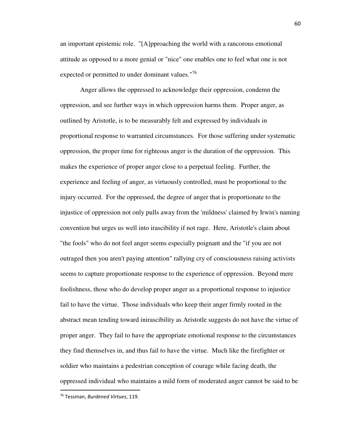an important epistemic role. "[A]pproaching the world with a rancorous emotional attitude as opposed to a more genial or "nice" one enables one to feel what one is not expected or permitted to under dominant values."<sup>76</sup>

 Anger allows the oppressed to acknowledge their oppression, condemn the oppression, and see further ways in which oppression harms them. Proper anger, as outlined by Aristotle, is to be measurably felt and expressed by individuals in proportional response to warranted circumstances. For those suffering under systematic oppression, the proper time for righteous anger is the duration of the oppression. This makes the experience of proper anger close to a perpetual feeling. Further, the experience and feeling of anger, as virtuously controlled, must be proportional to the injury occurred. For the oppressed, the degree of anger that is proportionate to the injustice of oppression not only pulls away from the 'mildness' claimed by Irwin's naming convention but urges us well into irascibility if not rage. Here, Aristotle's claim about "the fools" who do not feel anger seems especially poignant and the "if you are not outraged then you aren't paying attention" rallying cry of consciousness raising activists seems to capture proportionate response to the experience of oppression. Beyond mere foolishness, those who do develop proper anger as a proportional response to injustice fail to have the virtue. Those individuals who keep their anger firmly rooted in the abstract mean tending toward inirascibility as Aristotle suggests do not have the virtue of proper anger. They fail to have the appropriate emotional response to the circumstances they find themselves in, and thus fail to have the virtue. Much like the firefighter or soldier who maintains a pedestrian conception of courage while facing death, the oppressed individual who maintains a mild form of moderated anger cannot be said to be

.<br>-

<sup>76</sup> Tessman, *Burdened Virtues*, 119.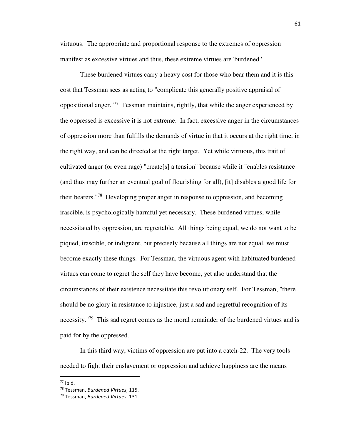virtuous. The appropriate and proportional response to the extremes of oppression manifest as excessive virtues and thus, these extreme virtues are 'burdened.'

 These burdened virtues carry a heavy cost for those who bear them and it is this cost that Tessman sees as acting to "complicate this generally positive appraisal of oppositional anger."<sup>77</sup> Tessman maintains, rightly, that while the anger experienced by the oppressed is excessive it is not extreme. In fact, excessive anger in the circumstances of oppression more than fulfills the demands of virtue in that it occurs at the right time, in the right way, and can be directed at the right target. Yet while virtuous, this trait of cultivated anger (or even rage) "create[s] a tension" because while it "enables resistance (and thus may further an eventual goal of flourishing for all), [it] disables a good life for their bearers."<sup>78</sup> Developing proper anger in response to oppression, and becoming irascible, is psychologically harmful yet necessary. These burdened virtues, while necessitated by oppression, are regrettable. All things being equal, we do not want to be piqued, irascible, or indignant, but precisely because all things are not equal, we must become exactly these things. For Tessman, the virtuous agent with habituated burdened virtues can come to regret the self they have become, yet also understand that the circumstances of their existence necessitate this revolutionary self. For Tessman, "there should be no glory in resistance to injustice, just a sad and regretful recognition of its necessity."<sup>79</sup> This sad regret comes as the moral remainder of the burdened virtues and is paid for by the oppressed.

 In this third way, victims of oppression are put into a catch-22. The very tools needed to fight their enslavement or oppression and achieve happiness are the means

.<br>-

 $77$  Ibid.

<sup>78</sup> Tessman, *Burdened Virtues*, 115.

<sup>79</sup> Tessman, *Burdened Virtues*, 131.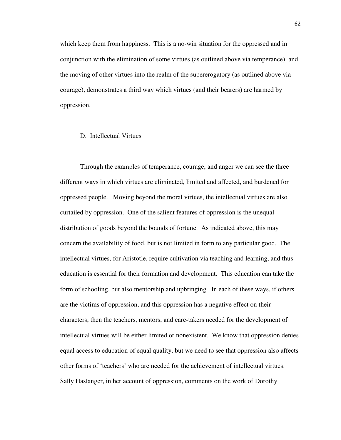which keep them from happiness. This is a no-win situation for the oppressed and in conjunction with the elimination of some virtues (as outlined above via temperance), and the moving of other virtues into the realm of the supererogatory (as outlined above via courage), demonstrates a third way which virtues (and their bearers) are harmed by oppression.

### D. Intellectual Virtues

 Through the examples of temperance, courage, and anger we can see the three different ways in which virtues are eliminated, limited and affected, and burdened for oppressed people. Moving beyond the moral virtues, the intellectual virtues are also curtailed by oppression. One of the salient features of oppression is the unequal distribution of goods beyond the bounds of fortune. As indicated above, this may concern the availability of food, but is not limited in form to any particular good. The intellectual virtues, for Aristotle, require cultivation via teaching and learning, and thus education is essential for their formation and development. This education can take the form of schooling, but also mentorship and upbringing. In each of these ways, if others are the victims of oppression, and this oppression has a negative effect on their characters, then the teachers, mentors, and care-takers needed for the development of intellectual virtues will be either limited or nonexistent. We know that oppression denies equal access to education of equal quality, but we need to see that oppression also affects other forms of 'teachers' who are needed for the achievement of intellectual virtues. Sally Haslanger, in her account of oppression, comments on the work of Dorothy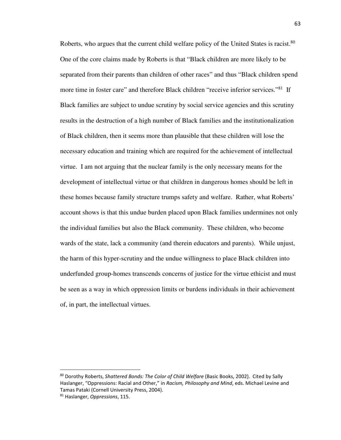Roberts, who argues that the current child welfare policy of the United States is racist.<sup>80</sup> One of the core claims made by Roberts is that "Black children are more likely to be separated from their parents than children of other races" and thus "Black children spend more time in foster care" and therefore Black children "receive inferior services."<sup>81</sup> If Black families are subject to undue scrutiny by social service agencies and this scrutiny results in the destruction of a high number of Black families and the institutionalization of Black children, then it seems more than plausible that these children will lose the necessary education and training which are required for the achievement of intellectual virtue. I am not arguing that the nuclear family is the only necessary means for the development of intellectual virtue or that children in dangerous homes should be left in these homes because family structure trumps safety and welfare. Rather, what Roberts' account shows is that this undue burden placed upon Black families undermines not only the individual families but also the Black community. These children, who become wards of the state, lack a community (and therein educators and parents). While unjust, the harm of this hyper-scrutiny and the undue willingness to place Black children into underfunded group-homes transcends concerns of justice for the virtue ethicist and must be seen as a way in which oppression limits or burdens individuals in their achievement of, in part, the intellectual virtues.

-

<sup>80</sup> Dorothy Roberts, *Shattered Bonds: The Color of Child Welfare* (Basic Books, 2002). Cited by Sally Haslanger, "Oppressions: Racial and Other," in *Racism, Philosophy and Mind*, eds. Michael Levine and Tamas Pataki (Cornell University Press, 2004).

<sup>81</sup> Haslanger, *Oppressions*, 115.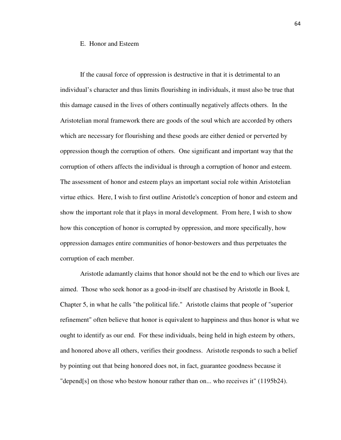#### E. Honor and Esteem

 If the causal force of oppression is destructive in that it is detrimental to an individual's character and thus limits flourishing in individuals, it must also be true that this damage caused in the lives of others continually negatively affects others. In the Aristotelian moral framework there are goods of the soul which are accorded by others which are necessary for flourishing and these goods are either denied or perverted by oppression though the corruption of others. One significant and important way that the corruption of others affects the individual is through a corruption of honor and esteem. The assessment of honor and esteem plays an important social role within Aristotelian virtue ethics. Here, I wish to first outline Aristotle's conception of honor and esteem and show the important role that it plays in moral development. From here, I wish to show how this conception of honor is corrupted by oppression, and more specifically, how oppression damages entire communities of honor-bestowers and thus perpetuates the corruption of each member.

 Aristotle adamantly claims that honor should not be the end to which our lives are aimed. Those who seek honor as a good-in-itself are chastised by Aristotle in Book I, Chapter 5, in what he calls "the political life." Aristotle claims that people of "superior refinement" often believe that honor is equivalent to happiness and thus honor is what we ought to identify as our end. For these individuals, being held in high esteem by others, and honored above all others, verifies their goodness. Aristotle responds to such a belief by pointing out that being honored does not, in fact, guarantee goodness because it "depend[s] on those who bestow honour rather than on... who receives it" (1195b24).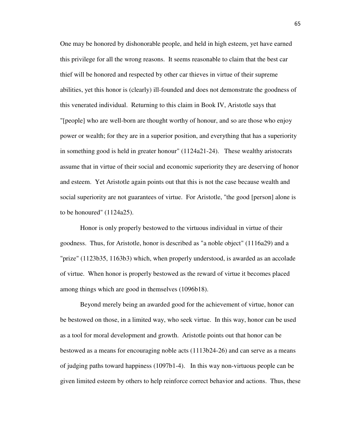One may be honored by dishonorable people, and held in high esteem, yet have earned this privilege for all the wrong reasons. It seems reasonable to claim that the best car thief will be honored and respected by other car thieves in virtue of their supreme abilities, yet this honor is (clearly) ill-founded and does not demonstrate the goodness of this venerated individual. Returning to this claim in Book IV, Aristotle says that "[people] who are well-born are thought worthy of honour, and so are those who enjoy power or wealth; for they are in a superior position, and everything that has a superiority in something good is held in greater honour" (1124a21-24). These wealthy aristocrats assume that in virtue of their social and economic superiority they are deserving of honor and esteem. Yet Aristotle again points out that this is not the case because wealth and social superiority are not guarantees of virtue. For Aristotle, "the good [person] alone is to be honoured" (1124a25).

 Honor is only properly bestowed to the virtuous individual in virtue of their goodness. Thus, for Aristotle, honor is described as "a noble object" (1116a29) and a "prize" (1123b35, 1163b3) which, when properly understood, is awarded as an accolade of virtue. When honor is properly bestowed as the reward of virtue it becomes placed among things which are good in themselves (1096b18).

 Beyond merely being an awarded good for the achievement of virtue, honor can be bestowed on those, in a limited way, who seek virtue. In this way, honor can be used as a tool for moral development and growth. Aristotle points out that honor can be bestowed as a means for encouraging noble acts (1113b24-26) and can serve as a means of judging paths toward happiness (1097b1-4). In this way non-virtuous people can be given limited esteem by others to help reinforce correct behavior and actions. Thus, these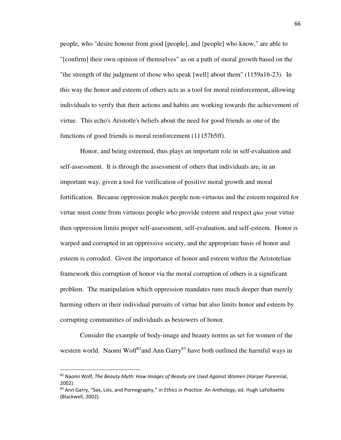people, who "desire honour from good [people], and [people] who know," are able to "[confirm] their own opinion of themselves" as on a path of moral growth based on the "the strength of the judgment of those who speak [well] about them" (1159a16-23). In this way the honor and esteem of others acts as a tool for moral reinforcement, allowing individuals to verify that their actions and habits are working towards the achievement of virtue. This echo's Aristotle's beliefs about the need for good friends as one of the functions of good friends is moral reinforcement (11157b5ff).

 Honor, and being esteemed, thus plays an important role in self-evaluation and self-assessment. It is through the assessment of others that individuals are, in an important way, given a tool for verification of positive moral growth and moral fortification. Because oppression makes people non-virtuous and the esteem required for virtue must come from virtuous people who provide esteem and respect *qua* your virtue then oppression limits proper self-assessment, self-evaluation, and self-esteem. Honor is warped and corrupted in an oppressive society, and the appropriate basis of honor and esteem is corroded. Given the importance of honor and esteem within the Aristotelian framework this corruption of honor via the moral corruption of others is a significant problem. The manipulation which oppression mandates runs much deeper than merely harming others in their individual pursuits of virtue but also limits honor and esteem by corrupting communities of individuals as bestowers of honor.

 Consider the example of body-image and beauty norms as set for women of the western world. Naomi Wolf<sup>82</sup>and Ann Garry<sup>83</sup> have both outlined the harmful ways in

-

<sup>82</sup> Naomi Wolf, *The Beauty Myth: How Images of Beauty are Used Against Women* (Harper Parennial, 2002).

<sup>83</sup> Ann Garry, "Sex, Lies, and Pornography," in *Ethics in Practice: An Anthology*, ed. Hugh LaFolloette (Blackwell, 2002).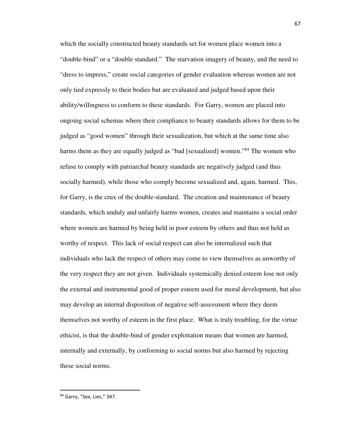which the socially constructed beauty standards set for women place women into a "double-bind" or a "double standard." The starvation imagery of beauty, and the need to "dress to impress," create social categories of gender evaluation whereas women are not only tied expressly to their bodies but are evaluated and judged based upon their ability/willingness to conform to these standards. For Garry, women are placed into ongoing social schemas where their compliance to beauty standards allows for them to be judged as "good women" through their sexualization, but which at the same time also harms them as they are equally judged as "bad [sexualized] women."<sup>84</sup> The women who refuse to comply with patriarchal beauty standards are negatively judged (and thus socially harmed), while those who comply become sexualized and, again, harmed. This, for Garry, is the crux of the double-standard. The creation and maintenance of beauty standards, which unduly and unfairly harms women, creates and maintains a social order where women are harmed by being held in poor esteem by others and thus not held as worthy of respect. This lack of social respect can also be internalized such that individuals who lack the respect of others may come to view themselves as unworthy of the very respect they are not given. Individuals systemically denied esteem lose not only the external and instrumental good of proper esteem used for moral development, but also may develop an internal disposition of negative self-assessment where they deem themselves not worthy of esteem in the first place. What is truly troubling, for the virtue ethicist, is that the double-bind of gender exploitation means that women are harmed, internally and externally, by conforming to social norms but also harmed by rejecting these social norms.

.<br>-

<sup>84</sup> Garry, "Sex, Lies," 347.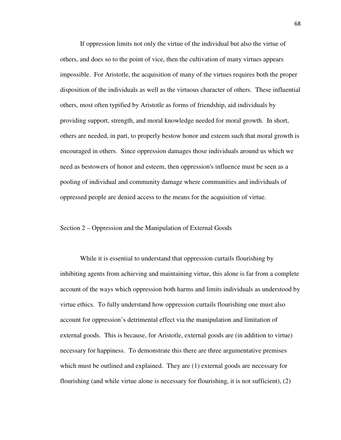If oppression limits not only the virtue of the individual but also the virtue of others, and does so to the point of vice, then the cultivation of many virtues appears impossible. For Aristotle, the acquisition of many of the virtues requires both the proper disposition of the individuals as well as the virtuous character of others. These influential others, most often typified by Aristotle as forms of friendship, aid individuals by providing support, strength, and moral knowledge needed for moral growth. In short, others are needed, in part, to properly bestow honor and esteem such that moral growth is encouraged in others. Since oppression damages those individuals around us which we need as bestowers of honor and esteem, then oppression's influence must be seen as a pooling of individual and community damage where communities and individuals of oppressed people are denied access to the means for the acquisition of virtue.

## Section 2 – Oppression and the Manipulation of External Goods

 While it is essential to understand that oppression curtails flourishing by inhibiting agents from achieving and maintaining virtue, this alone is far from a complete account of the ways which oppression both harms and limits individuals as understood by virtue ethics. To fully understand how oppression curtails flourishing one must also account for oppression's detrimental effect via the manipulation and limitation of external goods. This is because, for Aristotle, external goods are (in addition to virtue) necessary for happiness. To demonstrate this there are three argumentative premises which must be outlined and explained. They are (1) external goods are necessary for flourishing (and while virtue alone is necessary for flourishing, it is not sufficient), (2)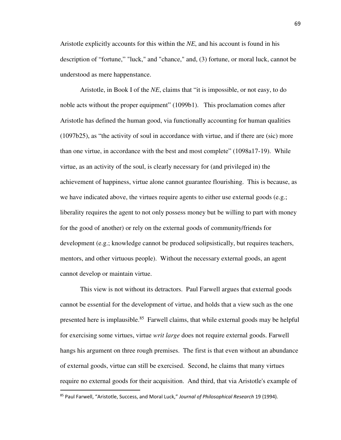Aristotle explicitly accounts for this within the *NE*, and his account is found in his description of "fortune," "luck," and "chance," and, (3) fortune, or moral luck, cannot be understood as mere happenstance.

 Aristotle, in Book I of the *NE*, claims that "it is impossible, or not easy, to do noble acts without the proper equipment" (1099b1). This proclamation comes after Aristotle has defined the human good, via functionally accounting for human qualities (1097b25), as "the activity of soul in accordance with virtue, and if there are (sic) more than one virtue, in accordance with the best and most complete" (1098a17-19). While virtue, as an activity of the soul, is clearly necessary for (and privileged in) the achievement of happiness, virtue alone cannot guarantee flourishing. This is because, as we have indicated above, the virtues require agents to either use external goods (e.g.; liberality requires the agent to not only possess money but be willing to part with money for the good of another) or rely on the external goods of community/friends for development (e.g.; knowledge cannot be produced solipsistically, but requires teachers, mentors, and other virtuous people). Without the necessary external goods, an agent cannot develop or maintain virtue.

 This view is not without its detractors. Paul Farwell argues that external goods cannot be essential for the development of virtue, and holds that a view such as the one presented here is implausible.<sup>85</sup> Farwell claims, that while external goods may be helpful for exercising some virtues, virtue *writ large* does not require external goods. Farwell hangs his argument on three rough premises. The first is that even without an abundance of external goods, virtue can still be exercised. Second, he claims that many virtues require no external goods for their acquisition. And third, that via Aristotle's example of

.<br>-

<sup>85</sup> Paul Farwell, "Aristotle, Success, and Moral Luck," *Journal of Philosophical Research* 19 (1994).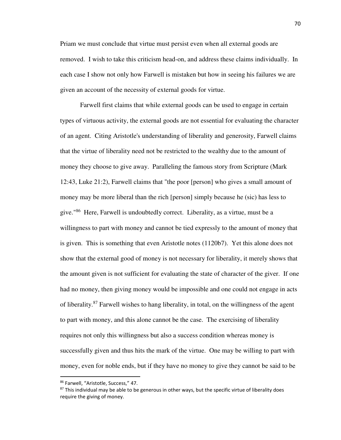Priam we must conclude that virtue must persist even when all external goods are removed. I wish to take this criticism head-on, and address these claims individually. In each case I show not only how Farwell is mistaken but how in seeing his failures we are given an account of the necessity of external goods for virtue.

 Farwell first claims that while external goods can be used to engage in certain types of virtuous activity, the external goods are not essential for evaluating the character of an agent. Citing Aristotle's understanding of liberality and generosity, Farwell claims that the virtue of liberality need not be restricted to the wealthy due to the amount of money they choose to give away. Paralleling the famous story from Scripture (Mark 12:43, Luke 21:2), Farwell claims that "the poor [person] who gives a small amount of money may be more liberal than the rich [person] simply because he (sic) has less to give."<sup>86</sup> Here, Farwell is undoubtedly correct. Liberality, as a virtue, must be a willingness to part with money and cannot be tied expressly to the amount of money that is given. This is something that even Aristotle notes (1120b7). Yet this alone does not show that the external good of money is not necessary for liberality, it merely shows that the amount given is not sufficient for evaluating the state of character of the giver. If one had no money, then giving money would be impossible and one could not engage in acts of liberality.<sup>87</sup> Farwell wishes to hang liberality, in total, on the willingness of the agent to part with money, and this alone cannot be the case. The exercising of liberality requires not only this willingness but also a success condition whereas money is successfully given and thus hits the mark of the virtue. One may be willing to part with money, even for noble ends, but if they have no money to give they cannot be said to be

.<br>-

<sup>86</sup> Farwell, "Aristotle, Success," 47.

<sup>&</sup>lt;sup>87</sup> This individual may be able to be generous in other ways, but the specific virtue of liberality does require the giving of money.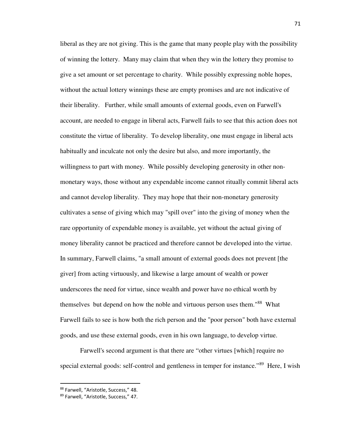liberal as they are not giving. This is the game that many people play with the possibility of winning the lottery. Many may claim that when they win the lottery they promise to give a set amount or set percentage to charity. While possibly expressing noble hopes, without the actual lottery winnings these are empty promises and are not indicative of their liberality. Further, while small amounts of external goods, even on Farwell's account, are needed to engage in liberal acts, Farwell fails to see that this action does not constitute the virtue of liberality. To develop liberality, one must engage in liberal acts habitually and inculcate not only the desire but also, and more importantly, the willingness to part with money. While possibly developing generosity in other nonmonetary ways, those without any expendable income cannot ritually commit liberal acts and cannot develop liberality. They may hope that their non-monetary generosity cultivates a sense of giving which may "spill over" into the giving of money when the rare opportunity of expendable money is available, yet without the actual giving of money liberality cannot be practiced and therefore cannot be developed into the virtue. In summary, Farwell claims, "a small amount of external goods does not prevent [the giver] from acting virtuously, and likewise a large amount of wealth or power underscores the need for virtue, since wealth and power have no ethical worth by themselves but depend on how the noble and virtuous person uses them."<sup>88</sup> What Farwell fails to see is how both the rich person and the "poor person" both have external goods, and use these external goods, even in his own language, to develop virtue.

 Farwell's second argument is that there are "other virtues [which] require no special external goods: self-control and gentleness in temper for instance."<sup>89</sup> Here, I wish

<sup>88</sup> Farwell, "Aristotle, Success," 48.

<sup>89</sup> Farwell, "Aristotle, Success," 47.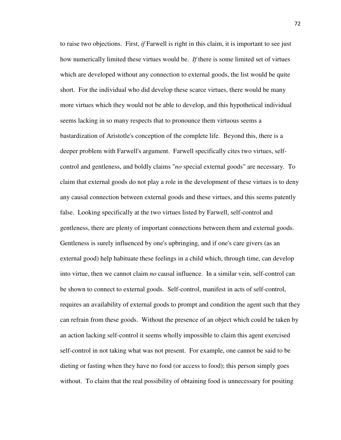to raise two objections. First, *if* Farwell is right in this claim, it is important to see just how numerically limited these virtues would be. *If* there is some limited set of virtues which are developed without any connection to external goods, the list would be quite short. For the individual who did develop these scarce virtues, there would be many more virtues which they would not be able to develop, and this hypothetical individual seems lacking in so many respects that to pronounce them virtuous seems a bastardization of Aristotle's conception of the complete life. Beyond this, there is a deeper problem with Farwell's argument. Farwell specifically cites two virtues, selfcontrol and gentleness, and boldly claims "*no* special external goods" are necessary. To claim that external goods do not play a role in the development of these virtues is to deny any causal connection between external goods and these virtues, and this seems patently false. Looking specifically at the two virtues listed by Farwell, self-control and gentleness, there are plenty of important connections between them and external goods. Gentleness is surely influenced by one's upbringing, and if one's care givers (as an external good) help habituate these feelings in a child which, through time, can develop into virtue, then we cannot claim *no* causal influence. In a similar vein, self-control can be shown to connect to external goods. Self-control, manifest in acts of self-control, requires an availability of external goods to prompt and condition the agent such that they can refrain from these goods. Without the presence of an object which could be taken by an action lacking self-control it seems wholly impossible to claim this agent exercised self-control in not taking what was not present. For example, one cannot be said to be dieting or fasting when they have no food (or access to food); this person simply goes without. To claim that the real possibility of obtaining food is unnecessary for positing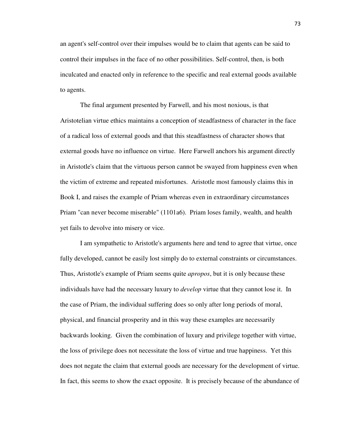an agent's self-control over their impulses would be to claim that agents can be said to control their impulses in the face of no other possibilities. Self-control, then, is both inculcated and enacted only in reference to the specific and real external goods available to agents.

 The final argument presented by Farwell, and his most noxious, is that Aristotelian virtue ethics maintains a conception of steadfastness of character in the face of a radical loss of external goods and that this steadfastness of character shows that external goods have no influence on virtue. Here Farwell anchors his argument directly in Aristotle's claim that the virtuous person cannot be swayed from happiness even when the victim of extreme and repeated misfortunes. Aristotle most famously claims this in Book I, and raises the example of Priam whereas even in extraordinary circumstances Priam "can never become miserable" (1101a6). Priam loses family, wealth, and health yet fails to devolve into misery or vice.

 I am sympathetic to Aristotle's arguments here and tend to agree that virtue, once fully developed, cannot be easily lost simply do to external constraints or circumstances. Thus, Aristotle's example of Priam seems quite *apropos*, but it is only because these individuals have had the necessary luxury to *develop* virtue that they cannot lose it. In the case of Priam, the individual suffering does so only after long periods of moral, physical, and financial prosperity and in this way these examples are necessarily backwards looking. Given the combination of luxury and privilege together with virtue, the loss of privilege does not necessitate the loss of virtue and true happiness. Yet this does not negate the claim that external goods are necessary for the development of virtue. In fact, this seems to show the exact opposite. It is precisely because of the abundance of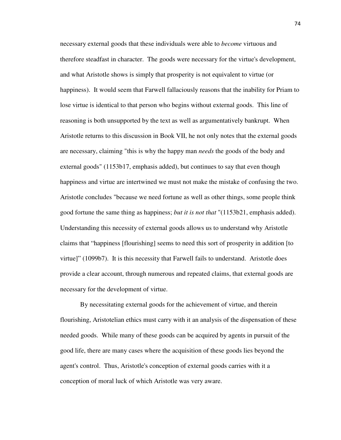necessary external goods that these individuals were able to *become* virtuous and therefore steadfast in character. The goods were necessary for the virtue's development, and what Aristotle shows is simply that prosperity is not equivalent to virtue (or happiness). It would seem that Farwell fallaciously reasons that the inability for Priam to lose virtue is identical to that person who begins without external goods. This line of reasoning is both unsupported by the text as well as argumentatively bankrupt. When Aristotle returns to this discussion in Book VII, he not only notes that the external goods are necessary, claiming "this is why the happy man *needs* the goods of the body and external goods" (1153b17, emphasis added), but continues to say that even though happiness and virtue are intertwined we must not make the mistake of confusing the two. Aristotle concludes "because we need fortune as well as other things, some people think good fortune the same thing as happiness; *but it is not that* "(1153b21, emphasis added). Understanding this necessity of external goods allows us to understand why Aristotle claims that "happiness [flourishing] seems to need this sort of prosperity in addition [to virtue]" (1099b7). It is this necessity that Farwell fails to understand. Aristotle does provide a clear account, through numerous and repeated claims, that external goods are necessary for the development of virtue.

 By necessitating external goods for the achievement of virtue, and therein flourishing, Aristotelian ethics must carry with it an analysis of the dispensation of these needed goods. While many of these goods can be acquired by agents in pursuit of the good life, there are many cases where the acquisition of these goods lies beyond the agent's control. Thus, Aristotle's conception of external goods carries with it a conception of moral luck of which Aristotle was very aware.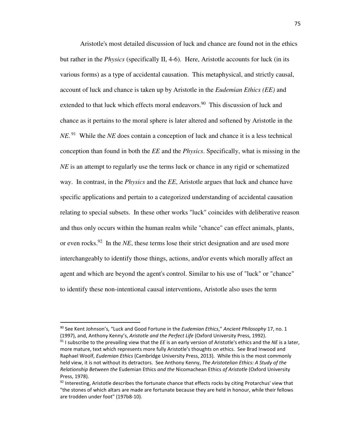Aristotle's most detailed discussion of luck and chance are found not in the ethics but rather in the *Physics* (specifically II, 4-6). Here, Aristotle accounts for luck (in its various forms) as a type of accidental causation. This metaphysical, and strictly causal, account of luck and chance is taken up by Aristotle in the *Eudemian Ethics (EE)* and extended to that luck which effects moral endeavors. <sup>90</sup> This discussion of luck and chance as it pertains to the moral sphere is later altered and softened by Aristotle in the *NE*.<sup>91</sup> While the *NE* does contain a conception of luck and chance it is a less technical conception than found in both the *EE* and the *Physics*. Specifically, what is missing in the *NE* is an attempt to regularly use the terms luck or chance in any rigid or schematized way. In contrast, in the *Physics* and the *EE*, Aristotle argues that luck and chance have specific applications and pertain to a categorized understanding of accidental causation relating to special subsets. In these other works "luck" coincides with deliberative reason and thus only occurs within the human realm while "chance" can effect animals, plants, or even rocks.<sup>92</sup> In the *NE*, these terms lose their strict designation and are used more interchangeably to identify those things, actions, and/or events which morally affect an agent and which are beyond the agent's control. Similar to his use of "luck" or "chance" to identify these non-intentional causal interventions, Aristotle also uses the term

<sup>90</sup> See Kent Johnson's, "Luck and Good Fortune in the *Eudemian Ethics*," *Ancient Philosophy* 17, no. 1 (1997), and, Anthony Kenny's, *Aristotle and the Perfect Life* (Oxford University Press, 1992).

<sup>91</sup> I subscribe to the prevailing view that the *EE* is an early version of Aristotle's ethics and the *NE* is a later, more mature, text which represents more fully Aristotle's thoughts on ethics. See Brad Inwood and Raphael Woolf, *Eudemian Ethics* (Cambridge University Press, 2013). While this is the most commonly held view, it is not without its detractors. See Anthony Kenny, *The Aristotelian Ethics: A Study of the Relationship Between the* Eudemian Ethics *and the* Nicomachean Ethics *of Aristotle* (Oxford University Press, 1978).

 $92$  Interesting, Aristotle describes the fortunate chance that effects rocks by citing Protarchus' view that "the stones of which altars are made are fortunate because they are held in honour, while their fellows are trodden under foot" (197b8-10).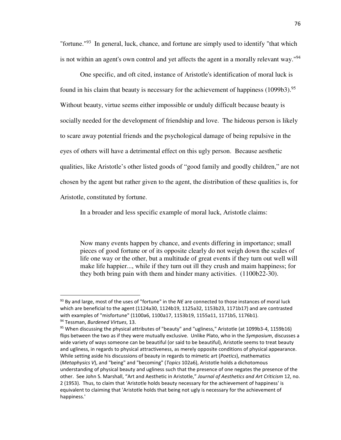"fortune."<sup>93</sup> In general, luck, chance, and fortune are simply used to identify "that which is not within an agent's own control and yet affects the agent in a morally relevant way."<sup>94</sup>

 One specific, and oft cited, instance of Aristotle's identification of moral luck is found in his claim that beauty is necessary for the achievement of happiness  $(1099b3)$ .<sup>95</sup> Without beauty, virtue seems either impossible or unduly difficult because beauty is socially needed for the development of friendship and love. The hideous person is likely to scare away potential friends and the psychological damage of being repulsive in the eyes of others will have a detrimental effect on this ugly person. Because aesthetic qualities, like Aristotle's other listed goods of "good family and goodly children," are not chosen by the agent but rather given to the agent, the distribution of these qualities is, for Aristotle, constituted by fortune.

In a broader and less specific example of moral luck, Aristotle claims:

Now many events happen by chance, and events differing in importance; small pieces of good fortune or of its opposite clearly do not weigh down the scales of life one way or the other, but a multitude of great events if they turn out well will make life happier..., while if they turn out ill they crush and maim happiness; for they both bring pain with them and hinder many activities. (1100b22-30).

-

<sup>93</sup> By and large, most of the uses of "fortune" in the *NE* are connected to those instances of moral luck which are beneficial to the agent (1124a30, 1124b19, 1125a32, 1153b23, 1171b17) and are contrasted with examples of "misfortune" (1100a6, 1100a17, 1153b19, 1155a11, 1171b5, 1176b1). <sup>94</sup> Tessman, *Burdened Virtues*, 13.

<sup>95</sup> When discussing the physical attributes of "beauty" and "ugliness," Aristotle (at 1099b3-4, 1159b16) flips between the two as if they were mutually exclusive. Unlike Plato, who in the *Symposium*, discusses a wide variety of ways someone can be beautiful (or said to be beautiful), Aristotle seems to treat beauty and ugliness, in regards to physical attractiveness, as merely opposite conditions of physical appearance. While setting aside his discussions of beauty in regards to mimetic art (*Poetics*), mathematics (*Metaphysics V*), and "being" and "becoming" (*Topics* 102a6), Aristotle holds a dichotomous understanding of physical beauty and ugliness such that the presence of one negates the presence of the other. See John S. Marshall, "Art and Aesthetic in Aristotle," *Journal of Aesthetics and Art Criticism* 12, no. 2 (1953). Thus, to claim that 'Aristotle holds beauty necessary for the achievement of happiness' is equivalent to claiming that 'Aristotle holds that being not ugly is necessary for the achievement of happiness.'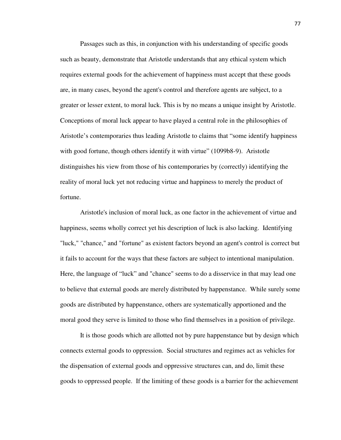Passages such as this, in conjunction with his understanding of specific goods such as beauty, demonstrate that Aristotle understands that any ethical system which requires external goods for the achievement of happiness must accept that these goods are, in many cases, beyond the agent's control and therefore agents are subject, to a greater or lesser extent, to moral luck. This is by no means a unique insight by Aristotle. Conceptions of moral luck appear to have played a central role in the philosophies of Aristotle's contemporaries thus leading Aristotle to claims that "some identify happiness with good fortune, though others identify it with virtue" (1099b8-9). Aristotle distinguishes his view from those of his contemporaries by (correctly) identifying the reality of moral luck yet not reducing virtue and happiness to merely the product of fortune.

 Aristotle's inclusion of moral luck, as one factor in the achievement of virtue and happiness, seems wholly correct yet his description of luck is also lacking. Identifying "luck," "chance," and "fortune" as existent factors beyond an agent's control is correct but it fails to account for the ways that these factors are subject to intentional manipulation. Here, the language of "luck" and "chance" seems to do a disservice in that may lead one to believe that external goods are merely distributed by happenstance. While surely some goods are distributed by happenstance, others are systematically apportioned and the moral good they serve is limited to those who find themselves in a position of privilege.

 It is those goods which are allotted not by pure happenstance but by design which connects external goods to oppression. Social structures and regimes act as vehicles for the dispensation of external goods and oppressive structures can, and do, limit these goods to oppressed people. If the limiting of these goods is a barrier for the achievement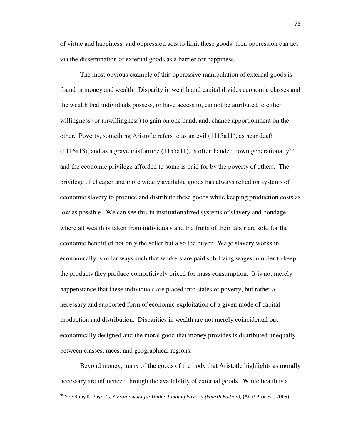of virtue and happiness, and oppression acts to limit these goods, then oppression can act via the dissemination of external goods as a barrier for happiness.

 The most obvious example of this oppressive manipulation of external goods is found in money and wealth. Disparity in wealth and capital divides economic classes and the wealth that individuals possess, or have access to, cannot be attributed to either willingness (or unwillingness) to gain on one hand, and, chance apportionment on the other. Poverty, something Aristotle refers to as an evil (1115a11), as near death (1116a13), and as a grave misfortune (1155a11), is often handed down generationally<sup>96</sup> and the economic privilege afforded to some is paid for by the poverty of others. The privilege of cheaper and more widely available goods has always relied on systems of economic slavery to produce and distribute these goods while keeping production costs as low as possible. We can see this in institutionalized systems of slavery and bondage where all wealth is taken from individuals and the fruits of their labor are sold for the economic benefit of not only the seller but also the buyer. Wage slavery works in, economically, similar ways such that workers are paid sub-living wages in order to keep the products they produce competitively priced for mass consumption. It is not merely happenstance that these individuals are placed into states of poverty, but rather a necessary and supported form of economic exploitation of a given mode of capital production and distribution. Disparities in wealth are not merely coincidental but economically designed and the moral good that money provides is distributed unequally between classes, races, and geographical regions.

 Beyond money, many of the goods of the body that Aristotle highlights as morally necessary are influenced through the availability of external goods. While health is a .<br>-

<sup>96</sup> See Ruby K. Payne's*, A Framework for Understanding Poverty (Fourth Edition),* (Aha! Process, 2005).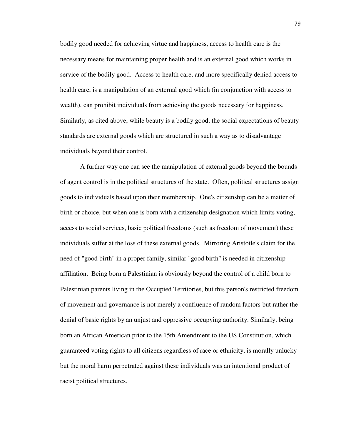bodily good needed for achieving virtue and happiness, access to health care is the necessary means for maintaining proper health and is an external good which works in service of the bodily good. Access to health care, and more specifically denied access to health care, is a manipulation of an external good which (in conjunction with access to wealth), can prohibit individuals from achieving the goods necessary for happiness. Similarly, as cited above, while beauty is a bodily good, the social expectations of beauty standards are external goods which are structured in such a way as to disadvantage individuals beyond their control.

 A further way one can see the manipulation of external goods beyond the bounds of agent control is in the political structures of the state. Often, political structures assign goods to individuals based upon their membership. One's citizenship can be a matter of birth or choice, but when one is born with a citizenship designation which limits voting, access to social services, basic political freedoms (such as freedom of movement) these individuals suffer at the loss of these external goods. Mirroring Aristotle's claim for the need of "good birth" in a proper family, similar "good birth" is needed in citizenship affiliation. Being born a Palestinian is obviously beyond the control of a child born to Palestinian parents living in the Occupied Territories, but this person's restricted freedom of movement and governance is not merely a confluence of random factors but rather the denial of basic rights by an unjust and oppressive occupying authority. Similarly, being born an African American prior to the 15th Amendment to the US Constitution, which guaranteed voting rights to all citizens regardless of race or ethnicity, is morally unlucky but the moral harm perpetrated against these individuals was an intentional product of racist political structures.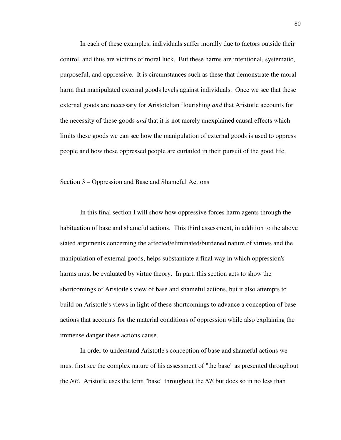In each of these examples, individuals suffer morally due to factors outside their control, and thus are victims of moral luck. But these harms are intentional, systematic, purposeful, and oppressive. It is circumstances such as these that demonstrate the moral harm that manipulated external goods levels against individuals. Once we see that these external goods are necessary for Aristotelian flourishing *and* that Aristotle accounts for the necessity of these goods *and* that it is not merely unexplained causal effects which limits these goods we can see how the manipulation of external goods is used to oppress people and how these oppressed people are curtailed in their pursuit of the good life.

Section 3 – Oppression and Base and Shameful Actions

 In this final section I will show how oppressive forces harm agents through the habituation of base and shameful actions. This third assessment, in addition to the above stated arguments concerning the affected/eliminated/burdened nature of virtues and the manipulation of external goods, helps substantiate a final way in which oppression's harms must be evaluated by virtue theory. In part, this section acts to show the shortcomings of Aristotle's view of base and shameful actions, but it also attempts to build on Aristotle's views in light of these shortcomings to advance a conception of base actions that accounts for the material conditions of oppression while also explaining the immense danger these actions cause.

 In order to understand Aristotle's conception of base and shameful actions we must first see the complex nature of his assessment of "the base" as presented throughout the *NE*. Aristotle uses the term "base" throughout the *NE* but does so in no less than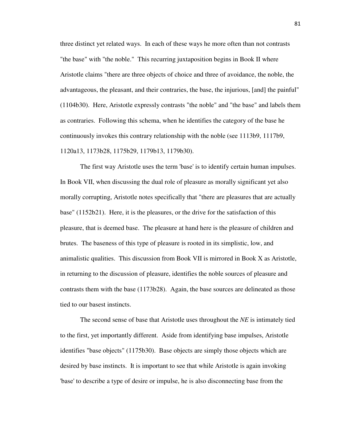three distinct yet related ways. In each of these ways he more often than not contrasts "the base" with "the noble." This recurring juxtaposition begins in Book II where Aristotle claims "there are three objects of choice and three of avoidance, the noble, the advantageous, the pleasant, and their contraries, the base, the injurious, [and] the painful" (1104b30). Here, Aristotle expressly contrasts "the noble" and "the base" and labels them as contraries. Following this schema, when he identifies the category of the base he continuously invokes this contrary relationship with the noble (see 1113b9, 1117b9, 1120a13, 1173b28, 1175b29, 1179b13, 1179b30).

 The first way Aristotle uses the term 'base' is to identify certain human impulses. In Book VII, when discussing the dual role of pleasure as morally significant yet also morally corrupting, Aristotle notes specifically that "there are pleasures that are actually base" (1152b21). Here, it is the pleasures, or the drive for the satisfaction of this pleasure, that is deemed base. The pleasure at hand here is the pleasure of children and brutes. The baseness of this type of pleasure is rooted in its simplistic, low, and animalistic qualities. This discussion from Book VII is mirrored in Book X as Aristotle, in returning to the discussion of pleasure, identifies the noble sources of pleasure and contrasts them with the base (1173b28). Again, the base sources are delineated as those tied to our basest instincts.

 The second sense of base that Aristotle uses throughout the *NE* is intimately tied to the first, yet importantly different. Aside from identifying base impulses, Aristotle identifies "base objects" (1175b30). Base objects are simply those objects which are desired by base instincts. It is important to see that while Aristotle is again invoking 'base' to describe a type of desire or impulse, he is also disconnecting base from the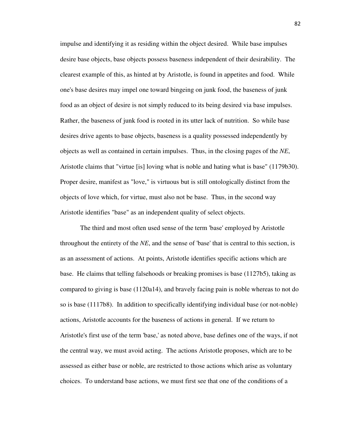impulse and identifying it as residing within the object desired. While base impulses desire base objects, base objects possess baseness independent of their desirability. The clearest example of this, as hinted at by Aristotle, is found in appetites and food. While one's base desires may impel one toward bingeing on junk food, the baseness of junk food as an object of desire is not simply reduced to its being desired via base impulses. Rather, the baseness of junk food is rooted in its utter lack of nutrition. So while base desires drive agents to base objects, baseness is a quality possessed independently by objects as well as contained in certain impulses. Thus, in the closing pages of the *NE*, Aristotle claims that "virtue [is] loving what is noble and hating what is base" (1179b30). Proper desire, manifest as "love," is virtuous but is still ontologically distinct from the objects of love which, for virtue, must also not be base. Thus, in the second way Aristotle identifies "base" as an independent quality of select objects.

 The third and most often used sense of the term 'base' employed by Aristotle throughout the entirety of the *NE*, and the sense of 'base' that is central to this section, is as an assessment of actions. At points, Aristotle identifies specific actions which are base. He claims that telling falsehoods or breaking promises is base (1127b5), taking as compared to giving is base (1120a14), and bravely facing pain is noble whereas to not do so is base (1117b8). In addition to specifically identifying individual base (or not-noble) actions, Aristotle accounts for the baseness of actions in general. If we return to Aristotle's first use of the term 'base,' as noted above, base defines one of the ways, if not the central way, we must avoid acting. The actions Aristotle proposes, which are to be assessed as either base or noble, are restricted to those actions which arise as voluntary choices. To understand base actions, we must first see that one of the conditions of a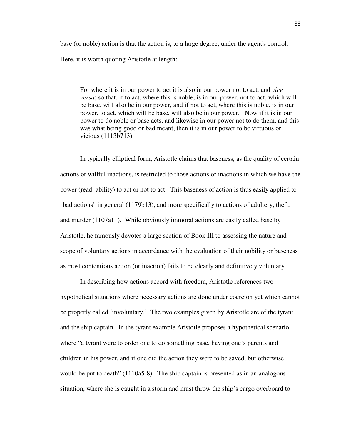base (or noble) action is that the action is, to a large degree, under the agent's control. Here, it is worth quoting Aristotle at length:

For where it is in our power to act it is also in our power not to act, and *vice versa*; so that, if to act, where this is noble, is in our power, not to act, which will be base, will also be in our power, and if not to act, where this is noble, is in our power, to act, which will be base, will also be in our power. Now if it is in our power to do noble or base acts, and likewise in our power not to do them, and this was what being good or bad meant, then it is in our power to be virtuous or vicious (1113b713).

 In typically elliptical form, Aristotle claims that baseness, as the quality of certain actions or willful inactions, is restricted to those actions or inactions in which we have the power (read: ability) to act or not to act. This baseness of action is thus easily applied to "bad actions" in general (1179b13), and more specifically to actions of adultery, theft, and murder (1107a11). While obviously immoral actions are easily called base by Aristotle, he famously devotes a large section of Book III to assessing the nature and scope of voluntary actions in accordance with the evaluation of their nobility or baseness as most contentious action (or inaction) fails to be clearly and definitively voluntary.

 In describing how actions accord with freedom, Aristotle references two hypothetical situations where necessary actions are done under coercion yet which cannot be properly called 'involuntary.' The two examples given by Aristotle are of the tyrant and the ship captain. In the tyrant example Aristotle proposes a hypothetical scenario where "a tyrant were to order one to do something base, having one's parents and children in his power, and if one did the action they were to be saved, but otherwise would be put to death" (1110a5-8). The ship captain is presented as in an analogous situation, where she is caught in a storm and must throw the ship's cargo overboard to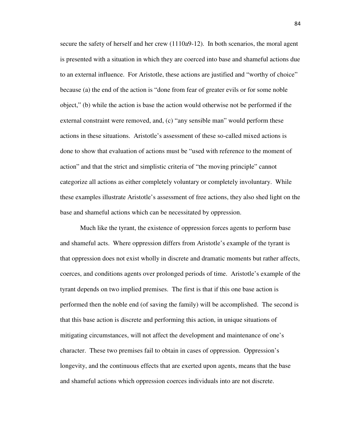secure the safety of herself and her crew (1110a9-12). In both scenarios, the moral agent is presented with a situation in which they are coerced into base and shameful actions due to an external influence. For Aristotle, these actions are justified and "worthy of choice" because (a) the end of the action is "done from fear of greater evils or for some noble object," (b) while the action is base the action would otherwise not be performed if the external constraint were removed, and, (c) "any sensible man" would perform these actions in these situations. Aristotle's assessment of these so-called mixed actions is done to show that evaluation of actions must be "used with reference to the moment of action" and that the strict and simplistic criteria of "the moving principle" cannot categorize all actions as either completely voluntary or completely involuntary. While these examples illustrate Aristotle's assessment of free actions, they also shed light on the base and shameful actions which can be necessitated by oppression.

 Much like the tyrant, the existence of oppression forces agents to perform base and shameful acts. Where oppression differs from Aristotle's example of the tyrant is that oppression does not exist wholly in discrete and dramatic moments but rather affects, coerces, and conditions agents over prolonged periods of time. Aristotle's example of the tyrant depends on two implied premises. The first is that if this one base action is performed then the noble end (of saving the family) will be accomplished. The second is that this base action is discrete and performing this action, in unique situations of mitigating circumstances, will not affect the development and maintenance of one's character. These two premises fail to obtain in cases of oppression. Oppression's longevity, and the continuous effects that are exerted upon agents, means that the base and shameful actions which oppression coerces individuals into are not discrete.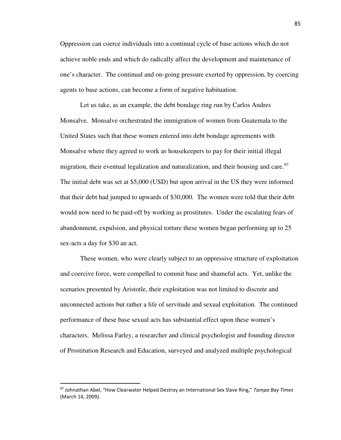Oppression can coerce individuals into a continual cycle of base actions which do not achieve noble ends and which do radically affect the development and maintenance of one's character. The continual and on-going pressure exerted by oppression, by coercing agents to base actions, can become a form of negative habituation.

 Let us take, as an example, the debt bondage ring run by Carlos Andres Monsalve. Monsalve orchestrated the immigration of women from Guatemala to the United States such that these women entered into debt bondage agreements with Monsalve where they agreed to work as housekeepers to pay for their initial illegal migration, their eventual legalization and naturalization, and their housing and care. $97$ The initial debt was set at \$5,000 (USD) but upon arrival in the US they were informed that their debt had jumped to upwards of \$30,000. The women were told that their debt would now need to be paid-off by working as prostitutes. Under the escalating fears of abandonment, expulsion, and physical torture these women began performing up to 25 sex-acts a day for \$30 an act.

 These women, who were clearly subject to an oppressive structure of exploitation and coercive force, were compelled to commit base and shameful acts. Yet, unlike the scenarios presented by Aristotle, their exploitation was not limited to discrete and unconnected actions but rather a life of servitude and sexual exploitation. The continued performance of these base sexual acts has substantial effect upon these women's characters. Melissa Farley, a researcher and clinical psychologist and founding director of Prostitution Research and Education, surveyed and analyzed multiple psychological

<sup>97</sup> Johnathan Abel, "How Clearwater Helped Destroy an International Sex Slave Ring," *Tampa Bay Times* (March 14, 2009).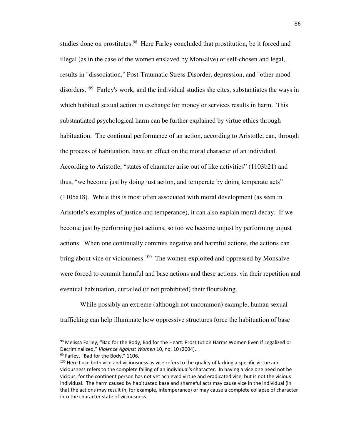studies done on prostitutes.<sup>98</sup> Here Farley concluded that prostitution, be it forced and illegal (as in the case of the women enslaved by Monsalve) or self-chosen and legal, results in "dissociation," Post-Traumatic Stress Disorder, depression, and "other mood disorders."<sup>99</sup> Farley's work, and the individual studies she cites, substantiates the ways in which habitual sexual action in exchange for money or services results in harm. This substantiated psychological harm can be further explained by virtue ethics through habituation. The continual performance of an action, according to Aristotle, can, through the process of habituation, have an effect on the moral character of an individual. According to Aristotle, "states of character arise out of like activities" (1103b21) and thus, "we become just by doing just action, and temperate by doing temperate acts" (1105a18). While this is most often associated with moral development (as seen in Aristotle's examples of justice and temperance), it can also explain moral decay. If we become just by performing just actions, so too we become unjust by performing unjust actions. When one continually commits negative and harmful actions, the actions can bring about vice or viciousness.<sup>100</sup> The women exploited and oppressed by Monsalve were forced to commit harmful and base actions and these actions, via their repetition and eventual habituation, curtailed (if not prohibited) their flourishing.

 While possibly an extreme (although not uncommon) example, human sexual trafficking can help illuminate how oppressive structures force the habituation of base

<sup>98</sup> Melissa Farley, "Bad for the Body, Bad for the Heart: Prostitution Harms Women Even if Legalized or Decriminalized," *Violence Against Women* 10, no. 10 (2004).

<sup>99</sup> Farley, "Bad for the Body," 1106.

<sup>&</sup>lt;sup>100</sup> Here I use both vice and viciousness as vice refers to the quality of lacking a specific virtue and viciousness refers to the complete failing of an individual's character. In having a vice one need not be vicious, for the continent person has not yet achieved virtue and eradicated vice, but is not the vicious individual. The harm caused by habituated base and shameful acts may cause vice in the individual (in that the actions may result in, for example, intemperance) or may cause a complete collapse of character into the character state of viciousness.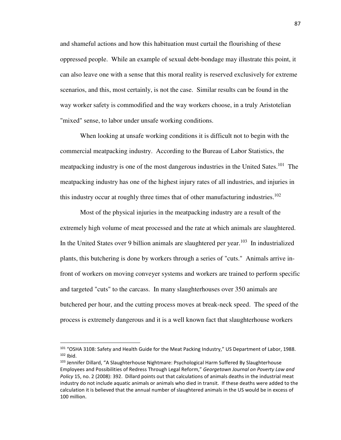and shameful actions and how this habituation must curtail the flourishing of these oppressed people. While an example of sexual debt-bondage may illustrate this point, it can also leave one with a sense that this moral reality is reserved exclusively for extreme scenarios, and this, most certainly, is not the case. Similar results can be found in the way worker safety is commodified and the way workers choose, in a truly Aristotelian "mixed" sense, to labor under unsafe working conditions.

 When looking at unsafe working conditions it is difficult not to begin with the commercial meatpacking industry. According to the Bureau of Labor Statistics, the meatpacking industry is one of the most dangerous industries in the United Sates.<sup>101</sup> The meatpacking industry has one of the highest injury rates of all industries, and injuries in this industry occur at roughly three times that of other manufacturing industries.<sup>102</sup>

 Most of the physical injuries in the meatpacking industry are a result of the extremely high volume of meat processed and the rate at which animals are slaughtered. In the United States over 9 billion animals are slaughtered per year.<sup>103</sup> In industrialized plants, this butchering is done by workers through a series of "cuts." Animals arrive infront of workers on moving conveyer systems and workers are trained to perform specific and targeted "cuts" to the carcass. In many slaughterhouses over 350 animals are butchered per hour, and the cutting process moves at break-neck speed. The speed of the process is extremely dangerous and it is a well known fact that slaughterhouse workers

-

<sup>101</sup> "OSHA 3108: Safety and Health Guide for the Meat Packing Industry," US Department of Labor, 1988.  $102$  Ibid.

<sup>103</sup> Jennifer Dillard, "A Slaughterhouse Nightmare: Psychological Harm Suffered By Slaughterhouse Employees and Possibilities of Redress Through Legal Reform," *Georgetown Journal on Poverty Law and Policy* 15, no. 2 (2008): 392. Dillard points out that calculations of animals deaths in the industrial meat industry do not include aquatic animals or animals who died in transit. If these deaths were added to the calculation it is believed that the annual number of slaughtered animals in the US would be in excess of 100 million.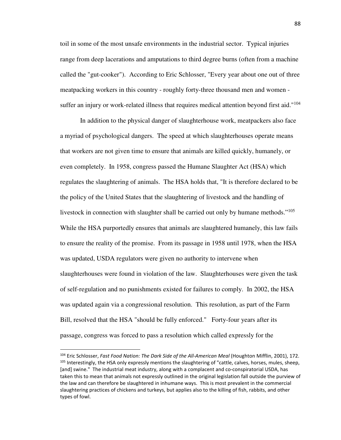toil in some of the most unsafe environments in the industrial sector. Typical injuries range from deep lacerations and amputations to third degree burns (often from a machine called the "gut-cooker"). According to Eric Schlosser, "Every year about one out of three meatpacking workers in this country - roughly forty-three thousand men and women suffer an injury or work-related illness that requires medical attention beyond first aid."<sup>104</sup>

 In addition to the physical danger of slaughterhouse work, meatpackers also face a myriad of psychological dangers. The speed at which slaughterhouses operate means that workers are not given time to ensure that animals are killed quickly, humanely, or even completely. In 1958, congress passed the Humane Slaughter Act (HSA) which regulates the slaughtering of animals. The HSA holds that, "It is therefore declared to be the policy of the United States that the slaughtering of livestock and the handling of livestock in connection with slaughter shall be carried out only by humane methods."<sup>105</sup> While the HSA purportedly ensures that animals are slaughtered humanely, this law fails to ensure the reality of the promise. From its passage in 1958 until 1978, when the HSA was updated, USDA regulators were given no authority to intervene when slaughterhouses were found in violation of the law. Slaughterhouses were given the task of self-regulation and no punishments existed for failures to comply. In 2002, the HSA was updated again via a congressional resolution. This resolution, as part of the Farm Bill, resolved that the HSA "should be fully enforced." Forty-four years after its passage, congress was forced to pass a resolution which called expressly for the

<sup>104</sup> Eric Schlosser, *Fast Food Nation: The Dark Side of the All-American Meal* (Houghton Mifflin, 2001), 172. <sup>105</sup> Interestingly, the HSA only expressly mentions the slaughtering of "cattle, calves, horses, mules, sheep, [and] swine." The industrial meat industry, along with a complacent and co-conspiratorial USDA, has taken this to mean that animals not expressly outlined in the original legislation fall outside the purview of the law and can therefore be slaughtered in inhumane ways. This is most prevalent in the commercial slaughtering practices of chickens and turkeys, but applies also to the killing of fish, rabbits, and other types of fowl.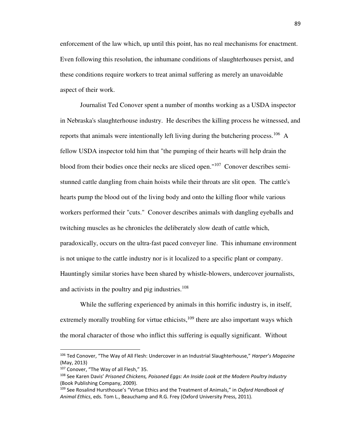enforcement of the law which, up until this point, has no real mechanisms for enactment. Even following this resolution, the inhumane conditions of slaughterhouses persist, and these conditions require workers to treat animal suffering as merely an unavoidable aspect of their work.

 Journalist Ted Conover spent a number of months working as a USDA inspector in Nebraska's slaughterhouse industry. He describes the killing process he witnessed, and reports that animals were intentionally left living during the butchering process.<sup>106</sup> A fellow USDA inspector told him that "the pumping of their hearts will help drain the blood from their bodies once their necks are sliced open."<sup>107</sup> Conover describes semistunned cattle dangling from chain hoists while their throats are slit open. The cattle's hearts pump the blood out of the living body and onto the killing floor while various workers performed their "cuts." Conover describes animals with dangling eyeballs and twitching muscles as he chronicles the deliberately slow death of cattle which, paradoxically, occurs on the ultra-fast paced conveyer line. This inhumane environment is not unique to the cattle industry nor is it localized to a specific plant or company. Hauntingly similar stories have been shared by whistle-blowers, undercover journalists, and activists in the poultry and pig industries. $108$ 

 While the suffering experienced by animals in this horrific industry is, in itself, extremely morally troubling for virtue ethicists, $109$  there are also important ways which the moral character of those who inflict this suffering is equally significant. Without

<sup>106</sup> Ted Conover, "The Way of All Flesh: Undercover in an Industrial Slaughterhouse," *Harper's Magazine* (May, 2013)

<sup>107</sup> Conover, "The Way of all Flesh," 35.

<sup>108</sup> See Karen Davis' *Prisoned Chickens, Poisoned Eggs: An Inside Look at the Modern Poultry Industry* (Book Publishing Company, 2009).

<sup>109</sup> See Rosalind Hursthouse's "Virtue Ethics and the Treatment of Animals," in *Oxford Handbook of Animal Ethics*, eds. Tom L., Beauchamp and R.G. Frey (Oxford University Press, 2011).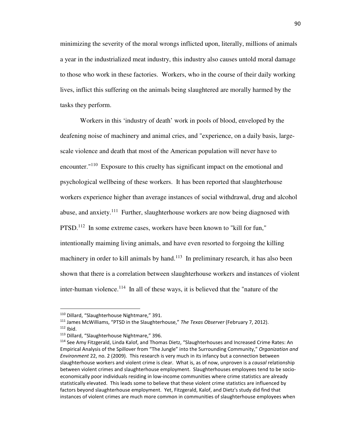minimizing the severity of the moral wrongs inflicted upon, literally, millions of animals a year in the industrialized meat industry, this industry also causes untold moral damage to those who work in these factories. Workers, who in the course of their daily working lives, inflict this suffering on the animals being slaughtered are morally harmed by the tasks they perform.

 Workers in this 'industry of death' work in pools of blood, enveloped by the deafening noise of machinery and animal cries, and "experience, on a daily basis, largescale violence and death that most of the American population will never have to encounter.<sup>"110</sup> Exposure to this cruelty has significant impact on the emotional and psychological wellbeing of these workers. It has been reported that slaughterhouse workers experience higher than average instances of social withdrawal, drug and alcohol abuse, and anxiety.<sup>111</sup> Further, slaughterhouse workers are now being diagnosed with PTSD.<sup>112</sup> In some extreme cases, workers have been known to "kill for fun," intentionally maiming living animals, and have even resorted to forgoing the killing machinery in order to kill animals by hand.<sup>113</sup> In preliminary research, it has also been shown that there is a correlation between slaughterhouse workers and instances of violent inter-human violence.<sup>114</sup> In all of these ways, it is believed that the "nature of the

<sup>110</sup> Dillard, "Slaughterhouse Nightmare," 391.

<sup>111</sup> James McWilliams, "PTSD in the Slaughterhouse," *The Texas Observer* (February 7, 2012).  $112$  Ibid.

<sup>113</sup> Dillard, "Slaughterhouse Nightmare," 396.

<sup>114</sup> See Amy Fitzgerald, Linda Kalof, and Thomas Dietz, "Slaughterhouses and Increased Crime Rates: An Empirical Analysis of the Spillover from "The Jungle" into the Surrounding Community," *Organization and Environment* 22, no. 2 (2009). This research is very much in its infancy but a connection between slaughterhouse workers and violent crime is clear. What is, as of now, unproven is a *causal* relationship between violent crimes and slaughterhouse employment. Slaughterhouses employees tend to be socioeconomically poor individuals residing in low-income communities where crime statistics are already statistically elevated. This leads some to believe that these violent crime statistics are influenced by factors beyond slaughterhouse employment. Yet, Fitzgerald, Kalof, and Dietz's study did find that instances of violent crimes are much more common in communities of slaughterhouse employees when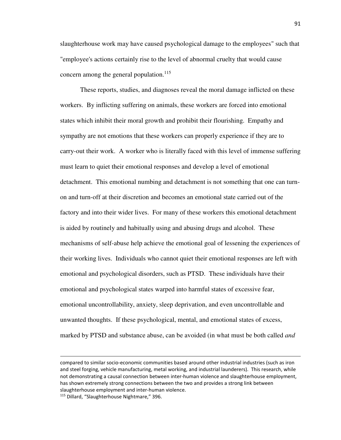slaughterhouse work may have caused psychological damage to the employees" such that "employee's actions certainly rise to the level of abnormal cruelty that would cause concern among the general population.<sup>115</sup>

 These reports, studies, and diagnoses reveal the moral damage inflicted on these workers. By inflicting suffering on animals, these workers are forced into emotional states which inhibit their moral growth and prohibit their flourishing. Empathy and sympathy are not emotions that these workers can properly experience if they are to carry-out their work. A worker who is literally faced with this level of immense suffering must learn to quiet their emotional responses and develop a level of emotional detachment. This emotional numbing and detachment is not something that one can turnon and turn-off at their discretion and becomes an emotional state carried out of the factory and into their wider lives. For many of these workers this emotional detachment is aided by routinely and habitually using and abusing drugs and alcohol. These mechanisms of self-abuse help achieve the emotional goal of lessening the experiences of their working lives. Individuals who cannot quiet their emotional responses are left with emotional and psychological disorders, such as PTSD. These individuals have their emotional and psychological states warped into harmful states of excessive fear, emotional uncontrollability, anxiety, sleep deprivation, and even uncontrollable and unwanted thoughts. If these psychological, mental, and emotional states of excess, marked by PTSD and substance abuse, can be avoided (in what must be both called *and*

-

compared to similar socio-economic communities based around other industrial industries (such as iron and steel forging, vehicle manufacturing, metal working, and industrial launderers). This research, while not demonstrating a causal connection between inter-human violence and slaughterhouse employment, has shown extremely strong connections between the two and provides a strong link between slaughterhouse employment and inter-human violence.

<sup>115</sup> Dillard, "Slaughterhouse Nightmare," 396.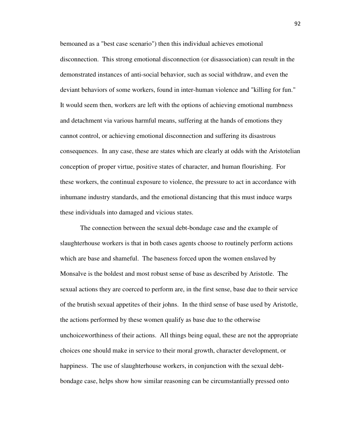bemoaned as a "best case scenario") then this individual achieves emotional disconnection. This strong emotional disconnection (or disassociation) can result in the demonstrated instances of anti-social behavior, such as social withdraw, and even the deviant behaviors of some workers, found in inter-human violence and "killing for fun." It would seem then, workers are left with the options of achieving emotional numbness and detachment via various harmful means, suffering at the hands of emotions they cannot control, or achieving emotional disconnection and suffering its disastrous consequences. In any case, these are states which are clearly at odds with the Aristotelian conception of proper virtue, positive states of character, and human flourishing. For these workers, the continual exposure to violence, the pressure to act in accordance with inhumane industry standards, and the emotional distancing that this must induce warps these individuals into damaged and vicious states.

 The connection between the sexual debt-bondage case and the example of slaughterhouse workers is that in both cases agents choose to routinely perform actions which are base and shameful. The baseness forced upon the women enslaved by Monsalve is the boldest and most robust sense of base as described by Aristotle. The sexual actions they are coerced to perform are, in the first sense, base due to their service of the brutish sexual appetites of their johns. In the third sense of base used by Aristotle, the actions performed by these women qualify as base due to the otherwise unchoiceworthiness of their actions. All things being equal, these are not the appropriate choices one should make in service to their moral growth, character development, or happiness. The use of slaughterhouse workers, in conjunction with the sexual debtbondage case, helps show how similar reasoning can be circumstantially pressed onto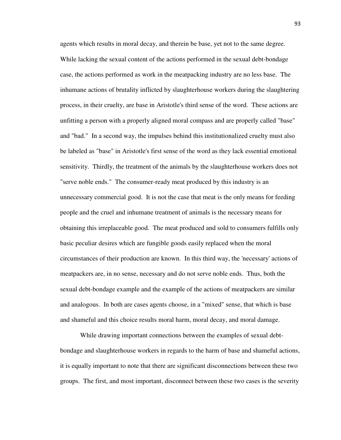agents which results in moral decay, and therein be base, yet not to the same degree. While lacking the sexual content of the actions performed in the sexual debt-bondage case, the actions performed as work in the meatpacking industry are no less base. The inhumane actions of brutality inflicted by slaughterhouse workers during the slaughtering process, in their cruelty, are base in Aristotle's third sense of the word. These actions are unfitting a person with a properly aligned moral compass and are properly called "base" and "bad." In a second way, the impulses behind this institutionalized cruelty must also be labeled as "base" in Aristotle's first sense of the word as they lack essential emotional sensitivity. Thirdly, the treatment of the animals by the slaughterhouse workers does not "serve noble ends." The consumer-ready meat produced by this industry is an unnecessary commercial good. It is not the case that meat is the only means for feeding people and the cruel and inhumane treatment of animals is the necessary means for obtaining this irreplaceable good. The meat produced and sold to consumers fulfills only basic peculiar desires which are fungible goods easily replaced when the moral circumstances of their production are known. In this third way, the 'necessary' actions of meatpackers are, in no sense, necessary and do not serve noble ends. Thus, both the sexual debt-bondage example and the example of the actions of meatpackers are similar and analogous. In both are cases agents choose, in a "mixed" sense, that which is base and shameful and this choice results moral harm, moral decay, and moral damage.

 While drawing important connections between the examples of sexual debtbondage and slaughterhouse workers in regards to the harm of base and shameful actions, it is equally important to note that there are significant disconnections between these two groups. The first, and most important, disconnect between these two cases is the severity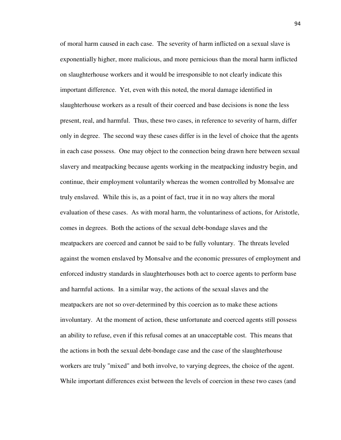of moral harm caused in each case. The severity of harm inflicted on a sexual slave is exponentially higher, more malicious, and more pernicious than the moral harm inflicted on slaughterhouse workers and it would be irresponsible to not clearly indicate this important difference. Yet, even with this noted, the moral damage identified in slaughterhouse workers as a result of their coerced and base decisions is none the less present, real, and harmful. Thus, these two cases, in reference to severity of harm, differ only in degree. The second way these cases differ is in the level of choice that the agents in each case possess. One may object to the connection being drawn here between sexual slavery and meatpacking because agents working in the meatpacking industry begin, and continue, their employment voluntarily whereas the women controlled by Monsalve are truly enslaved. While this is, as a point of fact, true it in no way alters the moral evaluation of these cases. As with moral harm, the voluntariness of actions, for Aristotle, comes in degrees. Both the actions of the sexual debt-bondage slaves and the meatpackers are coerced and cannot be said to be fully voluntary. The threats leveled against the women enslaved by Monsalve and the economic pressures of employment and enforced industry standards in slaughterhouses both act to coerce agents to perform base and harmful actions. In a similar way, the actions of the sexual slaves and the meatpackers are not so over-determined by this coercion as to make these actions involuntary. At the moment of action, these unfortunate and coerced agents still possess an ability to refuse, even if this refusal comes at an unacceptable cost. This means that the actions in both the sexual debt-bondage case and the case of the slaughterhouse workers are truly "mixed" and both involve, to varying degrees, the choice of the agent. While important differences exist between the levels of coercion in these two cases (and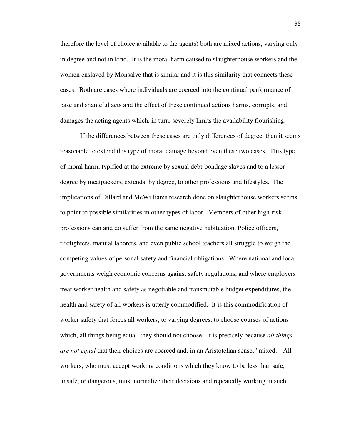therefore the level of choice available to the agents) both are mixed actions, varying only in degree and not in kind. It is the moral harm caused to slaughterhouse workers and the women enslaved by Monsalve that is similar and it is this similarity that connects these cases. Both are cases where individuals are coerced into the continual performance of base and shameful acts and the effect of these continued actions harms, corrupts, and damages the acting agents which, in turn, severely limits the availability flourishing.

 If the differences between these cases are only differences of degree, then it seems reasonable to extend this type of moral damage beyond even these two cases. This type of moral harm, typified at the extreme by sexual debt-bondage slaves and to a lesser degree by meatpackers, extends, by degree, to other professions and lifestyles. The implications of Dillard and McWilliams research done on slaughterhouse workers seems to point to possible similarities in other types of labor. Members of other high-risk professions can and do suffer from the same negative habituation. Police officers, firefighters, manual laborers, and even public school teachers all struggle to weigh the competing values of personal safety and financial obligations. Where national and local governments weigh economic concerns against safety regulations, and where employers treat worker health and safety as negotiable and transmutable budget expenditures, the health and safety of all workers is utterly commodified. It is this commodification of worker safety that forces all workers, to varying degrees, to choose courses of actions which, all things being equal, they should not choose. It is precisely because *all things are not equal* that their choices are coerced and, in an Aristotelian sense, "mixed." All workers, who must accept working conditions which they know to be less than safe, unsafe, or dangerous, must normalize their decisions and repeatedly working in such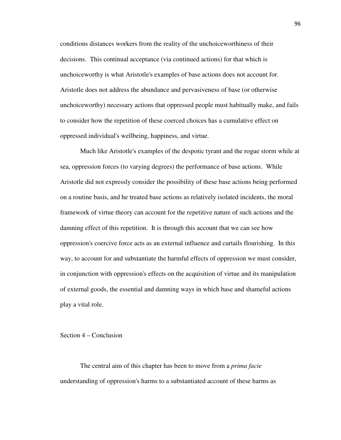conditions distances workers from the reality of the unchoiceworthiness of their decisions. This continual acceptance (via continued actions) for that which is unchoiceworthy is what Aristotle's examples of base actions does not account for. Aristotle does not address the abundance and pervasiveness of base (or otherwise unchoiceworthy) necessary actions that oppressed people must habitually make, and fails to consider how the repetition of these coerced choices has a cumulative effect on oppressed individual's wellbeing, happiness, and virtue.

 Much like Aristotle's examples of the despotic tyrant and the rogue storm while at sea, oppression forces (to varying degrees) the performance of base actions. While Aristotle did not expressly consider the possibility of these base actions being performed on a routine basis, and he treated base actions as relatively isolated incidents, the moral framework of virtue theory can account for the repetitive nature of such actions and the damning effect of this repetition. It is through this account that we can see how oppression's coercive force acts as an external influence and curtails flourishing. In this way, to account for and substantiate the harmful effects of oppression we must consider, in conjunction with oppression's effects on the acquisition of virtue and its manipulation of external goods, the essential and damning ways in which base and shameful actions play a vital role.

## Section 4 – Conclusion

 The central aim of this chapter has been to move from a *prima facie*  understanding of oppression's harms to a substantiated account of these harms as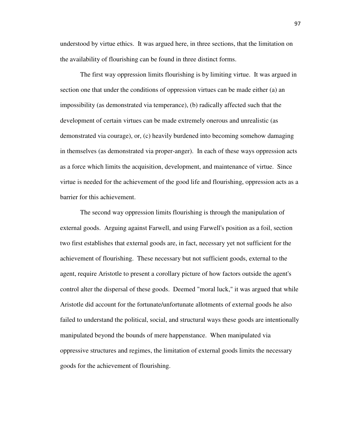understood by virtue ethics. It was argued here, in three sections, that the limitation on the availability of flourishing can be found in three distinct forms.

 The first way oppression limits flourishing is by limiting virtue. It was argued in section one that under the conditions of oppression virtues can be made either (a) an impossibility (as demonstrated via temperance), (b) radically affected such that the development of certain virtues can be made extremely onerous and unrealistic (as demonstrated via courage), or, (c) heavily burdened into becoming somehow damaging in themselves (as demonstrated via proper-anger). In each of these ways oppression acts as a force which limits the acquisition, development, and maintenance of virtue. Since virtue is needed for the achievement of the good life and flourishing, oppression acts as a barrier for this achievement.

 The second way oppression limits flourishing is through the manipulation of external goods. Arguing against Farwell, and using Farwell's position as a foil, section two first establishes that external goods are, in fact, necessary yet not sufficient for the achievement of flourishing. These necessary but not sufficient goods, external to the agent, require Aristotle to present a corollary picture of how factors outside the agent's control alter the dispersal of these goods. Deemed "moral luck," it was argued that while Aristotle did account for the fortunate/unfortunate allotments of external goods he also failed to understand the political, social, and structural ways these goods are intentionally manipulated beyond the bounds of mere happenstance. When manipulated via oppressive structures and regimes, the limitation of external goods limits the necessary goods for the achievement of flourishing.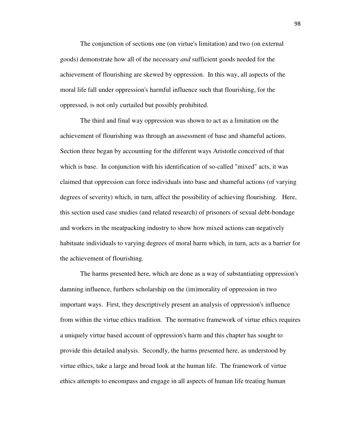The conjunction of sections one (on virtue's limitation) and two (on external goods) demonstrate how all of the necessary *and* sufficient goods needed for the achievement of flourishing are skewed by oppression. In this way, all aspects of the moral life fall under oppression's harmful influence such that flourishing, for the oppressed, is not only curtailed but possibly prohibited.

 The third and final way oppression was shown to act as a limitation on the achievement of flourishing was through an assessment of base and shameful actions. Section three began by accounting for the different ways Aristotle conceived of that which is base. In conjunction with his identification of so-called "mixed" acts, it was claimed that oppression can force individuals into base and shameful actions (of varying degrees of severity) which, in turn, affect the possibility of achieving flourishing. Here, this section used case studies (and related research) of prisoners of sexual debt-bondage and workers in the meatpacking industry to show how mixed actions can negatively habituate individuals to varying degrees of moral harm which, in turn, acts as a barrier for the achievement of flourishing.

 The harms presented here, which are done as a way of substantiating oppression's damning influence, furthers scholarship on the (im)morality of oppression in two important ways. First, they descriptively present an analysis of oppression's influence from within the virtue ethics tradition. The normative framework of virtue ethics requires a uniquely virtue based account of oppression's harm and this chapter has sought to provide this detailed analysis. Secondly, the harms presented here, as understood by virtue ethics, take a large and broad look at the human life. The framework of virtue ethics attempts to encompass and engage in all aspects of human life treating human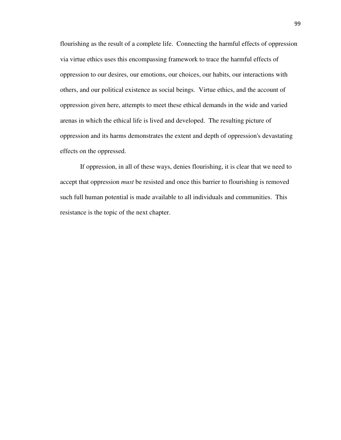flourishing as the result of a complete life. Connecting the harmful effects of oppression via virtue ethics uses this encompassing framework to trace the harmful effects of oppression to our desires, our emotions, our choices, our habits, our interactions with others, and our political existence as social beings. Virtue ethics, and the account of oppression given here, attempts to meet these ethical demands in the wide and varied arenas in which the ethical life is lived and developed. The resulting picture of oppression and its harms demonstrates the extent and depth of oppression's devastating effects on the oppressed.

 If oppression, in all of these ways, denies flourishing, it is clear that we need to accept that oppression *must* be resisted and once this barrier to flourishing is removed such full human potential is made available to all individuals and communities. This resistance is the topic of the next chapter.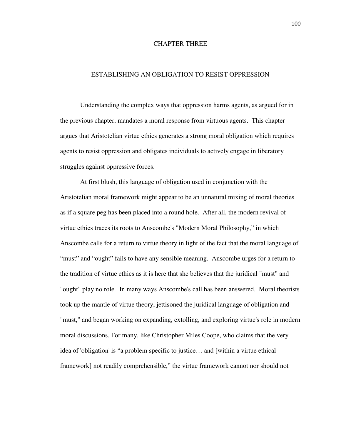## CHAPTER THREE

## ESTABLISHING AN OBLIGATION TO RESIST OPPRESSION

 Understanding the complex ways that oppression harms agents, as argued for in the previous chapter, mandates a moral response from virtuous agents. This chapter argues that Aristotelian virtue ethics generates a strong moral obligation which requires agents to resist oppression and obligates individuals to actively engage in liberatory struggles against oppressive forces.

 At first blush, this language of obligation used in conjunction with the Aristotelian moral framework might appear to be an unnatural mixing of moral theories as if a square peg has been placed into a round hole. After all, the modern revival of virtue ethics traces its roots to Anscombe's "Modern Moral Philosophy," in which Anscombe calls for a return to virtue theory in light of the fact that the moral language of "must" and "ought" fails to have any sensible meaning. Anscombe urges for a return to the tradition of virtue ethics as it is here that she believes that the juridical "must" and "ought" play no role. In many ways Anscombe's call has been answered. Moral theorists took up the mantle of virtue theory, jettisoned the juridical language of obligation and "must," and began working on expanding, extolling, and exploring virtue's role in modern moral discussions. For many, like Christopher Miles Coope, who claims that the very idea of 'obligation' is "a problem specific to justice… and [within a virtue ethical framework] not readily comprehensible," the virtue framework cannot nor should not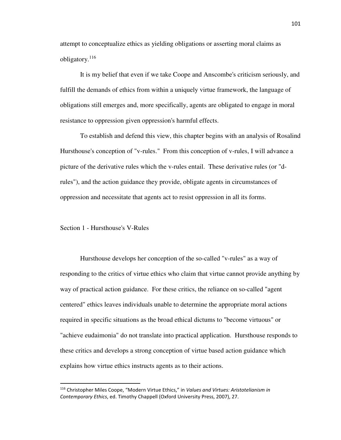attempt to conceptualize ethics as yielding obligations or asserting moral claims as obligatory.<sup>116</sup>

 It is my belief that even if we take Coope and Anscombe's criticism seriously, and fulfill the demands of ethics from within a uniquely virtue framework, the language of obligations still emerges and, more specifically, agents are obligated to engage in moral resistance to oppression given oppression's harmful effects.

 To establish and defend this view, this chapter begins with an analysis of Rosalind Hursthouse's conception of "v-rules." From this conception of v-rules, I will advance a picture of the derivative rules which the v-rules entail. These derivative rules (or "drules"), and the action guidance they provide, obligate agents in circumstances of oppression and necessitate that agents act to resist oppression in all its forms.

Section 1 - Hursthouse's V-Rules

<u>.</u>

 Hursthouse develops her conception of the so-called "v-rules" as a way of responding to the critics of virtue ethics who claim that virtue cannot provide anything by way of practical action guidance. For these critics, the reliance on so-called "agent centered" ethics leaves individuals unable to determine the appropriate moral actions required in specific situations as the broad ethical dictums to "become virtuous" or "achieve eudaimonia" do not translate into practical application. Hursthouse responds to these critics and develops a strong conception of virtue based action guidance which explains how virtue ethics instructs agents as to their actions.

<sup>116</sup> Christopher Miles Coope, "Modern Virtue Ethics," in *Values and Virtues: Aristotelianism in Contemporary Ethics*, ed. Timothy Chappell (Oxford University Press, 2007), 27.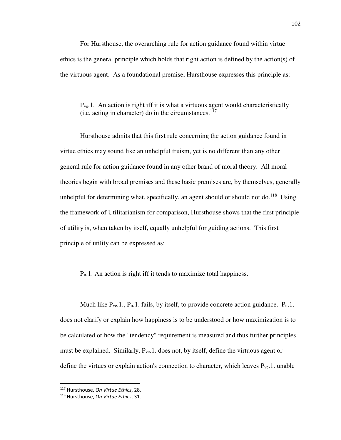For Hursthouse, the overarching rule for action guidance found within virtue ethics is the general principle which holds that right action is defined by the action(s) of the virtuous agent. As a foundational premise, Hursthouse expresses this principle as:

Pve.1. An action is right iff it is what a virtuous agent would characteristically (i.e. acting in character) do in the circumstances. $117$ 

 Hursthouse admits that this first rule concerning the action guidance found in virtue ethics may sound like an unhelpful truism, yet is no different than any other general rule for action guidance found in any other brand of moral theory. All moral theories begin with broad premises and these basic premises are, by themselves, generally unhelpful for determining what, specifically, an agent should or should not do.<sup>118</sup> Using the framework of Utilitarianism for comparison, Hursthouse shows that the first principle of utility is, when taken by itself, equally unhelpful for guiding actions. This first principle of utility can be expressed as:

Pu.1. An action is right iff it tends to maximize total happiness.

Much like  $P_{ve}.1$ ,  $P_u.1$ . fails, by itself, to provide concrete action guidance.  $P_u.1$ . does not clarify or explain how happiness is to be understood or how maximization is to be calculated or how the "tendency" requirement is measured and thus further principles must be explained. Similarly,  $P_{ve}.1$ . does not, by itself, define the virtuous agent or define the virtues or explain action's connection to character, which leaves  $P_{ve}$ . 1. unable

<sup>117</sup> Hursthouse, *On Virtue Ethics*, 28.

<sup>118</sup> Hursthouse, *On Virtue Ethics*, 31.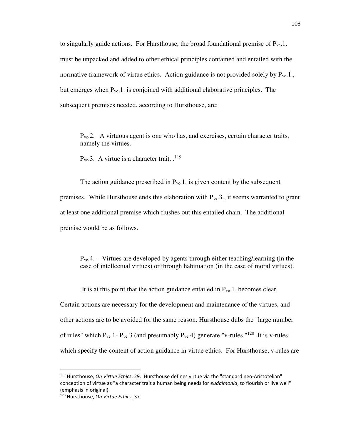to singularly guide actions. For Hursthouse, the broad foundational premise of  $P_{ve}$ . must be unpacked and added to other ethical principles contained and entailed with the normative framework of virtue ethics. Action guidance is not provided solely by  $P_{ve}$ .1. but emerges when  $P_{ve}$ .1. is conjoined with additional elaborative principles. The subsequent premises needed, according to Hursthouse, are:

Pve.2. A virtuous agent is one who has, and exercises, certain character traits, namely the virtues.

 $P_{ve}.3.$  A virtue is a character trait...<sup>119</sup>

The action guidance prescribed in  $P_{ve}$ . 1. is given content by the subsequent premises. While Hursthouse ends this elaboration with  $P_{ve}.3$ , it seems warranted to grant at least one additional premise which flushes out this entailed chain. The additional premise would be as follows.

Pve.4. - Virtues are developed by agents through either teaching/learning (in the case of intellectual virtues) or through habituation (in the case of moral virtues).

It is at this point that the action guidance entailed in  $P_{ve}$ . 1. becomes clear.

Certain actions are necessary for the development and maintenance of the virtues, and other actions are to be avoided for the same reason. Hursthouse dubs the "large number of rules" which  $P_{ve}$ . 1 -  $P_{ve}$ . 3 (and presumably  $P_{ve}$ . 4) generate "v-rules."<sup>120</sup> It is v-rules which specify the content of action guidance in virtue ethics. For Hursthouse, v-rules are

-

<sup>119</sup> Hursthouse, *On Virtue Ethics*, 29. Hursthouse defines virtue via the "standard neo-Aristotelian" conception of virtue as "a character trait a human being needs for *eudaimonia*, to flourish or live well" (emphasis in original).

<sup>120</sup> Hursthouse, *On Virtue Ethics*, 37.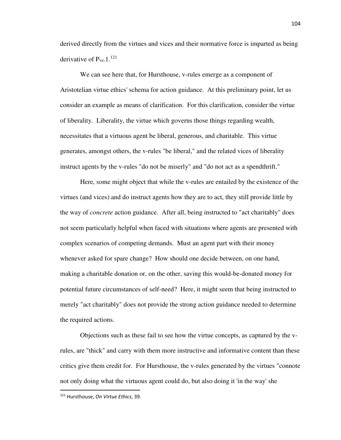derived directly from the virtues and vices and their normative force is imparted as being derivative of  $P_{\rm ve.}1$ .<sup>121</sup>

 We can see here that, for Hursthouse, v-rules emerge as a component of Aristotelian virtue ethics' schema for action guidance. At this preliminary point, let us consider an example as means of clarification. For this clarification, consider the virtue of liberality. Liberality, the virtue which governs those things regarding wealth, necessitates that a virtuous agent be liberal, generous, and charitable. This virtue generates, amongst others, the v-rules "be liberal," and the related vices of liberality instruct agents by the v-rules "do not be miserly" and "do not act as a spendthrift."

 Here, some might object that while the v-rules are entailed by the existence of the virtues (and vices) and do instruct agents how they are to act, they still provide little by the way of *concrete* action guidance. After all, being instructed to "act charitably" does not seem particularly helpful when faced with situations where agents are presented with complex scenarios of competing demands. Must an agent part with their money whenever asked for spare change? How should one decide between, on one hand, making a charitable donation or, on the other, saving this would-be-donated money for potential future circumstances of self-need? Here, it might seem that being instructed to merely "act charitably" does not provide the strong action guidance needed to determine the required actions.

 Objections such as these fail to see how the virtue concepts, as captured by the vrules, are "thick" and carry with them more instructive and informative content than these critics give them credit for. For Hursthouse, the v-rules generated by the virtues "connote not only doing what the virtuous agent could do, but also doing it 'in the way' she

.<br>-

<sup>121</sup> Hursthouse, *On Virtue Ethics*, 39.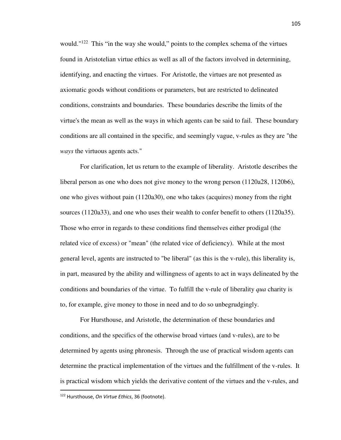would."<sup>122</sup> This "in the way she would," points to the complex schema of the virtues found in Aristotelian virtue ethics as well as all of the factors involved in determining, identifying, and enacting the virtues. For Aristotle, the virtues are not presented as axiomatic goods without conditions or parameters, but are restricted to delineated conditions, constraints and boundaries. These boundaries describe the limits of the virtue's the mean as well as the ways in which agents can be said to fail. These boundary conditions are all contained in the specific, and seemingly vague, v-rules as they are "the *ways* the virtuous agents acts."

 For clarification, let us return to the example of liberality. Aristotle describes the liberal person as one who does not give money to the wrong person (1120a28, 1120b6), one who gives without pain (1120a30), one who takes (acquires) money from the right sources (1120a33), and one who uses their wealth to confer benefit to others (1120a35). Those who error in regards to these conditions find themselves either prodigal (the related vice of excess) or "mean" (the related vice of deficiency). While at the most general level, agents are instructed to "be liberal" (as this is the v-rule), this liberality is, in part, measured by the ability and willingness of agents to act in ways delineated by the conditions and boundaries of the virtue. To fulfill the v-rule of liberality *qua* charity is to, for example, give money to those in need and to do so unbegrudgingly.

 For Hursthouse, and Aristotle, the determination of these boundaries and conditions, and the specifics of the otherwise broad virtues (and v-rules), are to be determined by agents using phronesis. Through the use of practical wisdom agents can determine the practical implementation of the virtues and the fulfillment of the v-rules. It is practical wisdom which yields the derivative content of the virtues and the v-rules, and

.<br>-

<sup>122</sup> Hursthouse, *On Virtue Ethics*, 36 (footnote).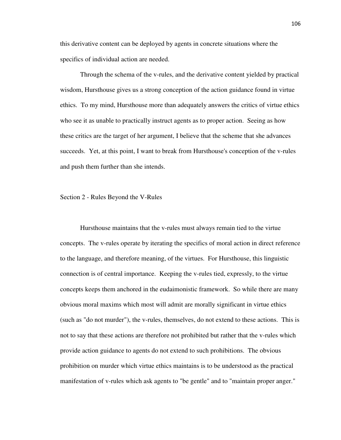this derivative content can be deployed by agents in concrete situations where the specifics of individual action are needed.

 Through the schema of the v-rules, and the derivative content yielded by practical wisdom, Hursthouse gives us a strong conception of the action guidance found in virtue ethics. To my mind, Hursthouse more than adequately answers the critics of virtue ethics who see it as unable to practically instruct agents as to proper action. Seeing as how these critics are the target of her argument, I believe that the scheme that she advances succeeds. Yet, at this point, I want to break from Hursthouse's conception of the v-rules and push them further than she intends.

#### Section 2 - Rules Beyond the V-Rules

 Hursthouse maintains that the v-rules must always remain tied to the virtue concepts. The v-rules operate by iterating the specifics of moral action in direct reference to the language, and therefore meaning, of the virtues. For Hursthouse, this linguistic connection is of central importance. Keeping the v-rules tied, expressly, to the virtue concepts keeps them anchored in the eudaimonistic framework. So while there are many obvious moral maxims which most will admit are morally significant in virtue ethics (such as "do not murder"), the v-rules, themselves, do not extend to these actions. This is not to say that these actions are therefore not prohibited but rather that the v-rules which provide action guidance to agents do not extend to such prohibitions. The obvious prohibition on murder which virtue ethics maintains is to be understood as the practical manifestation of v-rules which ask agents to "be gentle" and to "maintain proper anger."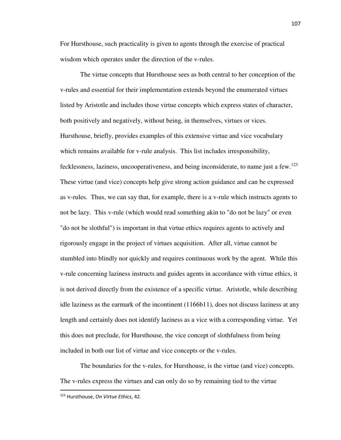For Hursthouse, such practicality is given to agents through the exercise of practical wisdom which operates under the direction of the v-rules.

 The virtue concepts that Hursthouse sees as both central to her conception of the v-rules and essential for their implementation extends beyond the enumerated virtues listed by Aristotle and includes those virtue concepts which express states of character, both positively and negatively, without being, in themselves, virtues or vices. Hursthouse, briefly, provides examples of this extensive virtue and vice vocabulary which remains available for v-rule analysis. This list includes irresponsibility, fecklessness, laziness, uncooperativeness, and being inconsiderate, to name just a few.<sup>123</sup> These virtue (and vice) concepts help give strong action guidance and can be expressed as v-rules. Thus, we can say that, for example, there is a v-rule which instructs agents to not be lazy. This v-rule (which would read something akin to "do not be lazy" or even "do not be slothful") is important in that virtue ethics requires agents to actively and rigorously engage in the project of virtues acquisition. After all, virtue cannot be stumbled into blindly nor quickly and requires continuous work by the agent. While this v-rule concerning laziness instructs and guides agents in accordance with virtue ethics, it is not derived directly from the existence of a specific virtue. Aristotle, while describing idle laziness as the earmark of the incontinent (1166b11), does not discuss laziness at any length and certainly does not identify laziness as a vice with a corresponding virtue. Yet this does not preclude, for Hursthouse, the vice concept of slothfulness from being included in both our list of virtue and vice concepts or the v-rules.

 The boundaries for the v-rules, for Hursthouse, is the virtue (and vice) concepts. The v-rules express the virtues and can only do so by remaining tied to the virtue

.<br>-

<sup>123</sup> Hursthouse, *On Virtue Ethics*, 42.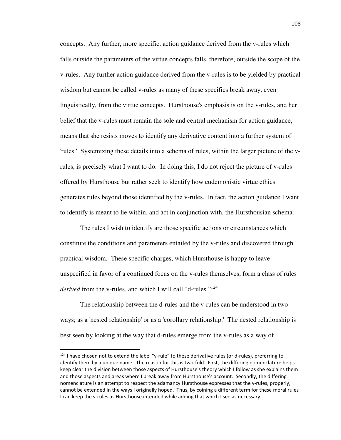concepts. Any further, more specific, action guidance derived from the v-rules which falls outside the parameters of the virtue concepts falls, therefore, outside the scope of the v-rules. Any further action guidance derived from the v-rules is to be yielded by practical wisdom but cannot be called v-rules as many of these specifics break away, even linguistically, from the virtue concepts. Hursthouse's emphasis is on the v-rules, and her belief that the v-rules must remain the sole and central mechanism for action guidance, means that she resists moves to identify any derivative content into a further system of 'rules.' Systemizing these details into a schema of rules, within the larger picture of the vrules, is precisely what I want to do. In doing this, I do not reject the picture of v-rules offered by Hursthouse but rather seek to identify how eudemonistic virtue ethics generates rules beyond those identified by the v-rules. In fact, the action guidance I want to identify is meant to lie within, and act in conjunction with, the Hursthousian schema.

 The rules I wish to identify are those specific actions or circumstances which constitute the conditions and parameters entailed by the v-rules and discovered through practical wisdom. These specific charges, which Hursthouse is happy to leave unspecified in favor of a continued focus on the v-rules themselves, form a class of rules *derived* from the v-rules, and which I will call "d-rules."<sup>124</sup>

 The relationship between the d-rules and the v-rules can be understood in two ways; as a 'nested relationship' or as a 'corollary relationship.' The nested relationship is best seen by looking at the way that d-rules emerge from the v-rules as a way of

<sup>124</sup> I have chosen not to extend the label "v-rule" to these derivative rules (or d-rules), preferring to identify them by a unique name. The reason for this is two-fold. First, the differing nomenclature helps keep clear the division between those aspects of Hursthouse's theory which I follow as she explains them and those aspects and areas where I break away from Hursthouse's account. Secondly, the differing nomenclature is an attempt to respect the adamancy Hursthouse expresses that the v-rules, properly, cannot be extended in the ways I originally hoped. Thus, by coining a different term for these moral rules I can keep the v-rules as Hursthouse intended while adding that which I see as necessary.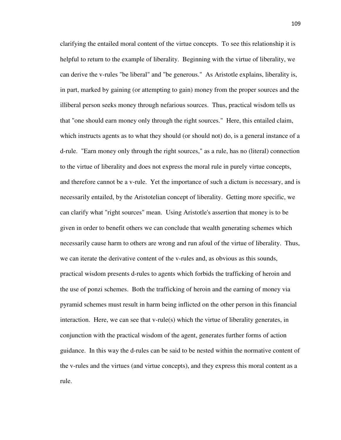clarifying the entailed moral content of the virtue concepts. To see this relationship it is helpful to return to the example of liberality. Beginning with the virtue of liberality, we can derive the v-rules "be liberal" and "be generous." As Aristotle explains, liberality is, in part, marked by gaining (or attempting to gain) money from the proper sources and the illiberal person seeks money through nefarious sources. Thus, practical wisdom tells us that "one should earn money only through the right sources." Here, this entailed claim, which instructs agents as to what they should (or should not) do, is a general instance of a d-rule. "Earn money only through the right sources," as a rule, has no (literal) connection to the virtue of liberality and does not express the moral rule in purely virtue concepts, and therefore cannot be a v-rule. Yet the importance of such a dictum is necessary, and is necessarily entailed, by the Aristotelian concept of liberality. Getting more specific, we can clarify what "right sources" mean. Using Aristotle's assertion that money is to be given in order to benefit others we can conclude that wealth generating schemes which necessarily cause harm to others are wrong and run afoul of the virtue of liberality. Thus, we can iterate the derivative content of the v-rules and, as obvious as this sounds, practical wisdom presents d-rules to agents which forbids the trafficking of heroin and the use of ponzi schemes. Both the trafficking of heroin and the earning of money via pyramid schemes must result in harm being inflicted on the other person in this financial interaction. Here, we can see that v-rule(s) which the virtue of liberality generates, in conjunction with the practical wisdom of the agent, generates further forms of action guidance. In this way the d-rules can be said to be nested within the normative content of the v-rules and the virtues (and virtue concepts), and they express this moral content as a rule.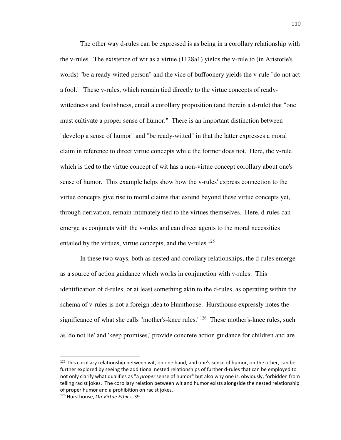The other way d-rules can be expressed is as being in a corollary relationship with the v-rules. The existence of wit as a virtue (1128a1) yields the v-rule to (in Aristotle's words) "be a ready-witted person" and the vice of buffoonery yields the v-rule "do not act a fool." These v-rules, which remain tied directly to the virtue concepts of readywittedness and foolishness, entail a corollary proposition (and therein a d-rule) that "one must cultivate a proper sense of humor." There is an important distinction between "develop a sense of humor" and "be ready-witted" in that the latter expresses a moral claim in reference to direct virtue concepts while the former does not. Here, the v-rule which is tied to the virtue concept of wit has a non-virtue concept corollary about one's sense of humor. This example helps show how the v-rules' express connection to the virtue concepts give rise to moral claims that extend beyond these virtue concepts yet, through derivation, remain intimately tied to the virtues themselves. Here, d-rules can emerge as conjuncts with the v-rules and can direct agents to the moral necessities entailed by the virtues, virtue concepts, and the v-rules. $125$ 

 In these two ways, both as nested and corollary relationships, the d-rules emerge as a source of action guidance which works in conjunction with v-rules. This identification of d-rules, or at least something akin to the d-rules, as operating within the schema of v-rules is not a foreign idea to Hursthouse. Hursthouse expressly notes the significance of what she calls "mother's-knee rules."<sup>126</sup> These mother's-knee rules, such as 'do not lie' and 'keep promises,' provide concrete action guidance for children and are

-

<sup>&</sup>lt;sup>125</sup> This corollary relationship between wit, on one hand, and one's sense of humor, on the other, can be further explored by seeing the additional nested relationships of further d-rules that can be employed to not only clarify what qualifies as "a *proper* sense of humor" but also why one is, obviously, forbidden from telling racist jokes. The corollary relation between wit and humor exists alongside the nested relationship of proper humor and a prohibition on racist jokes.

<sup>126</sup> Hursthouse, *On Virtue Ethics*, 39.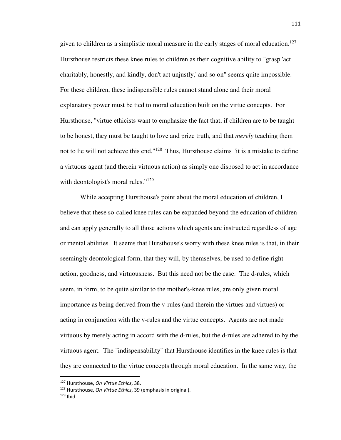given to children as a simplistic moral measure in the early stages of moral education.<sup>127</sup> Hursthouse restricts these knee rules to children as their cognitive ability to "grasp 'act charitably, honestly, and kindly, don't act unjustly,' and so on" seems quite impossible. For these children, these indispensible rules cannot stand alone and their moral explanatory power must be tied to moral education built on the virtue concepts. For Hursthouse, "virtue ethicists want to emphasize the fact that, if children are to be taught to be honest, they must be taught to love and prize truth, and that *merely* teaching them not to lie will not achieve this end."<sup>128</sup> Thus, Hursthouse claims "it is a mistake to define a virtuous agent (and therein virtuous action) as simply one disposed to act in accordance with deontologist's moral rules."<sup>129</sup>

 While accepting Hursthouse's point about the moral education of children, I believe that these so-called knee rules can be expanded beyond the education of children and can apply generally to all those actions which agents are instructed regardless of age or mental abilities. It seems that Hursthouse's worry with these knee rules is that, in their seemingly deontological form, that they will, by themselves, be used to define right action, goodness, and virtuousness. But this need not be the case. The d-rules, which seem, in form, to be quite similar to the mother's-knee rules, are only given moral importance as being derived from the v-rules (and therein the virtues and virtues) or acting in conjunction with the v-rules and the virtue concepts. Agents are not made virtuous by merely acting in accord with the d-rules, but the d-rules are adhered to by the virtuous agent. The "indispensability" that Hursthouse identifies in the knee rules is that they are connected to the virtue concepts through moral education. In the same way, the

.<br>-

<sup>127</sup> Hursthouse, *On Virtue Ethics*, 38.

<sup>128</sup> Hursthouse, *On Virtue Ethics*, 39 (emphasis in original).

 $129$  Ibid.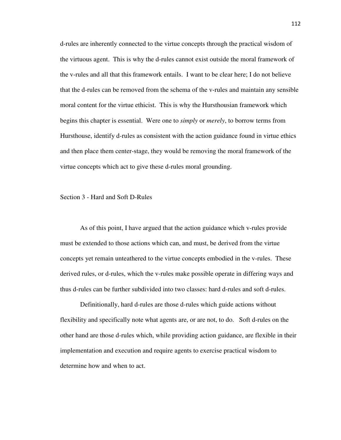d-rules are inherently connected to the virtue concepts through the practical wisdom of the virtuous agent. This is why the d-rules cannot exist outside the moral framework of the v-rules and all that this framework entails. I want to be clear here; I do not believe that the d-rules can be removed from the schema of the v-rules and maintain any sensible moral content for the virtue ethicist. This is why the Hursthousian framework which begins this chapter is essential. Were one to *simply* or *merely*, to borrow terms from Hursthouse, identify d-rules as consistent with the action guidance found in virtue ethics and then place them center-stage, they would be removing the moral framework of the virtue concepts which act to give these d-rules moral grounding.

# Section 3 - Hard and Soft D-Rules

 As of this point, I have argued that the action guidance which v-rules provide must be extended to those actions which can, and must, be derived from the virtue concepts yet remain unteathered to the virtue concepts embodied in the v-rules. These derived rules, or d-rules, which the v-rules make possible operate in differing ways and thus d-rules can be further subdivided into two classes: hard d-rules and soft d-rules.

 Definitionally, hard d-rules are those d-rules which guide actions without flexibility and specifically note what agents are, or are not, to do. Soft d-rules on the other hand are those d-rules which, while providing action guidance, are flexible in their implementation and execution and require agents to exercise practical wisdom to determine how and when to act.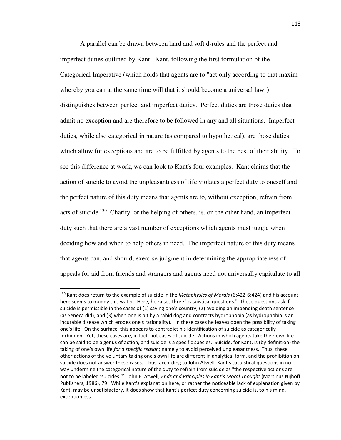A parallel can be drawn between hard and soft d-rules and the perfect and imperfect duties outlined by Kant. Kant, following the first formulation of the Categorical Imperative (which holds that agents are to "act only according to that maxim whereby you can at the same time will that it should become a universal law") distinguishes between perfect and imperfect duties. Perfect duties are those duties that admit no exception and are therefore to be followed in any and all situations. Imperfect duties, while also categorical in nature (as compared to hypothetical), are those duties which allow for exceptions and are to be fulfilled by agents to the best of their ability. To see this difference at work, we can look to Kant's four examples. Kant claims that the action of suicide to avoid the unpleasantness of life violates a perfect duty to oneself and the perfect nature of this duty means that agents are to, without exception, refrain from acts of suicide.<sup>130</sup> Charity, or the helping of others, is, on the other hand, an imperfect duty such that there are a vast number of exceptions which agents must juggle when deciding how and when to help others in need. The imperfect nature of this duty means that agents can, and should, exercise judgment in determining the appropriateness of appeals for aid from friends and strangers and agents need not universally capitulate to all

<sup>130</sup> Kant does return to the example of suicide in the *Metaphysics of Morals* (6:422-6:424) and his account here seems to muddy this water. Here, he raises three "casuistical questions." These questions ask if suicide is permissible in the cases of (1) saving one's country, (2) avoiding an impending death sentence (as Seneca did), and (3) when one is bit by a rabid dog and contracts hydrophobia (as hydrophobia is an incurable disease which erodes one's rationality). In these cases he leaves open the possibility of taking one's life. On the surface, this appears to contradict his identification of suicide as categorically forbidden. Yet, these cases are, in fact, not cases of suicide. Actions in which agents take their own life can be said to be a genus of action, and suicide is a specific species. Suicide, for Kant, is (by definition) the taking of one's own life *for a specific reason*; namely to avoid perceived unpleasantness. Thus, these other actions of the voluntary taking one's own life are different in analytical form, and the prohibition on suicide does not answer these cases. Thus, according to John Atwell, Kant's casuistical questions in no way undermine the categorical nature of the duty to refrain from suicide as "the respective actions are not to be labeled 'suicides.'" John E. Atwell, *Ends and Principles in Kant's Moral Thought* (Martinus Nijhoff Publishers, 1986), 79. While Kant's explanation here, or rather the noticeable lack of explanation given by Kant, may be unsatisfactory, it does show that Kant's perfect duty concerning suicide is, to his mind, exceptionless.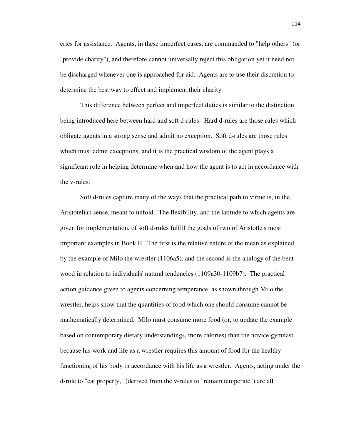cries for assistance. Agents, in these imperfect cases, are commanded to "help others" (or "provide charity"), and therefore cannot universally reject this obligation yet it need not be discharged whenever one is approached for aid. Agents are to use their discretion to determine the best way to effect and implement their charity.

 This difference between perfect and imperfect duties is similar to the distinction being introduced here between hard and soft d-rules. Hard d-rules are those rules which obligate agents in a strong sense and admit no exception. Soft d-rules are those rules which must admit exceptions, and it is the practical wisdom of the agent plays a significant role in helping determine when and how the agent is to act in accordance with the v-rules.

 Soft d-rules capture many of the ways that the practical path to virtue is, in the Aristotelian sense, meant to unfold. The flexibility, and the latitude to which agents are given for implementation, of soft d-rules fulfill the goals of two of Aristotle's most important examples in Book II. The first is the relative nature of the mean as explained by the example of Milo the wrestler (1106a5), and the second is the analogy of the bent wood in relation to individuals' natural tendencies (1109a30-1109b7). The practical action guidance given to agents concerning temperance, as shown through Milo the wrestler, helps show that the quantities of food which one should consume cannot be mathematically determined. Milo must consume more food (or, to update the example based on contemporary dietary understandings, more calories) than the novice gymnast because his work and life as a wrestler requires this amount of food for the healthy functioning of his body in accordance with his life as a wrestler. Agents, acting under the d-rule to "eat properly," (derived from the v-rules to "remain temperate") are all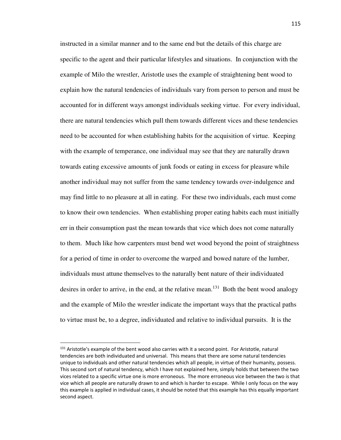instructed in a similar manner and to the same end but the details of this charge are specific to the agent and their particular lifestyles and situations. In conjunction with the example of Milo the wrestler, Aristotle uses the example of straightening bent wood to explain how the natural tendencies of individuals vary from person to person and must be accounted for in different ways amongst individuals seeking virtue. For every individual, there are natural tendencies which pull them towards different vices and these tendencies need to be accounted for when establishing habits for the acquisition of virtue. Keeping with the example of temperance, one individual may see that they are naturally drawn towards eating excessive amounts of junk foods or eating in excess for pleasure while another individual may not suffer from the same tendency towards over-indulgence and may find little to no pleasure at all in eating. For these two individuals, each must come to know their own tendencies. When establishing proper eating habits each must initially err in their consumption past the mean towards that vice which does not come naturally to them. Much like how carpenters must bend wet wood beyond the point of straightness for a period of time in order to overcome the warped and bowed nature of the lumber, individuals must attune themselves to the naturally bent nature of their individuated desires in order to arrive, in the end, at the relative mean.<sup>131</sup> Both the bent wood analogy and the example of Milo the wrestler indicate the important ways that the practical paths to virtue must be, to a degree, individuated and relative to individual pursuits. It is the

-

<sup>&</sup>lt;sup>131</sup> Aristotle's example of the bent wood also carries with it a second point. For Aristotle, natural tendencies are both individuated and universal. This means that there are some natural tendencies unique to individuals and other natural tendencies which all people, in virtue of their humanity, possess. This second sort of natural tendency, which I have not explained here, simply holds that between the two vices related to a specific virtue one is more erroneous. The more erroneous vice between the two is that vice which all people are naturally drawn to and which is harder to escape. While I only focus on the way this example is applied in individual cases, it should be noted that this example has this equally important second aspect.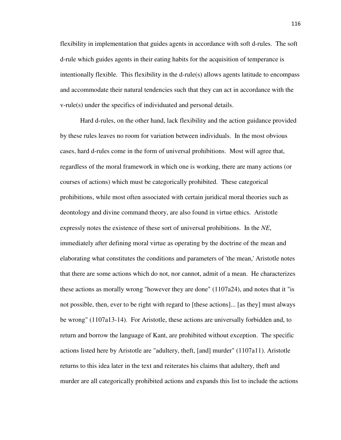flexibility in implementation that guides agents in accordance with soft d-rules. The soft d-rule which guides agents in their eating habits for the acquisition of temperance is intentionally flexible. This flexibility in the d-rule(s) allows agents latitude to encompass and accommodate their natural tendencies such that they can act in accordance with the v-rule(s) under the specifics of individuated and personal details.

 Hard d-rules, on the other hand, lack flexibility and the action guidance provided by these rules leaves no room for variation between individuals. In the most obvious cases, hard d-rules come in the form of universal prohibitions. Most will agree that, regardless of the moral framework in which one is working, there are many actions (or courses of actions) which must be categorically prohibited. These categorical prohibitions, while most often associated with certain juridical moral theories such as deontology and divine command theory, are also found in virtue ethics. Aristotle expressly notes the existence of these sort of universal prohibitions. In the *NE*, immediately after defining moral virtue as operating by the doctrine of the mean and elaborating what constitutes the conditions and parameters of 'the mean,' Aristotle notes that there are some actions which do not, nor cannot, admit of a mean. He characterizes these actions as morally wrong "however they are done" (1107a24), and notes that it "is not possible, then, ever to be right with regard to [these actions]... [as they] must always be wrong" (1107a13-14). For Aristotle, these actions are universally forbidden and, to return and borrow the language of Kant, are prohibited without exception. The specific actions listed here by Aristotle are "adultery, theft, [and] murder" (1107a11). Aristotle returns to this idea later in the text and reiterates his claims that adultery, theft and murder are all categorically prohibited actions and expands this list to include the actions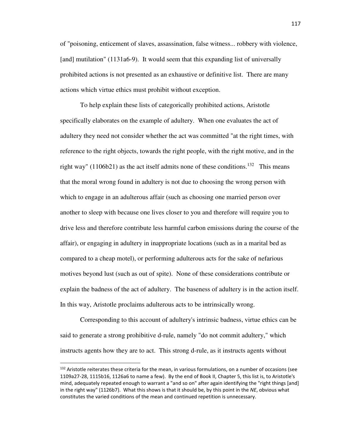of "poisoning, enticement of slaves, assassination, false witness... robbery with violence, [and] mutilation" (1131a6-9). It would seem that this expanding list of universally prohibited actions is not presented as an exhaustive or definitive list. There are many actions which virtue ethics must prohibit without exception.

 To help explain these lists of categorically prohibited actions, Aristotle specifically elaborates on the example of adultery. When one evaluates the act of adultery they need not consider whether the act was committed "at the right times, with reference to the right objects, towards the right people, with the right motive, and in the right way" (1106b21) as the act itself admits none of these conditions.<sup>132</sup> This means that the moral wrong found in adultery is not due to choosing the wrong person with which to engage in an adulterous affair (such as choosing one married person over another to sleep with because one lives closer to you and therefore will require you to drive less and therefore contribute less harmful carbon emissions during the course of the affair), or engaging in adultery in inappropriate locations (such as in a marital bed as compared to a cheap motel), or performing adulterous acts for the sake of nefarious motives beyond lust (such as out of spite). None of these considerations contribute or explain the badness of the act of adultery. The baseness of adultery is in the action itself. In this way, Aristotle proclaims adulterous acts to be intrinsically wrong.

 Corresponding to this account of adultery's intrinsic badness, virtue ethics can be said to generate a strong prohibitive d-rule, namely "do not commit adultery," which instructs agents how they are to act. This strong d-rule, as it instructs agents without

<sup>&</sup>lt;sup>132</sup> Aristotle reiterates these criteria for the mean, in various formulations, on a number of occasions (see 1109a27-28, 1115b16, 1126a6 to name a few). By the end of Book II, Chapter 5, this list is, to Aristotle's mind, adequately repeated enough to warrant a "and so on" after again identifying the "right things [and] in the right way" (1126b7). What this shows is that it should be, by this point in the *NE*, obvious what constitutes the varied conditions of the mean and continued repetition is unnecessary.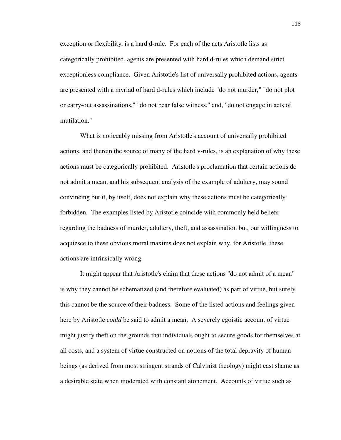exception or flexibility, is a hard d-rule. For each of the acts Aristotle lists as categorically prohibited, agents are presented with hard d-rules which demand strict exceptionless compliance. Given Aristotle's list of universally prohibited actions, agents are presented with a myriad of hard d-rules which include "do not murder," "do not plot or carry-out assassinations," "do not bear false witness," and, "do not engage in acts of mutilation."

 What is noticeably missing from Aristotle's account of universally prohibited actions, and therein the source of many of the hard v-rules, is an explanation of why these actions must be categorically prohibited. Aristotle's proclamation that certain actions do not admit a mean, and his subsequent analysis of the example of adultery, may sound convincing but it, by itself, does not explain why these actions must be categorically forbidden. The examples listed by Aristotle coincide with commonly held beliefs regarding the badness of murder, adultery, theft, and assassination but, our willingness to acquiesce to these obvious moral maxims does not explain why, for Aristotle, these actions are intrinsically wrong.

 It might appear that Aristotle's claim that these actions "do not admit of a mean" is why they cannot be schematized (and therefore evaluated) as part of virtue, but surely this cannot be the source of their badness. Some of the listed actions and feelings given here by Aristotle *could* be said to admit a mean. A severely egoistic account of virtue might justify theft on the grounds that individuals ought to secure goods for themselves at all costs, and a system of virtue constructed on notions of the total depravity of human beings (as derived from most stringent strands of Calvinist theology) might cast shame as a desirable state when moderated with constant atonement. Accounts of virtue such as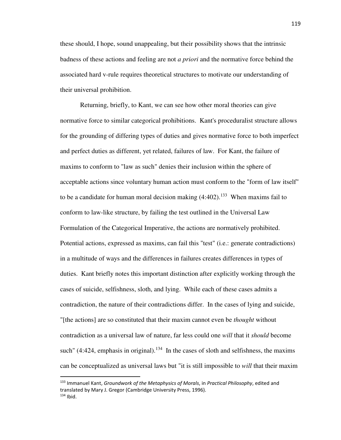these should, I hope, sound unappealing, but their possibility shows that the intrinsic badness of these actions and feeling are not *a priori* and the normative force behind the associated hard v-rule requires theoretical structures to motivate our understanding of their universal prohibition.

 Returning, briefly, to Kant, we can see how other moral theories can give normative force to similar categorical prohibitions. Kant's proceduralist structure allows for the grounding of differing types of duties and gives normative force to both imperfect and perfect duties as different, yet related, failures of law. For Kant, the failure of maxims to conform to "law as such" denies their inclusion within the sphere of acceptable actions since voluntary human action must conform to the "form of law itself" to be a candidate for human moral decision making  $(4:402)$ .<sup>133</sup> When maxims fail to conform to law-like structure, by failing the test outlined in the Universal Law Formulation of the Categorical Imperative, the actions are normatively prohibited. Potential actions, expressed as maxims, can fail this "test" (i.e.: generate contradictions) in a multitude of ways and the differences in failures creates differences in types of duties. Kant briefly notes this important distinction after explicitly working through the cases of suicide, selfishness, sloth, and lying. While each of these cases admits a contradiction, the nature of their contradictions differ. In the cases of lying and suicide, "[the actions] are so constituted that their maxim cannot even be *thought* without contradiction as a universal law of nature, far less could one *will* that it *should* become such"  $(4:424,$  emphasis in original).<sup>134</sup> In the cases of sloth and selfishness, the maxims can be conceptualized as universal laws but "it is still impossible to *will* that their maxim

.<br>-

<sup>133</sup> Immanuel Kant, *Groundwork of the Metaphysics of Morals*, in *Practical Philosophy*, edited and translated by Mary J. Gregor (Cambridge University Press, 1996).  $134$  Ibid.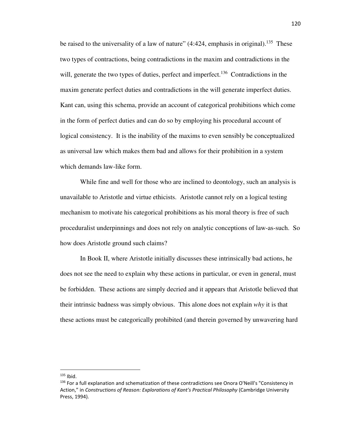be raised to the universality of a law of nature"  $(4:424,$  emphasis in original).<sup>135</sup> These two types of contractions, being contradictions in the maxim and contradictions in the will, generate the two types of duties, perfect and imperfect.<sup>136</sup> Contradictions in the maxim generate perfect duties and contradictions in the will generate imperfect duties. Kant can, using this schema, provide an account of categorical prohibitions which come in the form of perfect duties and can do so by employing his procedural account of logical consistency. It is the inability of the maxims to even sensibly be conceptualized as universal law which makes them bad and allows for their prohibition in a system which demands law-like form.

 While fine and well for those who are inclined to deontology, such an analysis is unavailable to Aristotle and virtue ethicists. Aristotle cannot rely on a logical testing mechanism to motivate his categorical prohibitions as his moral theory is free of such proceduralist underpinnings and does not rely on analytic conceptions of law-as-such. So how does Aristotle ground such claims?

 In Book II, where Aristotle initially discusses these intrinsically bad actions, he does not see the need to explain why these actions in particular, or even in general, must be forbidden. These actions are simply decried and it appears that Aristotle believed that their intrinsic badness was simply obvious. This alone does not explain *why* it is that these actions must be categorically prohibited (and therein governed by unwavering hard

-

 $135$  Ibid.

<sup>&</sup>lt;sup>136</sup> For a full explanation and schematization of these contradictions see Onora O'Neill's "Consistency in Action," in *Constructions of Reason: Explorations of Kant's Practical Philosophy* (Cambridge University Press, 1994).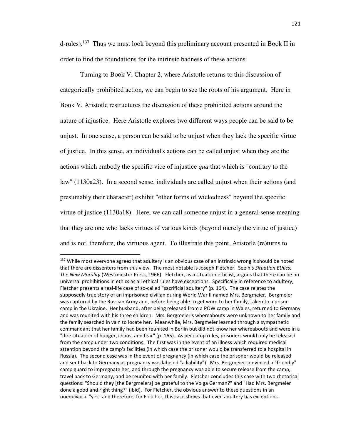d-rules).<sup>137</sup> Thus we must look beyond this preliminary account presented in Book II in order to find the foundations for the intrinsic badness of these actions.

 Turning to Book V, Chapter 2, where Aristotle returns to this discussion of categorically prohibited action, we can begin to see the roots of his argument. Here in Book V, Aristotle restructures the discussion of these prohibited actions around the nature of injustice. Here Aristotle explores two different ways people can be said to be unjust. In one sense, a person can be said to be unjust when they lack the specific virtue of justice. In this sense, an individual's actions can be called unjust when they are the actions which embody the specific vice of injustice *qua* that which is "contrary to the law" (1130a23). In a second sense, individuals are called unjust when their actions (and presumably their character) exhibit "other forms of wickedness" beyond the specific virtue of justice (1130a18). Here, we can call someone unjust in a general sense meaning that they are one who lacks virtues of various kinds (beyond merely the virtue of justice) and is not, therefore, the virtuous agent. To illustrate this point, Aristotle (re)turns to

-

<sup>&</sup>lt;sup>137</sup> While most everyone agrees that adultery is an obvious case of an intrinsic wrong it should be noted that there are dissenters from this view. The most notable is Joseph Fletcher. See his *Situation Ethics: The New Morality* (Westminster Press, 1966). Fletcher, as a situation ethicist, argues that there can be no universal prohibitions in ethics as all ethical rules have exceptions. Specifically in reference to adultery, Fletcher presents a real-life case of so-called "sacrificial adultery" (p. 164). The case relates the supposedly true story of an imprisoned civilian during World War II named Mrs. Bergmeier. Bergmeier was captured by the Russian Army and, before being able to get word to her family, taken to a prison camp in the Ukraine. Her husband, after being released from a POW camp in Wales, returned to Germany and was reunited with his three children. Mrs. Bergmeier's whereabouts were unknown to her family and the family searched in vain to locate her. Meanwhile, Mrs. Bergmeier learned through a sympathetic commandant that her family had been reunited in Berlin but did not know her whereabouts and were in a "dire situation of hunger, chaos, and fear" (p. 165). As per camp rules, prisoners would only be released from the camp under two conditions. The first was in the event of an illness which required medical attention beyond the camp's facilities (in which case the prisoner would be transferred to a hospital in Russia). The second case was in the event of pregnancy (in which case the prisoner would be released and sent back to Germany as pregnancy was labeled "a liability"). Mrs. Bergmeier convinced a "friendly" camp guard to impregnate her, and through the pregnancy was able to secure release from the camp, travel back to Germany, and be reunited with her family. Fletcher concludes this case with two rhetorical questions: "Should they [the Bergmeiers] be grateful to the Volga German?" and "Had Mrs. Bergmeier done a good and right thing?" (ibid). For Fletcher, the obvious answer to these questions in an unequivocal "yes" and therefore, for Fletcher, this case shows that even adultery has exceptions.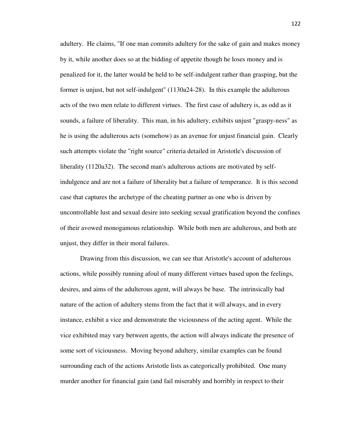adultery. He claims, "If one man commits adultery for the sake of gain and makes money by it, while another does so at the bidding of appetite though he loses money and is penalized for it, the latter would be held to be self-indulgent rather than grasping, but the former is unjust, but not self-indulgent" (1130a24-28). In this example the adulterous acts of the two men relate to different virtues. The first case of adultery is, as odd as it sounds, a failure of liberality. This man, in his adultery, exhibits unjust "graspy-ness" as he is using the adulterous acts (somehow) as an avenue for unjust financial gain. Clearly such attempts violate the "right source" criteria detailed in Aristotle's discussion of liberality (1120a32). The second man's adulterous actions are motivated by selfindulgence and are not a failure of liberality but a failure of temperance. It is this second case that captures the archetype of the cheating partner as one who is driven by uncontrollable lust and sexual desire into seeking sexual gratification beyond the confines of their avowed monogamous relationship. While both men are adulterous, and both are unjust, they differ in their moral failures.

 Drawing from this discussion, we can see that Aristotle's account of adulterous actions, while possibly running afoul of many different virtues based upon the feelings, desires, and aims of the adulterous agent, will always be base. The intrinsically bad nature of the action of adultery stems from the fact that it will always, and in every instance, exhibit a vice and demonstrate the viciousness of the acting agent. While the vice exhibited may vary between agents, the action will always indicate the presence of some sort of viciousness. Moving beyond adultery, similar examples can be found surrounding each of the actions Aristotle lists as categorically prohibited. One many murder another for financial gain (and fail miserably and horribly in respect to their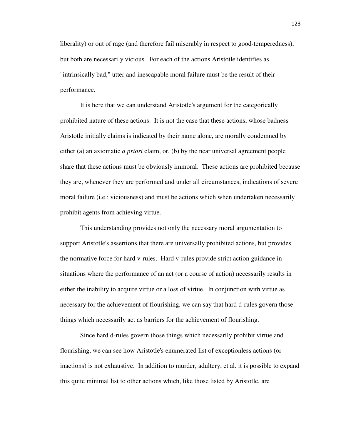liberality) or out of rage (and therefore fail miserably in respect to good-temperedness), but both are necessarily vicious. For each of the actions Aristotle identifies as "intrinsically bad," utter and inescapable moral failure must be the result of their performance.

 It is here that we can understand Aristotle's argument for the categorically prohibited nature of these actions. It is not the case that these actions, whose badness Aristotle initially claims is indicated by their name alone, are morally condemned by either (a) an axiomatic *a priori* claim, or, (b) by the near universal agreement people share that these actions must be obviously immoral. These actions are prohibited because they are, whenever they are performed and under all circumstances, indications of severe moral failure (i.e.: viciousness) and must be actions which when undertaken necessarily prohibit agents from achieving virtue.

 This understanding provides not only the necessary moral argumentation to support Aristotle's assertions that there are universally prohibited actions, but provides the normative force for hard v-rules. Hard v-rules provide strict action guidance in situations where the performance of an act (or a course of action) necessarily results in either the inability to acquire virtue or a loss of virtue. In conjunction with virtue as necessary for the achievement of flourishing, we can say that hard d-rules govern those things which necessarily act as barriers for the achievement of flourishing.

 Since hard d-rules govern those things which necessarily prohibit virtue and flourishing, we can see how Aristotle's enumerated list of exceptionless actions (or inactions) is not exhaustive. In addition to murder, adultery, et al. it is possible to expand this quite minimal list to other actions which, like those listed by Aristotle, are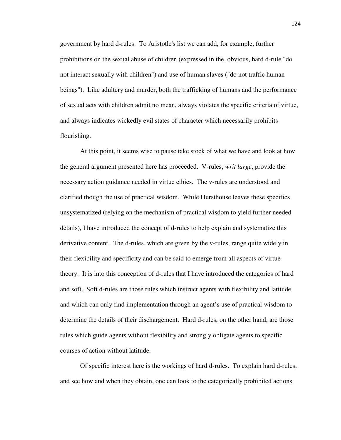government by hard d-rules. To Aristotle's list we can add, for example, further prohibitions on the sexual abuse of children (expressed in the, obvious, hard d-rule "do not interact sexually with children") and use of human slaves ("do not traffic human beings"). Like adultery and murder, both the trafficking of humans and the performance of sexual acts with children admit no mean, always violates the specific criteria of virtue, and always indicates wickedly evil states of character which necessarily prohibits flourishing.

 At this point, it seems wise to pause take stock of what we have and look at how the general argument presented here has proceeded. V-rules, *writ large*, provide the necessary action guidance needed in virtue ethics. The v-rules are understood and clarified though the use of practical wisdom. While Hursthouse leaves these specifics unsystematized (relying on the mechanism of practical wisdom to yield further needed details), I have introduced the concept of d-rules to help explain and systematize this derivative content. The d-rules, which are given by the v-rules, range quite widely in their flexibility and specificity and can be said to emerge from all aspects of virtue theory. It is into this conception of d-rules that I have introduced the categories of hard and soft. Soft d-rules are those rules which instruct agents with flexibility and latitude and which can only find implementation through an agent's use of practical wisdom to determine the details of their dischargement. Hard d-rules, on the other hand, are those rules which guide agents without flexibility and strongly obligate agents to specific courses of action without latitude.

 Of specific interest here is the workings of hard d-rules. To explain hard d-rules, and see how and when they obtain, one can look to the categorically prohibited actions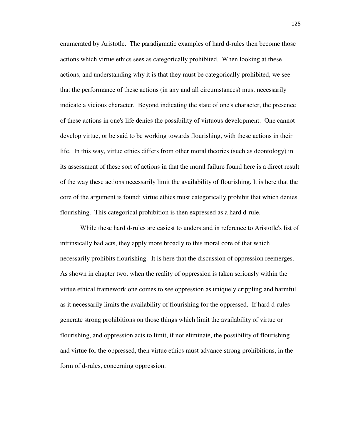enumerated by Aristotle. The paradigmatic examples of hard d-rules then become those actions which virtue ethics sees as categorically prohibited. When looking at these actions, and understanding why it is that they must be categorically prohibited, we see that the performance of these actions (in any and all circumstances) must necessarily indicate a vicious character. Beyond indicating the state of one's character, the presence of these actions in one's life denies the possibility of virtuous development. One cannot develop virtue, or be said to be working towards flourishing, with these actions in their life. In this way, virtue ethics differs from other moral theories (such as deontology) in its assessment of these sort of actions in that the moral failure found here is a direct result of the way these actions necessarily limit the availability of flourishing. It is here that the core of the argument is found: virtue ethics must categorically prohibit that which denies flourishing. This categorical prohibition is then expressed as a hard d-rule.

 While these hard d-rules are easiest to understand in reference to Aristotle's list of intrinsically bad acts, they apply more broadly to this moral core of that which necessarily prohibits flourishing. It is here that the discussion of oppression reemerges. As shown in chapter two, when the reality of oppression is taken seriously within the virtue ethical framework one comes to see oppression as uniquely crippling and harmful as it necessarily limits the availability of flourishing for the oppressed. If hard d-rules generate strong prohibitions on those things which limit the availability of virtue or flourishing, and oppression acts to limit, if not eliminate, the possibility of flourishing and virtue for the oppressed, then virtue ethics must advance strong prohibitions, in the form of d-rules, concerning oppression.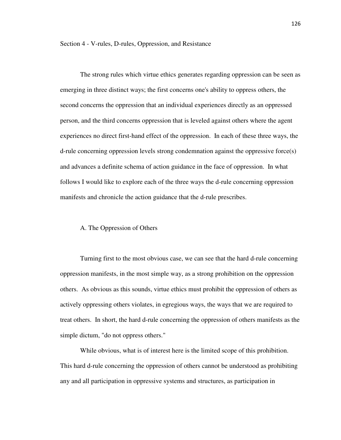Section 4 - V-rules, D-rules, Oppression, and Resistance

 The strong rules which virtue ethics generates regarding oppression can be seen as emerging in three distinct ways; the first concerns one's ability to oppress others, the second concerns the oppression that an individual experiences directly as an oppressed person, and the third concerns oppression that is leveled against others where the agent experiences no direct first-hand effect of the oppression. In each of these three ways, the d-rule concerning oppression levels strong condemnation against the oppressive force(s) and advances a definite schema of action guidance in the face of oppression. In what follows I would like to explore each of the three ways the d-rule concerning oppression manifests and chronicle the action guidance that the d-rule prescribes.

## A. The Oppression of Others

 Turning first to the most obvious case, we can see that the hard d-rule concerning oppression manifests, in the most simple way, as a strong prohibition on the oppression others. As obvious as this sounds, virtue ethics must prohibit the oppression of others as actively oppressing others violates, in egregious ways, the ways that we are required to treat others. In short, the hard d-rule concerning the oppression of others manifests as the simple dictum, "do not oppress others."

 While obvious, what is of interest here is the limited scope of this prohibition. This hard d-rule concerning the oppression of others cannot be understood as prohibiting any and all participation in oppressive systems and structures, as participation in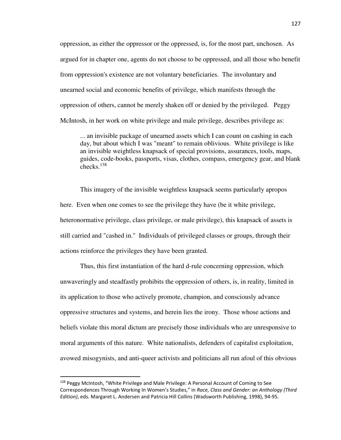oppression, as either the oppressor or the oppressed, is, for the most part, unchosen. As argued for in chapter one, agents do not choose to be oppressed, and all those who benefit from oppression's existence are not voluntary beneficiaries. The involuntary and unearned social and economic benefits of privilege, which manifests through the oppression of others, cannot be merely shaken off or denied by the privileged. Peggy McIntosh, in her work on white privilege and male privilege, describes privilege as:

... an invisible package of unearned assets which I can count on cashing in each day, but about which I was "meant" to remain oblivious. White privilege is like an invisible weightless knapsack of special provisions, assurances, tools, maps, guides, code-books, passports, visas, clothes, compass, emergency gear, and blank checks.<sup>138</sup>

 This imagery of the invisible weightless knapsack seems particularly apropos here. Even when one comes to see the privilege they have (be it white privilege, heteronormative privilege, class privilege, or male privilege), this knapsack of assets is still carried and "cashed in." Individuals of privileged classes or groups, through their actions reinforce the privileges they have been granted.

 Thus, this first instantiation of the hard d-rule concerning oppression, which unwaveringly and steadfastly prohibits the oppression of others, is, in reality, limited in its application to those who actively promote, champion, and consciously advance oppressive structures and systems, and herein lies the irony. Those whose actions and beliefs violate this moral dictum are precisely those individuals who are unresponsive to moral arguments of this nature. White nationalists, defenders of capitalist exploitation, avowed misogynists, and anti-queer activists and politicians all run afoul of this obvious

<sup>&</sup>lt;sup>138</sup> Peggy McIntosh, "White Privilege and Male Privilege: A Personal Account of Coming to See Correspondences Through Working In Women's Studies," in *Race, Class and Gender: an Anthology (Third Edition)*, eds. Margaret L. Andersen and Patricia Hill Collins (Wadsworth Publishing, 1998), 94-95.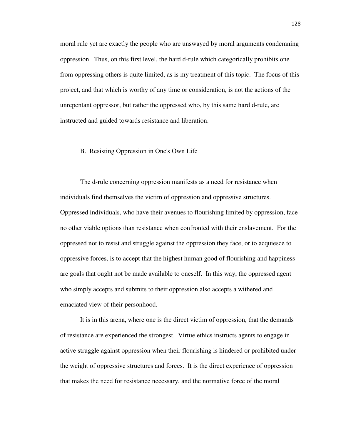moral rule yet are exactly the people who are unswayed by moral arguments condemning oppression. Thus, on this first level, the hard d-rule which categorically prohibits one from oppressing others is quite limited, as is my treatment of this topic. The focus of this project, and that which is worthy of any time or consideration, is not the actions of the unrepentant oppressor, but rather the oppressed who, by this same hard d-rule, are instructed and guided towards resistance and liberation.

### B. Resisting Oppression in One's Own Life

 The d-rule concerning oppression manifests as a need for resistance when individuals find themselves the victim of oppression and oppressive structures. Oppressed individuals, who have their avenues to flourishing limited by oppression, face no other viable options than resistance when confronted with their enslavement. For the oppressed not to resist and struggle against the oppression they face, or to acquiesce to oppressive forces, is to accept that the highest human good of flourishing and happiness are goals that ought not be made available to oneself. In this way, the oppressed agent who simply accepts and submits to their oppression also accepts a withered and emaciated view of their personhood.

 It is in this arena, where one is the direct victim of oppression, that the demands of resistance are experienced the strongest. Virtue ethics instructs agents to engage in active struggle against oppression when their flourishing is hindered or prohibited under the weight of oppressive structures and forces. It is the direct experience of oppression that makes the need for resistance necessary, and the normative force of the moral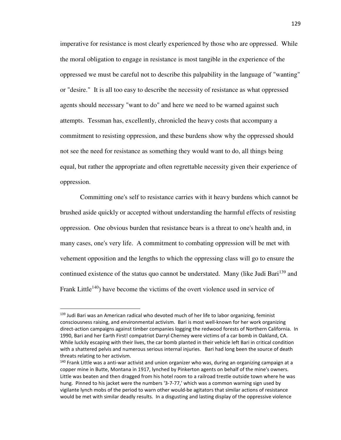imperative for resistance is most clearly experienced by those who are oppressed. While the moral obligation to engage in resistance is most tangible in the experience of the oppressed we must be careful not to describe this palpability in the language of "wanting" or "desire." It is all too easy to describe the necessity of resistance as what oppressed agents should necessary "want to do" and here we need to be warned against such attempts. Tessman has, excellently, chronicled the heavy costs that accompany a commitment to resisting oppression, and these burdens show why the oppressed should not see the need for resistance as something they would want to do, all things being equal, but rather the appropriate and often regrettable necessity given their experience of oppression.

 Committing one's self to resistance carries with it heavy burdens which cannot be brushed aside quickly or accepted without understanding the harmful effects of resisting oppression. One obvious burden that resistance bears is a threat to one's health and, in many cases, one's very life. A commitment to combating oppression will be met with vehement opposition and the lengths to which the oppressing class will go to ensure the continued existence of the status quo cannot be understated. Many (like Judi Bari<sup>139</sup> and Frank Little<sup>140</sup>) have become the victims of the overt violence used in service of

<sup>&</sup>lt;sup>139</sup> Judi Bari was an American radical who devoted much of her life to labor organizing, feminist consciousness raising, and environmental activism. Bari is most well-known for her work organizing direct-action campaigns against timber companies logging the redwood forests of Northern California. In 1990, Bari and her Earth First! compatriot Darryl Cherney were victims of a car bomb in Oakland, CA. While luckily escaping with their lives, the car bomb planted in their vehicle left Bari in critical condition with a shattered pelvis and numerous serious internal injuries. Bari had long been the source of death threats relating to her activism.

<sup>&</sup>lt;sup>140</sup> Frank Little was a anti-war activist and union organizer who was, during an organizing campaign at a copper mine in Butte, Montana in 1917, lynched by Pinkerton agents on behalf of the mine's owners. Little was beaten and then dragged from his hotel room to a railroad trestle outside town where he was hung. Pinned to his jacket were the numbers '3-7-77,' which was a common warning sign used by vigilante lynch mobs of the period to warn other would-be agitators that similar actions of resistance would be met with similar deadly results. In a disgusting and lasting display of the oppressive violence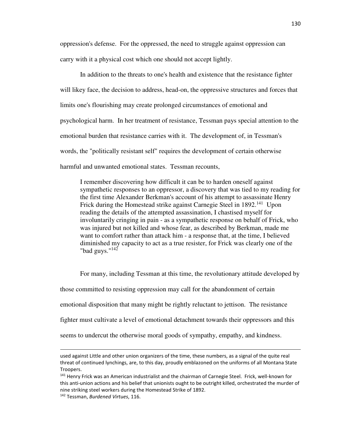oppression's defense. For the oppressed, the need to struggle against oppression can carry with it a physical cost which one should not accept lightly.

 In addition to the threats to one's health and existence that the resistance fighter will likey face, the decision to address, head-on, the oppressive structures and forces that limits one's flourishing may create prolonged circumstances of emotional and psychological harm. In her treatment of resistance, Tessman pays special attention to the emotional burden that resistance carries with it. The development of, in Tessman's words, the "politically resistant self" requires the development of certain otherwise harmful and unwanted emotional states. Tessman recounts,

I remember discovering how difficult it can be to harden oneself against sympathetic responses to an oppressor, a discovery that was tied to my reading for the first time Alexander Berkman's account of his attempt to assassinate Henry Frick during the Homestead strike against Carnegie Steel in 1892.<sup>141</sup> Upon reading the details of the attempted assassination, I chastised myself for involuntarily cringing in pain - as a sympathetic response on behalf of Frick, who was injured but not killed and whose fear, as described by Berkman, made me want to comfort rather than attack him - a response that, at the time, I believed diminished my capacity to act as a true resister, for Frick was clearly one of the "bad guys." $142$ 

 For many, including Tessman at this time, the revolutionary attitude developed by those committed to resisting oppression may call for the abandonment of certain emotional disposition that many might be rightly reluctant to jettison. The resistance fighter must cultivate a level of emotional detachment towards their oppressors and this seems to undercut the otherwise moral goods of sympathy, empathy, and kindness.

used against Little and other union organizers of the time, these numbers, as a signal of the quite real threat of continued lynchings, are, to this day, proudly emblazoned on the uniforms of all Montana State Troopers.

<sup>141</sup> Henry Frick was an American industrialist and the chairman of Carnegie Steel. Frick, well-known for this anti-union actions and his belief that unionists ought to be outright killed, orchestrated the murder of nine striking steel workers during the Homestead Strike of 1892.

<sup>142</sup> Tessman, *Burdened Virtues*, 116.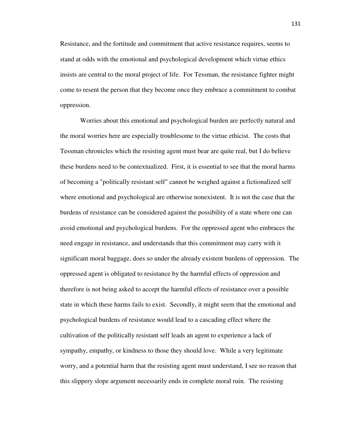Resistance, and the fortitude and commitment that active resistance requires, seems to stand at odds with the emotional and psychological development which virtue ethics insists are central to the moral project of life. For Tessman, the resistance fighter might come to resent the person that they become once they embrace a commitment to combat oppression.

 Worries about this emotional and psychological burden are perfectly natural and the moral worries here are especially troublesome to the virtue ethicist. The costs that Tessman chronicles which the resisting agent must bear are quite real, but I do believe these burdens need to be contextualized. First, it is essential to see that the moral harms of becoming a "politically resistant self" cannot be weighed against a fictionalized self where emotional and psychological are otherwise nonexistent. It is not the case that the burdens of resistance can be considered against the possibility of a state where one can avoid emotional and psychological burdens. For the oppressed agent who embraces the need engage in resistance, and understands that this commitment may carry with it significant moral baggage, does so under the already existent burdens of oppression. The oppressed agent is obligated to resistance by the harmful effects of oppression and therefore is not being asked to accept the harmful effects of resistance over a possible state in which these harms fails to exist. Secondly, it might seem that the emotional and psychological burdens of resistance would lead to a cascading effect where the cultivation of the politically resistant self leads an agent to experience a lack of sympathy, empathy, or kindness to those they should love. While a very legitimate worry, and a potential harm that the resisting agent must understand, I see no reason that this slippery slope argument necessarily ends in complete moral ruin. The resisting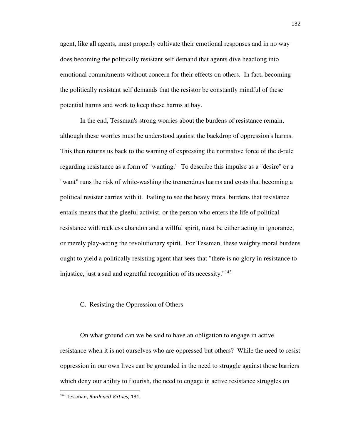agent, like all agents, must properly cultivate their emotional responses and in no way does becoming the politically resistant self demand that agents dive headlong into emotional commitments without concern for their effects on others. In fact, becoming the politically resistant self demands that the resistor be constantly mindful of these potential harms and work to keep these harms at bay.

 In the end, Tessman's strong worries about the burdens of resistance remain, although these worries must be understood against the backdrop of oppression's harms. This then returns us back to the warning of expressing the normative force of the d-rule regarding resistance as a form of "wanting." To describe this impulse as a "desire" or a "want" runs the risk of white-washing the tremendous harms and costs that becoming a political resister carries with it. Failing to see the heavy moral burdens that resistance entails means that the gleeful activist, or the person who enters the life of political resistance with reckless abandon and a willful spirit, must be either acting in ignorance, or merely play-acting the revolutionary spirit. For Tessman, these weighty moral burdens ought to yield a politically resisting agent that sees that "there is no glory in resistance to injustice, just a sad and regretful recognition of its necessity."<sup>143</sup>

## C. Resisting the Oppression of Others

 On what ground can we be said to have an obligation to engage in active resistance when it is not ourselves who are oppressed but others? While the need to resist oppression in our own lives can be grounded in the need to struggle against those barriers which deny our ability to flourish, the need to engage in active resistance struggles on

<sup>143</sup> Tessman, *Burdened Virtues*, 131.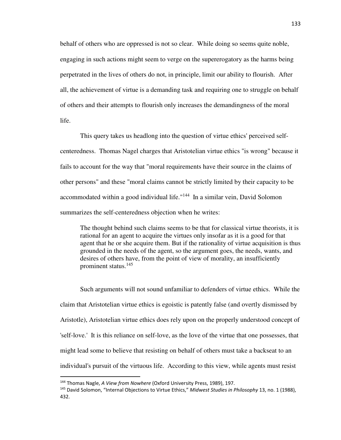behalf of others who are oppressed is not so clear. While doing so seems quite noble, engaging in such actions might seem to verge on the supererogatory as the harms being perpetrated in the lives of others do not, in principle, limit our ability to flourish. After all, the achievement of virtue is a demanding task and requiring one to struggle on behalf of others and their attempts to flourish only increases the demandingness of the moral life.

 This query takes us headlong into the question of virtue ethics' perceived selfcenteredness. Thomas Nagel charges that Aristotelian virtue ethics "is wrong" because it fails to account for the way that "moral requirements have their source in the claims of other persons" and these "moral claims cannot be strictly limited by their capacity to be accommodated within a good individual life."<sup>144</sup> In a similar vein, David Solomon summarizes the self-centeredness objection when he writes:

The thought behind such claims seems to be that for classical virtue theorists, it is rational for an agent to acquire the virtues only insofar as it is a good for that agent that he or she acquire them. But if the rationality of virtue acquisition is thus grounded in the needs of the agent, so the argument goes, the needs, wants, and desires of others have, from the point of view of morality, an insufficiently prominent status.<sup>145</sup>

 Such arguments will not sound unfamiliar to defenders of virtue ethics. While the claim that Aristotelian virtue ethics is egoistic is patently false (and overtly dismissed by Aristotle), Aristotelian virtue ethics does rely upon on the properly understood concept of 'self-love.' It is this reliance on self-love, as the love of the virtue that one possesses, that might lead some to believe that resisting on behalf of others must take a backseat to an individual's pursuit of the virtuous life. According to this view, while agents must resist

<sup>144</sup> Thomas Nagle, *A View from Nowhere* (Oxford University Press, 1989), 197.

<sup>145</sup> David Solomon, "Internal Objections to Virtue Ethics," *Midwest Studies in Philosophy* 13, no. 1 (1988), 432.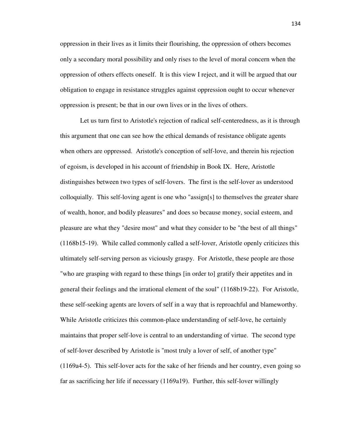oppression in their lives as it limits their flourishing, the oppression of others becomes only a secondary moral possibility and only rises to the level of moral concern when the oppression of others effects oneself. It is this view I reject, and it will be argued that our obligation to engage in resistance struggles against oppression ought to occur whenever oppression is present; be that in our own lives or in the lives of others.

Let us turn first to Aristotle's rejection of radical self-centeredness, as it is through this argument that one can see how the ethical demands of resistance obligate agents when others are oppressed. Aristotle's conception of self-love, and therein his rejection of egoism, is developed in his account of friendship in Book IX. Here, Aristotle distinguishes between two types of self-lovers. The first is the self-lover as understood colloquially. This self-loving agent is one who "assign[s] to themselves the greater share of wealth, honor, and bodily pleasures" and does so because money, social esteem, and pleasure are what they "desire most" and what they consider to be "the best of all things" (1168b15-19). While called commonly called a self-lover, Aristotle openly criticizes this ultimately self-serving person as viciously graspy. For Aristotle, these people are those "who are grasping with regard to these things [in order to] gratify their appetites and in general their feelings and the irrational element of the soul" (1168b19-22). For Aristotle, these self-seeking agents are lovers of self in a way that is reproachful and blameworthy. While Aristotle criticizes this common-place understanding of self-love, he certainly maintains that proper self-love is central to an understanding of virtue. The second type of self-lover described by Aristotle is "most truly a lover of self, of another type" (1169a4-5). This self-lover acts for the sake of her friends and her country, even going so far as sacrificing her life if necessary (1169a19). Further, this self-lover willingly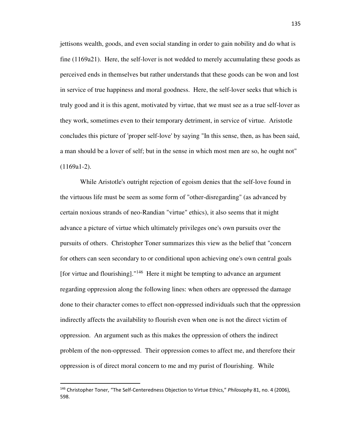jettisons wealth, goods, and even social standing in order to gain nobility and do what is fine (1169a21). Here, the self-lover is not wedded to merely accumulating these goods as perceived ends in themselves but rather understands that these goods can be won and lost in service of true happiness and moral goodness. Here, the self-lover seeks that which is truly good and it is this agent, motivated by virtue, that we must see as a true self-lover as they work, sometimes even to their temporary detriment, in service of virtue. Aristotle concludes this picture of 'proper self-love' by saying "In this sense, then, as has been said, a man should be a lover of self; but in the sense in which most men are so, he ought not"  $(1169a1-2)$ .

 While Aristotle's outright rejection of egoism denies that the self-love found in the virtuous life must be seem as some form of "other-disregarding" (as advanced by certain noxious strands of neo-Randian "virtue" ethics), it also seems that it might advance a picture of virtue which ultimately privileges one's own pursuits over the pursuits of others. Christopher Toner summarizes this view as the belief that "concern for others can seen secondary to or conditional upon achieving one's own central goals [for virtue and flourishing]."<sup>146</sup> Here it might be tempting to advance an argument regarding oppression along the following lines: when others are oppressed the damage done to their character comes to effect non-oppressed individuals such that the oppression indirectly affects the availability to flourish even when one is not the direct victim of oppression. An argument such as this makes the oppression of others the indirect problem of the non-oppressed. Their oppression comes to affect me, and therefore their oppression is of direct moral concern to me and my purist of flourishing. While

<sup>146</sup> Christopher Toner, "The Self-Centeredness Objection to Virtue Ethics," *Philosophy* 81, no. 4 (2006), 598.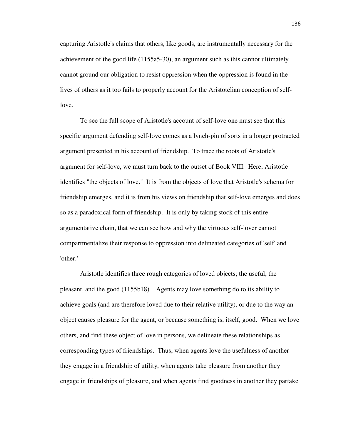capturing Aristotle's claims that others, like goods, are instrumentally necessary for the achievement of the good life (1155a5-30), an argument such as this cannot ultimately cannot ground our obligation to resist oppression when the oppression is found in the lives of others as it too fails to properly account for the Aristotelian conception of selflove.

 To see the full scope of Aristotle's account of self-love one must see that this specific argument defending self-love comes as a lynch-pin of sorts in a longer protracted argument presented in his account of friendship. To trace the roots of Aristotle's argument for self-love, we must turn back to the outset of Book VIII. Here, Aristotle identifies "the objects of love." It is from the objects of love that Aristotle's schema for friendship emerges, and it is from his views on friendship that self-love emerges and does so as a paradoxical form of friendship. It is only by taking stock of this entire argumentative chain, that we can see how and why the virtuous self-lover cannot compartmentalize their response to oppression into delineated categories of 'self' and 'other.'

 Aristotle identifies three rough categories of loved objects; the useful, the pleasant, and the good (1155b18). Agents may love something do to its ability to achieve goals (and are therefore loved due to their relative utility), or due to the way an object causes pleasure for the agent, or because something is, itself, good. When we love others, and find these object of love in persons, we delineate these relationships as corresponding types of friendships. Thus, when agents love the usefulness of another they engage in a friendship of utility, when agents take pleasure from another they engage in friendships of pleasure, and when agents find goodness in another they partake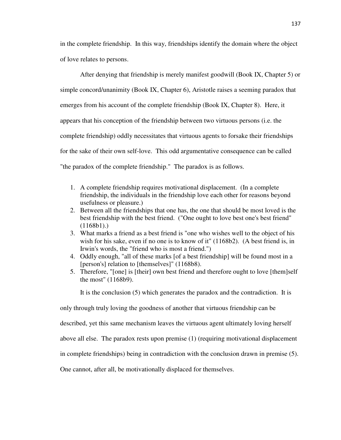in the complete friendship. In this way, friendships identify the domain where the object of love relates to persons.

 After denying that friendship is merely manifest goodwill (Book IX, Chapter 5) or simple concord/unanimity (Book IX, Chapter 6), Aristotle raises a seeming paradox that emerges from his account of the complete friendship (Book IX, Chapter 8). Here, it appears that his conception of the friendship between two virtuous persons (i.e. the complete friendship) oddly necessitates that virtuous agents to forsake their friendships for the sake of their own self-love. This odd argumentative consequence can be called "the paradox of the complete friendship." The paradox is as follows.

- 1. A complete friendship requires motivational displacement. (In a complete friendship, the individuals in the friendship love each other for reasons beyond usefulness or pleasure.)
- 2. Between all the friendships that one has, the one that should be most loved is the best friendship with the best friend. ("One ought to love best one's best friend"  $(1168b1).$
- 3. What marks a friend as a best friend is "one who wishes well to the object of his wish for his sake, even if no one is to know of it" (1168b2). (A best friend is, in Irwin's words, the "friend who is most a friend.")
- 4. Oddly enough, "all of these marks [of a best friendship] will be found most in a [person's] relation to [themselves]" (1168b8).
- 5. Therefore, "[one] is [their] own best friend and therefore ought to love [them]self the most" (1168b9).

It is the conclusion (5) which generates the paradox and the contradiction. It is

only through truly loving the goodness of another that virtuous friendship can be

described, yet this same mechanism leaves the virtuous agent ultimately loving herself

above all else. The paradox rests upon premise (1) (requiring motivational displacement

in complete friendships) being in contradiction with the conclusion drawn in premise (5).

One cannot, after all, be motivationally displaced for themselves.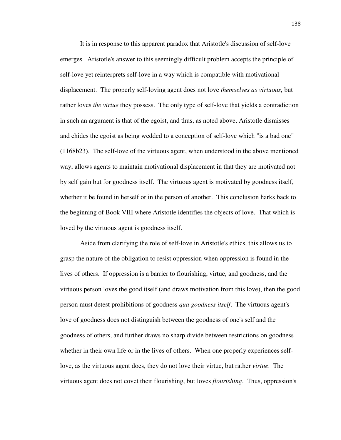It is in response to this apparent paradox that Aristotle's discussion of self-love emerges. Aristotle's answer to this seemingly difficult problem accepts the principle of self-love yet reinterprets self-love in a way which is compatible with motivational displacement. The properly self-loving agent does not love *themselves as virtuous*, but rather loves *the virtue* they possess. The only type of self-love that yields a contradiction in such an argument is that of the egoist, and thus, as noted above, Aristotle dismisses and chides the egoist as being wedded to a conception of self-love which "is a bad one" (1168b23). The self-love of the virtuous agent, when understood in the above mentioned way, allows agents to maintain motivational displacement in that they are motivated not by self gain but for goodness itself. The virtuous agent is motivated by goodness itself, whether it be found in herself or in the person of another. This conclusion harks back to the beginning of Book VIII where Aristotle identifies the objects of love. That which is loved by the virtuous agent is goodness itself.

 Aside from clarifying the role of self-love in Aristotle's ethics, this allows us to grasp the nature of the obligation to resist oppression when oppression is found in the lives of others. If oppression is a barrier to flourishing, virtue, and goodness, and the virtuous person loves the good itself (and draws motivation from this love), then the good person must detest prohibitions of goodness *qua goodness itself*. The virtuous agent's love of goodness does not distinguish between the goodness of one's self and the goodness of others, and further draws no sharp divide between restrictions on goodness whether in their own life or in the lives of others. When one properly experiences selflove, as the virtuous agent does, they do not love their virtue, but rather *virtue*. The virtuous agent does not covet their flourishing, but loves *flourishing*. Thus, oppression's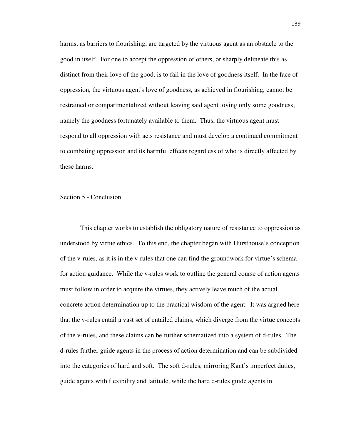harms, as barriers to flourishing, are targeted by the virtuous agent as an obstacle to the good in itself. For one to accept the oppression of others, or sharply delineate this as distinct from their love of the good, is to fail in the love of goodness itself. In the face of oppression, the virtuous agent's love of goodness, as achieved in flourishing, cannot be restrained or compartmentalized without leaving said agent loving only some goodness; namely the goodness fortunately available to them. Thus, the virtuous agent must respond to all oppression with acts resistance and must develop a continued commitment to combating oppression and its harmful effects regardless of who is directly affected by these harms.

## Section 5 - Conclusion

This chapter works to establish the obligatory nature of resistance to oppression as understood by virtue ethics. To this end, the chapter began with Hursthouse's conception of the v-rules, as it is in the v-rules that one can find the groundwork for virtue's schema for action guidance. While the v-rules work to outline the general course of action agents must follow in order to acquire the virtues, they actively leave much of the actual concrete action determination up to the practical wisdom of the agent. It was argued here that the v-rules entail a vast set of entailed claims, which diverge from the virtue concepts of the v-rules, and these claims can be further schematized into a system of d-rules. The d-rules further guide agents in the process of action determination and can be subdivided into the categories of hard and soft. The soft d-rules, mirroring Kant's imperfect duties, guide agents with flexibility and latitude, while the hard d-rules guide agents in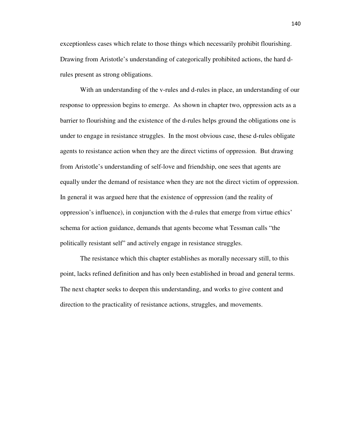exceptionless cases which relate to those things which necessarily prohibit flourishing. Drawing from Aristotle's understanding of categorically prohibited actions, the hard drules present as strong obligations.

 With an understanding of the v-rules and d-rules in place, an understanding of our response to oppression begins to emerge. As shown in chapter two, oppression acts as a barrier to flourishing and the existence of the d-rules helps ground the obligations one is under to engage in resistance struggles. In the most obvious case, these d-rules obligate agents to resistance action when they are the direct victims of oppression. But drawing from Aristotle's understanding of self-love and friendship, one sees that agents are equally under the demand of resistance when they are not the direct victim of oppression. In general it was argued here that the existence of oppression (and the reality of oppression's influence), in conjunction with the d-rules that emerge from virtue ethics' schema for action guidance, demands that agents become what Tessman calls "the politically resistant self" and actively engage in resistance struggles.

 The resistance which this chapter establishes as morally necessary still, to this point, lacks refined definition and has only been established in broad and general terms. The next chapter seeks to deepen this understanding, and works to give content and direction to the practicality of resistance actions, struggles, and movements.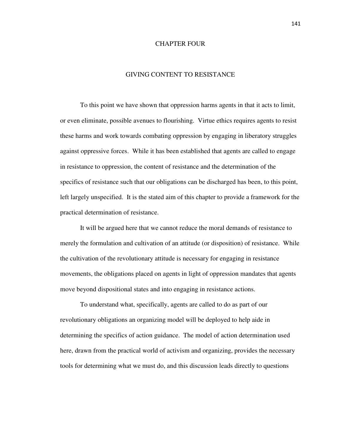## CHAPTER FOUR

## GIVING CONTENT TO RESISTANCE

 To this point we have shown that oppression harms agents in that it acts to limit, or even eliminate, possible avenues to flourishing. Virtue ethics requires agents to resist these harms and work towards combating oppression by engaging in liberatory struggles against oppressive forces. While it has been established that agents are called to engage in resistance to oppression, the content of resistance and the determination of the specifics of resistance such that our obligations can be discharged has been, to this point, left largely unspecified. It is the stated aim of this chapter to provide a framework for the practical determination of resistance.

 It will be argued here that we cannot reduce the moral demands of resistance to merely the formulation and cultivation of an attitude (or disposition) of resistance. While the cultivation of the revolutionary attitude is necessary for engaging in resistance movements, the obligations placed on agents in light of oppression mandates that agents move beyond dispositional states and into engaging in resistance actions.

 To understand what, specifically, agents are called to do as part of our revolutionary obligations an organizing model will be deployed to help aide in determining the specifics of action guidance. The model of action determination used here, drawn from the practical world of activism and organizing, provides the necessary tools for determining what we must do, and this discussion leads directly to questions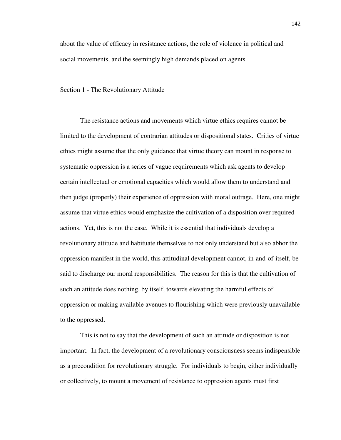about the value of efficacy in resistance actions, the role of violence in political and social movements, and the seemingly high demands placed on agents.

Section 1 - The Revolutionary Attitude

 The resistance actions and movements which virtue ethics requires cannot be limited to the development of contrarian attitudes or dispositional states. Critics of virtue ethics might assume that the only guidance that virtue theory can mount in response to systematic oppression is a series of vague requirements which ask agents to develop certain intellectual or emotional capacities which would allow them to understand and then judge (properly) their experience of oppression with moral outrage. Here, one might assume that virtue ethics would emphasize the cultivation of a disposition over required actions. Yet, this is not the case. While it is essential that individuals develop a revolutionary attitude and habituate themselves to not only understand but also abhor the oppression manifest in the world, this attitudinal development cannot, in-and-of-itself, be said to discharge our moral responsibilities. The reason for this is that the cultivation of such an attitude does nothing, by itself, towards elevating the harmful effects of oppression or making available avenues to flourishing which were previously unavailable to the oppressed.

 This is not to say that the development of such an attitude or disposition is not important. In fact, the development of a revolutionary consciousness seems indispensible as a precondition for revolutionary struggle. For individuals to begin, either individually or collectively, to mount a movement of resistance to oppression agents must first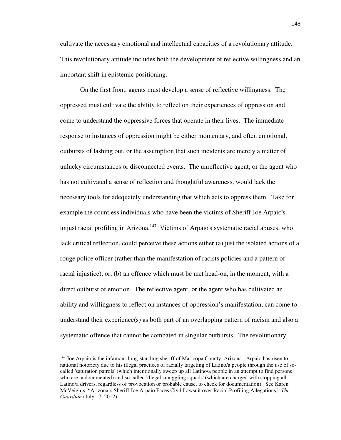cultivate the necessary emotional and intellectual capacities of a revolutionary attitude. This revolutionary attitude includes both the development of reflective willingness and an important shift in epistemic positioning.

 On the first front, agents must develop a sense of reflective willingness. The oppressed must cultivate the ability to reflect on their experiences of oppression and come to understand the oppressive forces that operate in their lives. The immediate response to instances of oppression might be either momentary, and often emotional, outbursts of lashing out, or the assumption that such incidents are merely a matter of unlucky circumstances or disconnected events. The unreflective agent, or the agent who has not cultivated a sense of reflection and thoughtful awareness, would lack the necessary tools for adequately understanding that which acts to oppress them. Take for example the countless individuals who have been the victims of Sheriff Joe Arpaio's unjust racial profiling in Arizona.<sup>147</sup> Victims of Arpaio's systematic racial abuses, who lack critical reflection, could perceive these actions either (a) just the isolated actions of a rouge police officer (rather than the manifestation of racists policies and a pattern of racial injustice), or, (b) an offence which must be met head-on, in the moment, with a direct outburst of emotion. The reflective agent, or the agent who has cultivated an ability and willingness to reflect on instances of oppression's manifestation, can come to understand their experience(s) as both part of an overlapping pattern of racism and also a systematic offence that cannot be combated in singular outbursts. The revolutionary

<sup>&</sup>lt;sup>147</sup> Joe Arpaio is the infamous long-standing sheriff of Maricopa County, Arizona. Arpaio has risen to national notoriety due to his illegal practices of racially targeting of Latino/a people through the use of socalled 'saturation patrols' (which intentionally sweep up all Latino/a people in an attempt to find persons who are undocumented) and so-called 'illegal smuggling squads' (which are charged with stopping all Latino/a drivers, regardless of provocation or probable cause, to check for documentation). See Karen McVeigh's, "Arizona's Sheriff Joe Arpaio Faces Civil Lawsuit over Racial Profiling Allegations," *The Guardian* (July 17, 2012).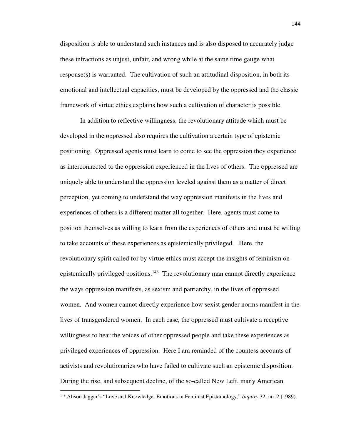disposition is able to understand such instances and is also disposed to accurately judge these infractions as unjust, unfair, and wrong while at the same time gauge what  $response(s)$  is warranted. The cultivation of such an attitudinal disposition, in both its emotional and intellectual capacities, must be developed by the oppressed and the classic framework of virtue ethics explains how such a cultivation of character is possible.

 In addition to reflective willingness, the revolutionary attitude which must be developed in the oppressed also requires the cultivation a certain type of epistemic positioning. Oppressed agents must learn to come to see the oppression they experience as interconnected to the oppression experienced in the lives of others. The oppressed are uniquely able to understand the oppression leveled against them as a matter of direct perception, yet coming to understand the way oppression manifests in the lives and experiences of others is a different matter all together. Here, agents must come to position themselves as willing to learn from the experiences of others and must be willing to take accounts of these experiences as epistemically privileged. Here, the revolutionary spirit called for by virtue ethics must accept the insights of feminism on epistemically privileged positions.<sup>148</sup> The revolutionary man cannot directly experience the ways oppression manifests, as sexism and patriarchy, in the lives of oppressed women. And women cannot directly experience how sexist gender norms manifest in the lives of transgendered women. In each case, the oppressed must cultivate a receptive willingness to hear the voices of other oppressed people and take these experiences as privileged experiences of oppression. Here I am reminded of the countess accounts of activists and revolutionaries who have failed to cultivate such an epistemic disposition. During the rise, and subsequent decline, of the so-called New Left, many American

<sup>148</sup> Alison Jaggar's "Love and Knowledge: Emotions in Feminist Epistemology," *Inquiry* 32, no. 2 (1989).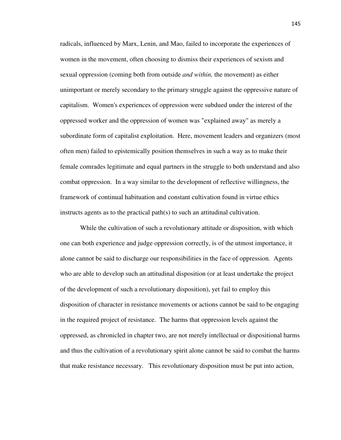radicals, influenced by Marx, Lenin, and Mao, failed to incorporate the experiences of women in the movement, often choosing to dismiss their experiences of sexism and sexual oppression (coming both from outside *and within,* the movement) as either unimportant or merely secondary to the primary struggle against the oppressive nature of capitalism. Women's experiences of oppression were subdued under the interest of the oppressed worker and the oppression of women was "explained away" as merely a subordinate form of capitalist exploitation. Here, movement leaders and organizers (most often men) failed to epistemically position themselves in such a way as to make their female comrades legitimate and equal partners in the struggle to both understand and also combat oppression. In a way similar to the development of reflective willingness, the framework of continual habituation and constant cultivation found in virtue ethics instructs agents as to the practical path(s) to such an attitudinal cultivation.

 While the cultivation of such a revolutionary attitude or disposition, with which one can both experience and judge oppression correctly, is of the utmost importance, it alone cannot be said to discharge our responsibilities in the face of oppression. Agents who are able to develop such an attitudinal disposition (or at least undertake the project of the development of such a revolutionary disposition), yet fail to employ this disposition of character in resistance movements or actions cannot be said to be engaging in the required project of resistance. The harms that oppression levels against the oppressed, as chronicled in chapter two, are not merely intellectual or dispositional harms and thus the cultivation of a revolutionary spirit alone cannot be said to combat the harms that make resistance necessary. This revolutionary disposition must be put into action,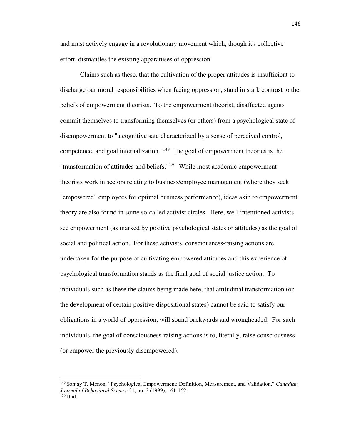and must actively engage in a revolutionary movement which, though it's collective effort, dismantles the existing apparatuses of oppression.

 Claims such as these, that the cultivation of the proper attitudes is insufficient to discharge our moral responsibilities when facing oppression, stand in stark contrast to the beliefs of empowerment theorists. To the empowerment theorist, disaffected agents commit themselves to transforming themselves (or others) from a psychological state of disempowerment to "a cognitive sate characterized by a sense of perceived control, competence, and goal internalization."<sup>149</sup> The goal of empowerment theories is the "transformation of attitudes and beliefs."<sup>150</sup> While most academic empowerment theorists work in sectors relating to business/employee management (where they seek "empowered" employees for optimal business performance), ideas akin to empowerment theory are also found in some so-called activist circles. Here, well-intentioned activists see empowerment (as marked by positive psychological states or attitudes) as the goal of social and political action. For these activists, consciousness-raising actions are undertaken for the purpose of cultivating empowered attitudes and this experience of psychological transformation stands as the final goal of social justice action. To individuals such as these the claims being made here, that attitudinal transformation (or the development of certain positive dispositional states) cannot be said to satisfy our obligations in a world of oppression, will sound backwards and wrongheaded. For such individuals, the goal of consciousness-raising actions is to, literally, raise consciousness (or empower the previously disempowered).

<sup>149</sup> Sanjay T. Menon, "Psychological Empowerment: Definition, Measurement, and Validation," *Canadian Journal of Behavioral Science* 31, no. 3 (1999), 161-162. 150 Ibid.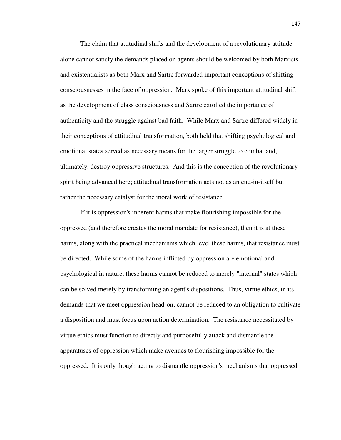The claim that attitudinal shifts and the development of a revolutionary attitude alone cannot satisfy the demands placed on agents should be welcomed by both Marxists and existentialists as both Marx and Sartre forwarded important conceptions of shifting consciousnesses in the face of oppression. Marx spoke of this important attitudinal shift as the development of class consciousness and Sartre extolled the importance of authenticity and the struggle against bad faith. While Marx and Sartre differed widely in their conceptions of attitudinal transformation, both held that shifting psychological and emotional states served as necessary means for the larger struggle to combat and, ultimately, destroy oppressive structures. And this is the conception of the revolutionary spirit being advanced here; attitudinal transformation acts not as an end-in-itself but rather the necessary catalyst for the moral work of resistance.

 If it is oppression's inherent harms that make flourishing impossible for the oppressed (and therefore creates the moral mandate for resistance), then it is at these harms, along with the practical mechanisms which level these harms, that resistance must be directed. While some of the harms inflicted by oppression are emotional and psychological in nature, these harms cannot be reduced to merely "internal" states which can be solved merely by transforming an agent's dispositions. Thus, virtue ethics, in its demands that we meet oppression head-on, cannot be reduced to an obligation to cultivate a disposition and must focus upon action determination. The resistance necessitated by virtue ethics must function to directly and purposefully attack and dismantle the apparatuses of oppression which make avenues to flourishing impossible for the oppressed. It is only though acting to dismantle oppression's mechanisms that oppressed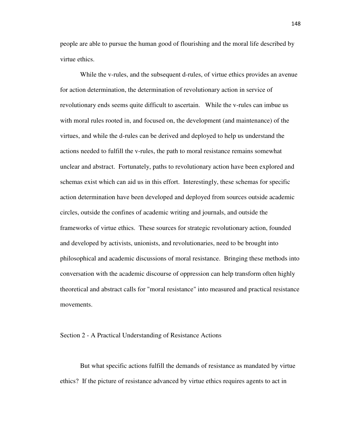people are able to pursue the human good of flourishing and the moral life described by virtue ethics.

 While the v-rules, and the subsequent d-rules, of virtue ethics provides an avenue for action determination, the determination of revolutionary action in service of revolutionary ends seems quite difficult to ascertain. While the v-rules can imbue us with moral rules rooted in, and focused on, the development (and maintenance) of the virtues, and while the d-rules can be derived and deployed to help us understand the actions needed to fulfill the v-rules, the path to moral resistance remains somewhat unclear and abstract. Fortunately, paths to revolutionary action have been explored and schemas exist which can aid us in this effort. Interestingly, these schemas for specific action determination have been developed and deployed from sources outside academic circles, outside the confines of academic writing and journals, and outside the frameworks of virtue ethics. These sources for strategic revolutionary action, founded and developed by activists, unionists, and revolutionaries, need to be brought into philosophical and academic discussions of moral resistance. Bringing these methods into conversation with the academic discourse of oppression can help transform often highly theoretical and abstract calls for "moral resistance" into measured and practical resistance movements.

## Section 2 - A Practical Understanding of Resistance Actions

But what specific actions fulfill the demands of resistance as mandated by virtue ethics? If the picture of resistance advanced by virtue ethics requires agents to act in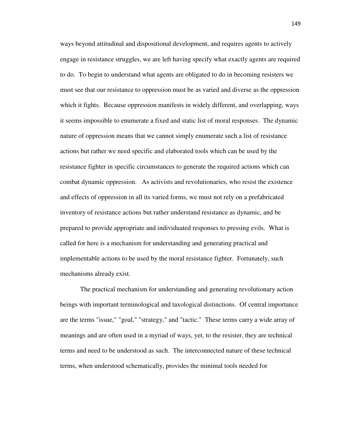ways beyond attitudinal and dispositional development, and requires agents to actively engage in resistance struggles, we are left having specify what exactly agents are required to do. To begin to understand what agents are obligated to do in becoming resisters we must see that our resistance to oppression must be as varied and diverse as the oppression which it fights. Because oppression manifests in widely different, and overlapping, ways it seems impossible to enumerate a fixed and static list of moral responses. The dynamic nature of oppression means that we cannot simply enumerate such a list of resistance actions but rather we need specific and elaborated tools which can be used by the resistance fighter in specific circumstances to generate the required actions which can combat dynamic oppression. As activists and revolutionaries, who resist the existence and effects of oppression in all its varied forms, we must not rely on a prefabricated inventory of resistance actions but rather understand resistance as dynamic, and be prepared to provide appropriate and individuated responses to pressing evils. What is called for here is a mechanism for understanding and generating practical and implementable actions to be used by the moral resistance fighter. Fortunately, such mechanisms already exist.

The practical mechanism for understanding and generating revolutionary action beings with important terminological and taxological distinctions. Of central importance are the terms "issue," "goal," "strategy," and "tactic." These terms carry a wide array of meanings and are often used in a myriad of ways, yet, to the resister, they are technical terms and need to be understood as such. The interconnected nature of these technical terms, when understood schematically, provides the minimal tools needed for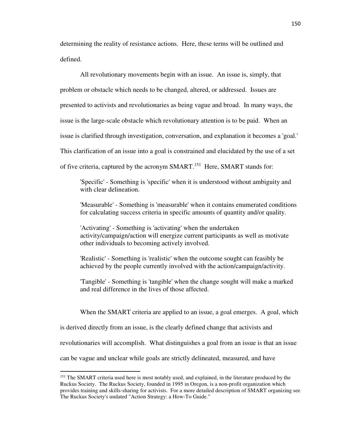determining the reality of resistance actions. Here, these terms will be outlined and defined.

All revolutionary movements begin with an issue. An issue is, simply, that problem or obstacle which needs to be changed, altered, or addressed. Issues are presented to activists and revolutionaries as being vague and broad. In many ways, the issue is the large-scale obstacle which revolutionary attention is to be paid. When an issue is clarified through investigation, conversation, and explanation it becomes a 'goal.' This clarification of an issue into a goal is constrained and elucidated by the use of a set of five criteria, captured by the acronym SMART.<sup>151</sup> Here, SMART stands for:

'Specific' - Something is 'specific' when it is understood without ambiguity and with clear delineation.

'Measurable' - Something is 'measurable' when it contains enumerated conditions for calculating success criteria in specific amounts of quantity and/or quality.

'Activating' - Something is 'activating' when the undertaken activity/campaign/action will energize current participants as well as motivate other individuals to becoming actively involved.

'Realistic' - Something is 'realistic' when the outcome sought can feasibly be achieved by the people currently involved with the action/campaign/activity.

'Tangible' - Something is 'tangible' when the change sought will make a marked and real difference in the lives of those affected.

When the SMART criteria are applied to an issue, a goal emerges. A goal, which

is derived directly from an issue, is the clearly defined change that activists and

revolutionaries will accomplish. What distinguishes a goal from an issue is that an issue

can be vague and unclear while goals are strictly delineated, measured, and have

<sup>&</sup>lt;sup>151</sup> The SMART criteria used here is most notably used, and explained, in the literature produced by the Ruckus Society. The Ruckus Society, founded in 1995 in Oregon, is a non-profit organization which provides training and skills-sharing for activists. For a more detailed description of SMART organizing see The Ruckus Society's undated "Action Strategy: a How-To Guide."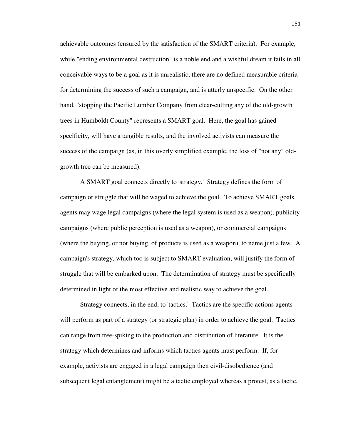achievable outcomes (ensured by the satisfaction of the SMART criteria). For example, while "ending environmental destruction" is a noble end and a wishful dream it fails in all conceivable ways to be a goal as it is unrealistic, there are no defined measurable criteria for determining the success of such a campaign, and is utterly unspecific. On the other hand, "stopping the Pacific Lumber Company from clear-cutting any of the old-growth trees in Humboldt County" represents a SMART goal. Here, the goal has gained specificity, will have a tangible results, and the involved activists can measure the success of the campaign (as, in this overly simplified example, the loss of "not any" oldgrowth tree can be measured).

 A SMART goal connects directly to 'strategy.' Strategy defines the form of campaign or struggle that will be waged to achieve the goal. To achieve SMART goals agents may wage legal campaigns (where the legal system is used as a weapon), publicity campaigns (where public perception is used as a weapon), or commercial campaigns (where the buying, or not buying, of products is used as a weapon), to name just a few. A campaign's strategy, which too is subject to SMART evaluation, will justify the form of struggle that will be embarked upon. The determination of strategy must be specifically determined in light of the most effective and realistic way to achieve the goal.

 Strategy connects, in the end, to 'tactics.' Tactics are the specific actions agents will perform as part of a strategy (or strategic plan) in order to achieve the goal. Tactics can range from tree-spiking to the production and distribution of literature. It is the strategy which determines and informs which tactics agents must perform. If, for example, activists are engaged in a legal campaign then civil-disobedience (and subsequent legal entanglement) might be a tactic employed whereas a protest, as a tactic,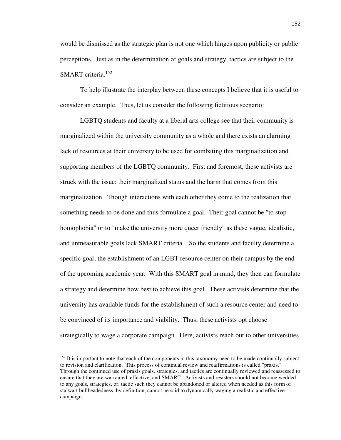would be dismissed as the strategic plan is not one which hinges upon publicity or public perceptions. Just as in the determination of goals and strategy, tactics are subject to the SMART criteria.<sup>152</sup>

 To help illustrate the interplay between these concepts I believe that it is useful to consider an example. Thus, let us consider the following fictitious scenario:

 LGBTQ students and faculty at a liberal arts college see that their community is marginalized within the university community as a whole and there exists an alarming lack of resources at their university to be used for combating this marginalization and supporting members of the LGBTQ community. First and foremost, these activists are struck with the issue: their marginalized status and the harm that comes from this marginalization. Though interactions with each other they come to the realization that something needs to be done and thus formulate a goal. Their goal cannot be "to stop homophobia" or to "make the university more queer friendly" as these vague, idealistic, and unmeasurable goals lack SMART criteria. So the students and faculty determine a specific goal; the establishment of an LGBT resource center on their campus by the end of the upcoming academic year. With this SMART goal in mind, they then can formulate a strategy and determine how best to achieve this goal. These activists determine that the university has available funds for the establishment of such a resource center and need to be convinced of its importance and viability. Thus, these activists opt choose strategically to wage a corporate campaign. Here, activists reach out to other universities

<sup>&</sup>lt;sup>152</sup> It is important to note that each of the components in this taxonomy need to be made continually subject to revision and clarification. This process of continual review and reaffirmations is called "praxis." Through the continued use of praxis goals, strategies, and tactics are continually reviewed and reassessed to ensure that they are warranted, effective, and SMART. Activists and resisters should not become wedded to any goals, strategies, or, tactic such they cannot be abandoned or altered when needed as this form of stalwart bullheadedness, by definition, cannot be said to dynamically waging a realistic and effective campaign.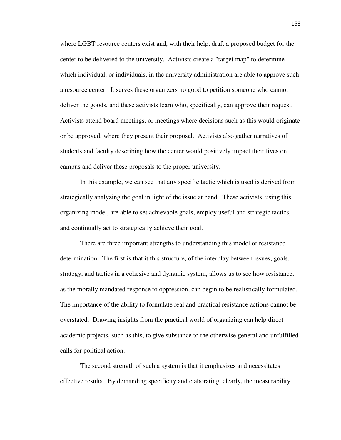where LGBT resource centers exist and, with their help, draft a proposed budget for the center to be delivered to the university. Activists create a "target map" to determine which individual, or individuals, in the university administration are able to approve such a resource center. It serves these organizers no good to petition someone who cannot deliver the goods, and these activists learn who, specifically, can approve their request. Activists attend board meetings, or meetings where decisions such as this would originate or be approved, where they present their proposal. Activists also gather narratives of students and faculty describing how the center would positively impact their lives on campus and deliver these proposals to the proper university.

 In this example, we can see that any specific tactic which is used is derived from strategically analyzing the goal in light of the issue at hand. These activists, using this organizing model, are able to set achievable goals, employ useful and strategic tactics, and continually act to strategically achieve their goal.

 There are three important strengths to understanding this model of resistance determination. The first is that it this structure, of the interplay between issues, goals, strategy, and tactics in a cohesive and dynamic system, allows us to see how resistance, as the morally mandated response to oppression, can begin to be realistically formulated. The importance of the ability to formulate real and practical resistance actions cannot be overstated. Drawing insights from the practical world of organizing can help direct academic projects, such as this, to give substance to the otherwise general and unfulfilled calls for political action.

 The second strength of such a system is that it emphasizes and necessitates effective results. By demanding specificity and elaborating, clearly, the measurability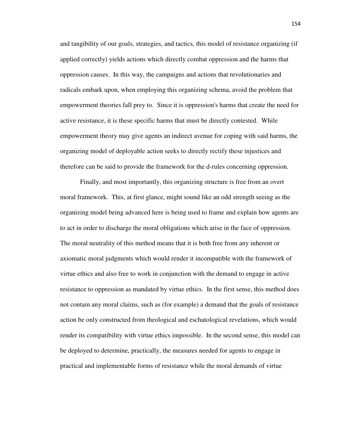and tangibility of our goals, strategies, and tactics, this model of resistance organizing (if applied correctly) yields actions which directly combat oppression and the harms that oppression causes. In this way, the campaigns and actions that revolutionaries and radicals embark upon, when employing this organizing schema, avoid the problem that empowerment theories fall prey to. Since it is oppression's harms that create the need for active resistance, it is these specific harms that must be directly contested. While empowerment theory may give agents an indirect avenue for coping with said harms, the organizing model of deployable action seeks to directly rectify these injustices and therefore can be said to provide the framework for the d-rules concerning oppression.

 Finally, and most importantly, this organizing structure is free from an overt moral framework. This, at first glance, might sound like an odd strength seeing as the organizing model being advanced here is being used to frame and explain how agents are to act in order to discharge the moral obligations which arise in the face of oppression. The moral neutrality of this method means that it is both free from any inherent or axiomatic moral judgments which would render it incompatible with the framework of virtue ethics and also free to work in conjunction with the demand to engage in active resistance to oppression as mandated by virtue ethics. In the first sense, this method does not contain any moral claims, such as (for example) a demand that the goals of resistance action be only constructed from theological and eschatological revelations, which would render its compatibility with virtue ethics impossible. In the second sense, this model can be deployed to determine, practically, the measures needed for agents to engage in practical and implementable forms of resistance while the moral demands of virtue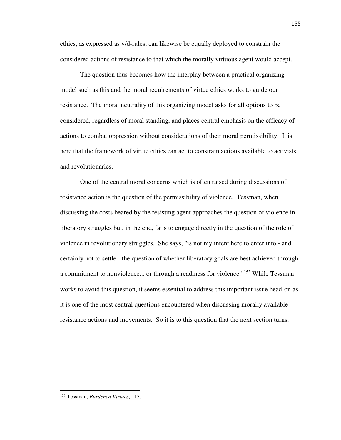ethics, as expressed as v/d-rules, can likewise be equally deployed to constrain the considered actions of resistance to that which the morally virtuous agent would accept.

 The question thus becomes how the interplay between a practical organizing model such as this and the moral requirements of virtue ethics works to guide our resistance. The moral neutrality of this organizing model asks for all options to be considered, regardless of moral standing, and places central emphasis on the efficacy of actions to combat oppression without considerations of their moral permissibility. It is here that the framework of virtue ethics can act to constrain actions available to activists and revolutionaries.

 One of the central moral concerns which is often raised during discussions of resistance action is the question of the permissibility of violence. Tessman, when discussing the costs beared by the resisting agent approaches the question of violence in liberatory struggles but, in the end, fails to engage directly in the question of the role of violence in revolutionary struggles. She says, "is not my intent here to enter into - and certainly not to settle - the question of whether liberatory goals are best achieved through a commitment to nonviolence... or through a readiness for violence."<sup>153</sup> While Tessman works to avoid this question, it seems essential to address this important issue head-on as it is one of the most central questions encountered when discussing morally available resistance actions and movements. So it is to this question that the next section turns.

<sup>153</sup> Tessman, *Burdened Virtues*, 113.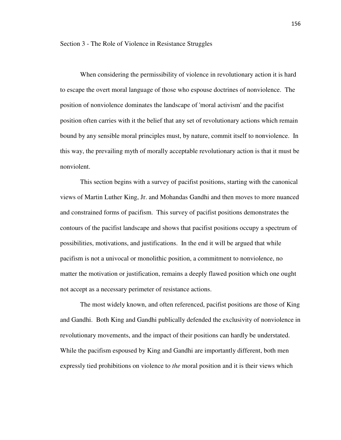When considering the permissibility of violence in revolutionary action it is hard to escape the overt moral language of those who espouse doctrines of nonviolence. The position of nonviolence dominates the landscape of 'moral activism' and the pacifist position often carries with it the belief that any set of revolutionary actions which remain bound by any sensible moral principles must, by nature, commit itself to nonviolence. In this way, the prevailing myth of morally acceptable revolutionary action is that it must be nonviolent.

 This section begins with a survey of pacifist positions, starting with the canonical views of Martin Luther King, Jr. and Mohandas Gandhi and then moves to more nuanced and constrained forms of pacifism. This survey of pacifist positions demonstrates the contours of the pacifist landscape and shows that pacifist positions occupy a spectrum of possibilities, motivations, and justifications. In the end it will be argued that while pacifism is not a univocal or monolithic position, a commitment to nonviolence, no matter the motivation or justification, remains a deeply flawed position which one ought not accept as a necessary perimeter of resistance actions.

 The most widely known, and often referenced, pacifist positions are those of King and Gandhi. Both King and Gandhi publically defended the exclusivity of nonviolence in revolutionary movements, and the impact of their positions can hardly be understated. While the pacifism espoused by King and Gandhi are importantly different, both men expressly tied prohibitions on violence to *the* moral position and it is their views which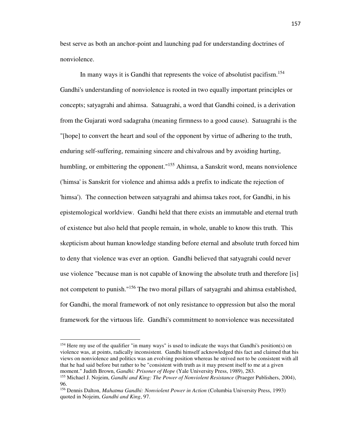best serve as both an anchor-point and launching pad for understanding doctrines of nonviolence.

In many ways it is Gandhi that represents the voice of absolutist pacifism.<sup>154</sup> Gandhi's understanding of nonviolence is rooted in two equally important principles or concepts; satyagrahi and ahimsa. Satuagrahi, a word that Gandhi coined, is a derivation from the Gujarati word sadagraha (meaning firmness to a good cause). Satuagrahi is the "[hope] to convert the heart and soul of the opponent by virtue of adhering to the truth, enduring self-suffering, remaining sincere and chivalrous and by avoiding hurting, humbling, or embittering the opponent."<sup>155</sup> Ahimsa, a Sanskrit word, means nonviolence ('himsa' is Sanskrit for violence and ahimsa adds a prefix to indicate the rejection of 'himsa'). The connection between satyagrahi and ahimsa takes root, for Gandhi, in his epistemological worldview. Gandhi held that there exists an immutable and eternal truth of existence but also held that people remain, in whole, unable to know this truth. This skepticism about human knowledge standing before eternal and absolute truth forced him to deny that violence was ever an option. Gandhi believed that satyagrahi could never use violence "because man is not capable of knowing the absolute truth and therefore [is] not competent to punish."<sup>156</sup> The two moral pillars of satyagrahi and ahimsa established, for Gandhi, the moral framework of not only resistance to oppression but also the moral framework for the virtuous life. Gandhi's commitment to nonviolence was necessitated

<sup>&</sup>lt;sup>154</sup> Here my use of the qualifier "in many ways" is used to indicate the ways that Gandhi's position(s) on violence was, at points, radically inconsistent. Gandhi himself acknowledged this fact and claimed that his views on nonviolence and politics was an evolving position whereas he strived not to be consistent with all that he had said before but rather to be "consistent with truth as it may present itself to me at a given moment." Judith Brown, *Gandhi: Prisoner of Hope* (Yale University Press, 1989), 283.

<sup>155</sup> Michael J. Nojeim, *Gandhi and King: The Power of Nonviolent Resistance* (Praeger Publishers, 2004), 96.

<sup>156</sup> Dennis Dalton, *Mahatma Gandhi: Nonviolent Power in Action* (Columbia University Press, 1993) quoted in Nojeim, *Gandhi and King*, 97.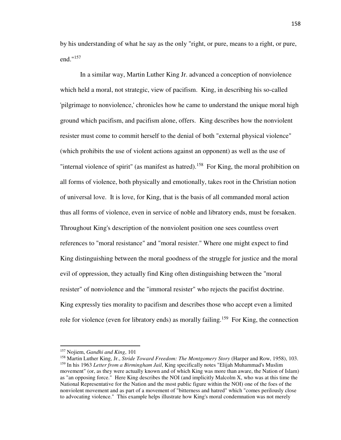by his understanding of what he say as the only "right, or pure, means to a right, or pure, end."<sup>157</sup>

 In a similar way, Martin Luther King Jr. advanced a conception of nonviolence which held a moral, not strategic, view of pacifism. King, in describing his so-called 'pilgrimage to nonviolence,' chronicles how he came to understand the unique moral high ground which pacifism, and pacifism alone, offers. King describes how the nonviolent resister must come to commit herself to the denial of both "external physical violence" (which prohibits the use of violent actions against an opponent) as well as the use of "internal violence of spirit" (as manifest as hatred).<sup>158</sup> For King, the moral prohibition on all forms of violence, both physically and emotionally, takes root in the Christian notion of universal love. It is love, for King, that is the basis of all commanded moral action thus all forms of violence, even in service of noble and libratory ends, must be forsaken. Throughout King's description of the nonviolent position one sees countless overt references to "moral resistance" and "moral resister." Where one might expect to find King distinguishing between the moral goodness of the struggle for justice and the moral evil of oppression, they actually find King often distinguishing between the "moral resister" of nonviolence and the "immoral resister" who rejects the pacifist doctrine. King expressly ties morality to pacifism and describes those who accept even a limited role for violence (even for libratory ends) as morally failing.<sup>159</sup> For King, the connection

<sup>157</sup> Nojiem, *Gandhi and King*, 101

<sup>158</sup> Martin Luther King, Jr., *Stride Toward Freedom: The Montgomery Story* (Harper and Row, 1958), 103. <sup>159</sup> In his 1963 *Letter from a Birmingham Jail*, King specifically notes "Elijah Muhammad's Muslim movement" (or, as they were actually known and of which King was more than aware, the Nation of Islam) as "an opposing force." Here King describes the NOI (and implicitly Malcolm X, who was at this time the National Representative for the Nation and the most public figure within the NOI) one of the foes of the nonviolent movement and as part of a movement of "bitterness and hatred" which "comes perilously close to advocating violence." This example helps illustrate how King's moral condemnation was not merely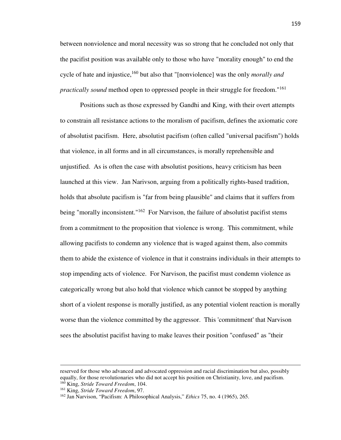between nonviolence and moral necessity was so strong that he concluded not only that the pacifist position was available only to those who have "morality enough" to end the cycle of hate and injustice,<sup>160</sup> but also that "[nonviolence] was the only *morally and practically sound* method open to oppressed people in their struggle for freedom."<sup>161</sup>

 Positions such as those expressed by Gandhi and King, with their overt attempts to constrain all resistance actions to the moralism of pacifism, defines the axiomatic core of absolutist pacifism. Here, absolutist pacifism (often called "universal pacifism") holds that violence, in all forms and in all circumstances, is morally reprehensible and unjustified. As is often the case with absolutist positions, heavy criticism has been launched at this view. Jan Narivson, arguing from a politically rights-based tradition, holds that absolute pacifism is "far from being plausible" and claims that it suffers from being "morally inconsistent."<sup>162</sup> For Narvison, the failure of absolutist pacifist stems from a commitment to the proposition that violence is wrong. This commitment, while allowing pacifists to condemn any violence that is waged against them, also commits them to abide the existence of violence in that it constrains individuals in their attempts to stop impending acts of violence. For Narvison, the pacifist must condemn violence as categorically wrong but also hold that violence which cannot be stopped by anything short of a violent response is morally justified, as any potential violent reaction is morally worse than the violence committed by the aggressor. This 'commitment' that Narvison sees the absolutist pacifist having to make leaves their position "confused" as "their

-

reserved for those who advanced and advocated oppression and racial discrimination but also, possibly equally, for those revolutionaries who did not accept his position on Christianity, love, and pacifism. <sup>160</sup> King, *Stride Toward Freedom*, 104.

<sup>161</sup> King, *Stride Toward Freedom*, 97.

<sup>162</sup> Jan Narvison, "Pacifism: A Philosophical Analysis," *Ethics* 75, no. 4 (1965), 265.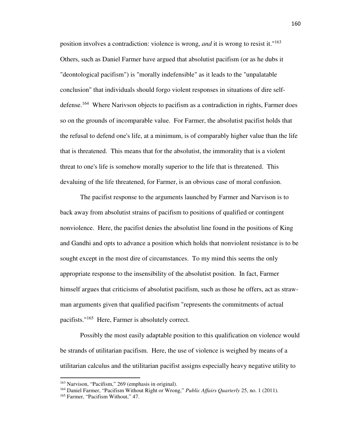position involves a contradiction: violence is wrong, *and* it is wrong to resist it."<sup>163</sup> Others, such as Daniel Farmer have argued that absolutist pacifism (or as he dubs it "deontological pacifism") is "morally indefensible" as it leads to the "unpalatable conclusion" that individuals should forgo violent responses in situations of dire selfdefense.<sup>164</sup> Where Narivson objects to pacifism as a contradiction in rights, Farmer does so on the grounds of incomparable value. For Farmer, the absolutist pacifist holds that the refusal to defend one's life, at a minimum, is of comparably higher value than the life that is threatened. This means that for the absolutist, the immorality that is a violent threat to one's life is somehow morally superior to the life that is threatened. This devaluing of the life threatened, for Farmer, is an obvious case of moral confusion.

 The pacifist response to the arguments launched by Farmer and Narvison is to back away from absolutist strains of pacifism to positions of qualified or contingent nonviolence. Here, the pacifist denies the absolutist line found in the positions of King and Gandhi and opts to advance a position which holds that nonviolent resistance is to be sought except in the most dire of circumstances. To my mind this seems the only appropriate response to the insensibility of the absolutist position. In fact, Farmer himself argues that criticisms of absolutist pacifism, such as those he offers, act as strawman arguments given that qualified pacifism "represents the commitments of actual pacifists."<sup>165</sup> Here, Farmer is absolutely correct.

 Possibly the most easily adaptable position to this qualification on violence would be strands of utilitarian pacifism. Here, the use of violence is weighed by means of a utilitarian calculus and the utilitarian pacifist assigns especially heavy negative utility to

<sup>163</sup> Narvison, "Pacifism," 269 (emphasis in original).

<sup>164</sup> Daniel Farmer, "Pacifism Without Right or Wrong," *Public Affairs Quarterly* 25, no. 1 (2011).

<sup>165</sup> Farmer, "Pacifism Without," 47.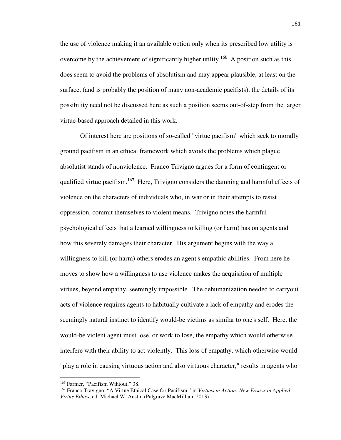the use of violence making it an available option only when its prescribed low utility is overcome by the achievement of significantly higher utility.<sup>166</sup> A position such as this does seem to avoid the problems of absolutism and may appear plausible, at least on the surface, (and is probably the position of many non-academic pacifists), the details of its possibility need not be discussed here as such a position seems out-of-step from the larger virtue-based approach detailed in this work.

 Of interest here are positions of so-called "virtue pacifism" which seek to morally ground pacifism in an ethical framework which avoids the problems which plague absolutist stands of nonviolence. Franco Trivigno argues for a form of contingent or qualified virtue pacifism.<sup>167</sup> Here, Trivigno considers the damning and harmful effects of violence on the characters of individuals who, in war or in their attempts to resist oppression, commit themselves to violent means. Trivigno notes the harmful psychological effects that a learned willingness to killing (or harm) has on agents and how this severely damages their character. His argument begins with the way a willingness to kill (or harm) others erodes an agent's empathic abilities. From here he moves to show how a willingness to use violence makes the acquisition of multiple virtues, beyond empathy, seemingly impossible. The dehumanization needed to carryout acts of violence requires agents to habitually cultivate a lack of empathy and erodes the seemingly natural instinct to identify would-be victims as similar to one's self. Here, the would-be violent agent must lose, or work to lose, the empathy which would otherwise interfere with their ability to act violently. This loss of empathy, which otherwise would "play a role in causing virtuous action and also virtuous character," results in agents who

<sup>166</sup> Farmer, "Pacifism Wihtout," 38.

<sup>167</sup> Franco Travigno, "A Virtue Ethical Case for Pacifism," in *Virtues in Action: New Essays in Applied Virtue Ethics*, ed. Michael W. Austin (Palgrave MacMillian, 2013).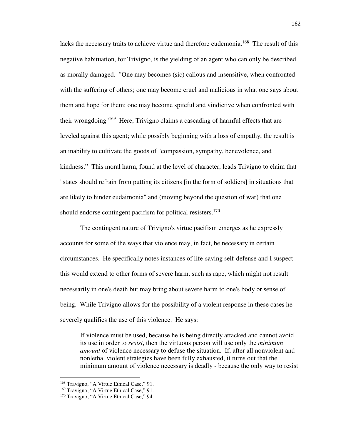lacks the necessary traits to achieve virtue and therefore eudemonia.<sup>168</sup> The result of this negative habituation, for Trivigno, is the yielding of an agent who can only be described as morally damaged. "One may becomes (sic) callous and insensitive, when confronted with the suffering of others; one may become cruel and malicious in what one says about them and hope for them; one may become spiteful and vindictive when confronted with their wrongdoing"<sup>169</sup> Here, Trivigno claims a cascading of harmful effects that are leveled against this agent; while possibly beginning with a loss of empathy, the result is an inability to cultivate the goods of "compassion, sympathy, benevolence, and kindness." This moral harm, found at the level of character, leads Trivigno to claim that "states should refrain from putting its citizens [in the form of soldiers] in situations that are likely to hinder eudaimonia" and (moving beyond the question of war) that one should endorse contingent pacifism for political resisters.<sup>170</sup>

 The contingent nature of Trivigno's virtue pacifism emerges as he expressly accounts for some of the ways that violence may, in fact, be necessary in certain circumstances. He specifically notes instances of life-saving self-defense and I suspect this would extend to other forms of severe harm, such as rape, which might not result necessarily in one's death but may bring about severe harm to one's body or sense of being. While Trivigno allows for the possibility of a violent response in these cases he severely qualifies the use of this violence. He says:

If violence must be used, because he is being directly attacked and cannot avoid its use in order to *resist*, then the virtuous person will use only the *minimum amount* of violence necessary to defuse the situation. If, after all nonviolent and nonlethal violent strategies have been fully exhausted, it turns out that the minimum amount of violence necessary is deadly - because the only way to resist

<sup>168</sup> Travigno, "A Virtue Ethical Case," 91.

<sup>&</sup>lt;sup>169</sup> Travigno, "A Virtue Ethical Case," 91.

<sup>&</sup>lt;sup>170</sup> Travigno, "A Virtue Ethical Case," 94.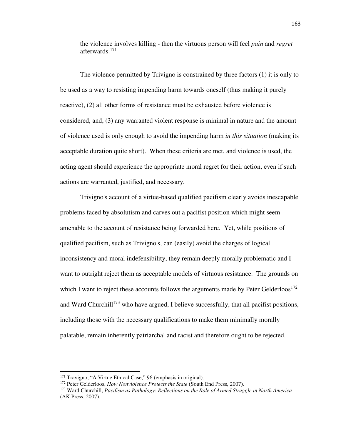the violence involves killing - then the virtuous person will feel *pain* and *regret* afterwards.<sup>171</sup>

 The violence permitted by Trivigno is constrained by three factors (1) it is only to be used as a way to resisting impending harm towards oneself (thus making it purely reactive), (2) all other forms of resistance must be exhausted before violence is considered, and, (3) any warranted violent response is minimal in nature and the amount of violence used is only enough to avoid the impending harm *in this situation* (making its acceptable duration quite short). When these criteria are met, and violence is used, the acting agent should experience the appropriate moral regret for their action, even if such actions are warranted, justified, and necessary.

 Trivigno's account of a virtue-based qualified pacifism clearly avoids inescapable problems faced by absolutism and carves out a pacifist position which might seem amenable to the account of resistance being forwarded here. Yet, while positions of qualified pacifism, such as Trivigno's, can (easily) avoid the charges of logical inconsistency and moral indefensibility, they remain deeply morally problematic and I want to outright reject them as acceptable models of virtuous resistance. The grounds on which I want to reject these accounts follows the arguments made by Peter Gelderloos<sup>172</sup> and Ward Churchill<sup>173</sup> who have argued, I believe successfully, that all pacifist positions, including those with the necessary qualifications to make them minimally morally palatable, remain inherently patriarchal and racist and therefore ought to be rejected.

<sup>171</sup> Travigno, "A Virtue Ethical Case," 96 (emphasis in original).

<sup>172</sup> Peter Gelderloos, *How Nonviolence Protects the State* (South End Press, 2007).

<sup>173</sup> Ward Churchill, *Pacifism as Pathology: Reflections on the Role of Armed Struggle in North America* (AK Press, 2007).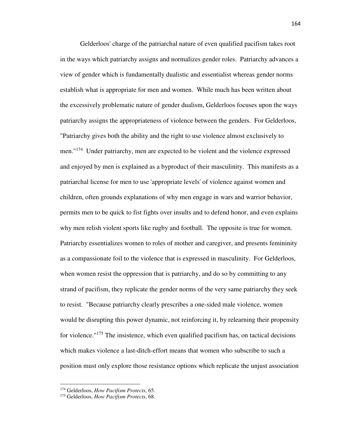Gelderloos' charge of the patriarchal nature of even qualified pacifism takes root in the ways which patriarchy assigns and normalizes gender roles. Patriarchy advances a view of gender which is fundamentally dualistic and essentialist whereas gender norms establish what is appropriate for men and women. While much has been written about the excessively problematic nature of gender dualism, Gelderloos focuses upon the ways patriarchy assigns the appropriateness of violence between the genders. For Gelderloos, "Patriarchy gives both the ability and the right to use violence almost exclusively to men."<sup>174</sup> Under patriarchy, men are expected to be violent and the violence expressed and enjoyed by men is explained as a byproduct of their masculinity. This manifests as a patriarchal license for men to use 'appropriate levels' of violence against women and children, often grounds explanations of why men engage in wars and warrior behavior, permits men to be quick to fist fights over insults and to defend honor, and even explains why men relish violent sports like rugby and football. The opposite is true for women. Patriarchy essentializes women to roles of mother and caregiver, and presents femininity as a compassionate foil to the violence that is expressed in masculinity. For Gelderloos, when women resist the oppression that is patriarchy, and do so by committing to any strand of pacifism, they replicate the gender norms of the very same patriarchy they seek to resist. "Because patriarchy clearly prescribes a one-sided male violence, women would be disrupting this power dynamic, not reinforcing it, by relearning their propensity for violence."<sup>175</sup> The insistence, which even qualified pacifism has, on tactical decisions which makes violence a last-ditch-effort means that women who subscribe to such a position must only explore those resistance options which replicate the unjust association

-

<sup>174</sup> Gelderloos, *How Pacifism Protects*, 65.

<sup>175</sup> Gelderloos, *How Pacifism Protects*, 68.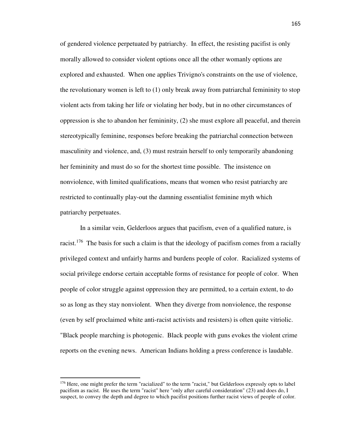of gendered violence perpetuated by patriarchy. In effect, the resisting pacifist is only morally allowed to consider violent options once all the other womanly options are explored and exhausted. When one applies Trivigno's constraints on the use of violence, the revolutionary women is left to (1) only break away from patriarchal femininity to stop violent acts from taking her life or violating her body, but in no other circumstances of oppression is she to abandon her femininity, (2) she must explore all peaceful, and therein stereotypically feminine, responses before breaking the patriarchal connection between masculinity and violence, and, (3) must restrain herself to only temporarily abandoning her femininity and must do so for the shortest time possible. The insistence on nonviolence, with limited qualifications, means that women who resist patriarchy are restricted to continually play-out the damning essentialist feminine myth which patriarchy perpetuates.

 In a similar vein, Gelderloos argues that pacifism, even of a qualified nature, is racist.<sup>176</sup> The basis for such a claim is that the ideology of pacifism comes from a racially privileged context and unfairly harms and burdens people of color. Racialized systems of social privilege endorse certain acceptable forms of resistance for people of color. When people of color struggle against oppression they are permitted, to a certain extent, to do so as long as they stay nonviolent. When they diverge from nonviolence, the response (even by self proclaimed white anti-racist activists and resisters) is often quite vitriolic. "Black people marching is photogenic. Black people with guns evokes the violent crime reports on the evening news. American Indians holding a press conference is laudable.

<sup>&</sup>lt;sup>176</sup> Here, one might prefer the term "racialized" to the term "racist," but Gelderloos expressly opts to label pacifism as racist. He uses the term "racist" here "only after careful consideration" (23) and does do, I suspect, to convey the depth and degree to which pacifist positions further racist views of people of color.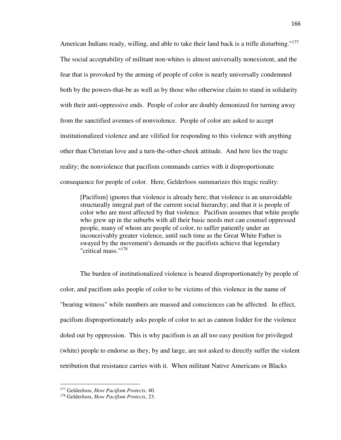American Indians ready, willing, and able to take their land back is a trifle disturbing."<sup>177</sup> The social acceptability of militant non-whites is almost universally nonexistent, and the fear that is provoked by the arming of people of color is nearly universally condemned both by the powers-that-be as well as by those who otherwise claim to stand in solidarity with their anti-oppressive ends. People of color are doubly demonized for turning away from the sanctified avenues of nonviolence. People of color are asked to accept institutionalized violence and are vilified for responding to this violence with anything other than Christian love and a turn-the-other-cheek attitude. And here lies the tragic reality; the nonviolence that pacifism commands carries with it disproportionate consequence for people of color. Here, Gelderloos summarizes this tragic reality:

[Pacifism] ignores that violence is already here; that violence is an unavoidable structurally integral part of the current social hierarchy; and that it is people of color who are most affected by that violence. Pacifism assumes that white people who grew up in the suburbs with all their basic needs met can counsel oppressed people, many of whom are people of color, to suffer patiently under an inconceivably greater violence, until such time as the Great White Father is swayed by the movement's demands or the pacifists achieve that legendary "critical mass."<sup>178</sup>

 The burden of institutionalized violence is beared disproportionately by people of color, and pacifism asks people of color to be victims of this violence in the name of "bearing witness" while numbers are massed and consciences can be affected. In effect, pacifism disproportionately asks people of color to act as cannon fodder for the violence doled out by oppression. This is why pacifism is an all too easy position for privileged (white) people to endorse as they, by and large, are not asked to directly suffer the violent retribution that resistance carries with it. When militant Native Americans or Blacks

-

<sup>177</sup> Gelderloos, *How Pacifism Protects*, 40.

<sup>178</sup> Gelderloos, *How Pacifism Protects*, 23.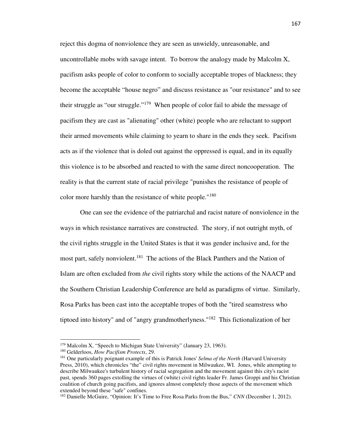reject this dogma of nonviolence they are seen as unwieldy, unreasonable, and uncontrollable mobs with savage intent. To borrow the analogy made by Malcolm X, pacifism asks people of color to conform to socially acceptable tropes of blackness; they become the acceptable "house negro" and discuss resistance as "our resistance" and to see their struggle as "our struggle."<sup>179</sup> When people of color fail to abide the message of pacifism they are cast as "alienating" other (white) people who are reluctant to support their armed movements while claiming to yearn to share in the ends they seek. Pacifism acts as if the violence that is doled out against the oppressed is equal, and in its equally this violence is to be absorbed and reacted to with the same direct noncooperation. The reality is that the current state of racial privilege "punishes the resistance of people of color more harshly than the resistance of white people."<sup>180</sup>

 One can see the evidence of the patriarchal and racist nature of nonviolence in the ways in which resistance narratives are constructed. The story, if not outright myth, of the civil rights struggle in the United States is that it was gender inclusive and, for the most part, safely nonviolent.<sup>181</sup> The actions of the Black Panthers and the Nation of Islam are often excluded from *the* civil rights story while the actions of the NAACP and the Southern Christian Leadership Conference are held as paradigms of virtue. Similarly, Rosa Parks has been cast into the acceptable tropes of both the "tired seamstress who tiptoed into history" and of "angry grandmotherlyness."<sup>182</sup> This fictionalization of her

<sup>&</sup>lt;sup>179</sup> Malcolm X, "Speech to Michigan State University" (January 23, 1963).

<sup>180</sup> Gelderloos, *How Pacifism Protects*, 29.

<sup>181</sup> One particularly poignant example of this is Patrick Jones' *Selma of the North* (Harvard University Press, 2010), which chronicles "the" civil rights movement in Milwaukee, WI. Jones, while attempting to describe Milwaukee's turbulent history of racial segregation and the movement against this city's racist past, spends 360 pages extolling the virtues of (white) civil rights leader Fr. James Groppi and his Christian coalition of church going pacifists, and ignores almost completely those aspects of the movement which extended beyond these "safe" confines.

<sup>&</sup>lt;sup>182</sup> Danielle McGuire, "Opinion: It's Time to Free Rosa Parks from the Bus," *CNN* (December 1, 2012).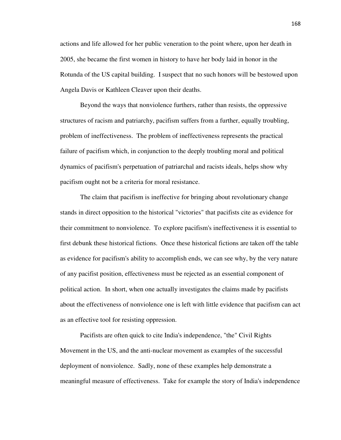actions and life allowed for her public veneration to the point where, upon her death in 2005, she became the first women in history to have her body laid in honor in the Rotunda of the US capital building. I suspect that no such honors will be bestowed upon Angela Davis or Kathleen Cleaver upon their deaths.

 Beyond the ways that nonviolence furthers, rather than resists, the oppressive structures of racism and patriarchy, pacifism suffers from a further, equally troubling, problem of ineffectiveness. The problem of ineffectiveness represents the practical failure of pacifism which, in conjunction to the deeply troubling moral and political dynamics of pacifism's perpetuation of patriarchal and racists ideals, helps show why pacifism ought not be a criteria for moral resistance.

 The claim that pacifism is ineffective for bringing about revolutionary change stands in direct opposition to the historical "victories" that pacifists cite as evidence for their commitment to nonviolence. To explore pacifism's ineffectiveness it is essential to first debunk these historical fictions. Once these historical fictions are taken off the table as evidence for pacifism's ability to accomplish ends, we can see why, by the very nature of any pacifist position, effectiveness must be rejected as an essential component of political action. In short, when one actually investigates the claims made by pacifists about the effectiveness of nonviolence one is left with little evidence that pacifism can act as an effective tool for resisting oppression.

 Pacifists are often quick to cite India's independence, "the" Civil Rights Movement in the US, and the anti-nuclear movement as examples of the successful deployment of nonviolence. Sadly, none of these examples help demonstrate a meaningful measure of effectiveness. Take for example the story of India's independence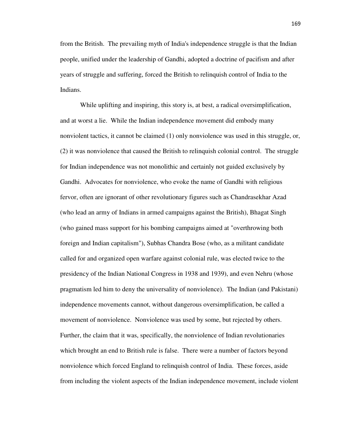from the British. The prevailing myth of India's independence struggle is that the Indian people, unified under the leadership of Gandhi, adopted a doctrine of pacifism and after years of struggle and suffering, forced the British to relinquish control of India to the Indians.

 While uplifting and inspiring, this story is, at best, a radical oversimplification, and at worst a lie. While the Indian independence movement did embody many nonviolent tactics, it cannot be claimed (1) only nonviolence was used in this struggle, or, (2) it was nonviolence that caused the British to relinquish colonial control. The struggle for Indian independence was not monolithic and certainly not guided exclusively by Gandhi. Advocates for nonviolence, who evoke the name of Gandhi with religious fervor, often are ignorant of other revolutionary figures such as Chandrasekhar Azad (who lead an army of Indians in armed campaigns against the British), Bhagat Singh (who gained mass support for his bombing campaigns aimed at "overthrowing both foreign and Indian capitalism"), Subhas Chandra Bose (who, as a militant candidate called for and organized open warfare against colonial rule, was elected twice to the presidency of the Indian National Congress in 1938 and 1939), and even Nehru (whose pragmatism led him to deny the universality of nonviolence). The Indian (and Pakistani) independence movements cannot, without dangerous oversimplification, be called a movement of nonviolence. Nonviolence was used by some, but rejected by others. Further, the claim that it was, specifically, the nonviolence of Indian revolutionaries which brought an end to British rule is false. There were a number of factors beyond nonviolence which forced England to relinquish control of India. These forces, aside from including the violent aspects of the Indian independence movement, include violent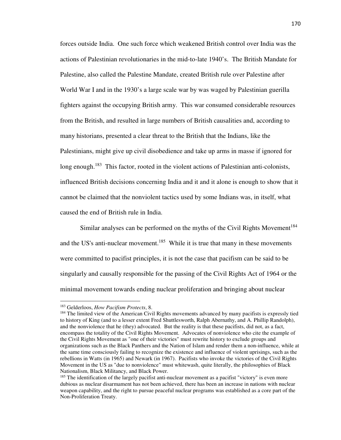forces outside India. One such force which weakened British control over India was the actions of Palestinian revolutionaries in the mid-to-late 1940's. The British Mandate for Palestine, also called the Palestine Mandate, created British rule over Palestine after World War I and in the 1930's a large scale war by was waged by Palestinian guerilla fighters against the occupying British army. This war consumed considerable resources from the British, and resulted in large numbers of British causalities and, according to many historians, presented a clear threat to the British that the Indians, like the Palestinians, might give up civil disobedience and take up arms in masse if ignored for long enough.<sup>183</sup> This factor, rooted in the violent actions of Palestinian anti-colonists, influenced British decisions concerning India and it and it alone is enough to show that it cannot be claimed that the nonviolent tactics used by some Indians was, in itself, what caused the end of British rule in India.

Similar analyses can be performed on the myths of the Civil Rights Movement<sup>184</sup> and the US's anti-nuclear movement.<sup>185</sup> While it is true that many in these movements were committed to pacifist principles, it is not the case that pacifism can be said to be singularly and causally responsible for the passing of the Civil Rights Act of 1964 or the minimal movement towards ending nuclear proliferation and bringing about nuclear

<sup>183</sup> Gelderloos, *How Pacifism Protects*, 8.

<sup>&</sup>lt;sup>184</sup> The limited view of the American Civil Rights movements advanced by many pacifists is expressly tied to history of King (and to a lesser extent Fred Shuttlesworth, Ralph Abernathy, and A. Phillip Randolph), and the nonviolence that he (they) advocated. But the reality is that these pacifists, did not, as a fact, encompass the totality of the Civil Rights Movement. Advocates of nonviolence who cite the example of the Civil Rights Movement as "one of their victories" must rewrite history to exclude groups and organizations such as the Black Panthers and the Nation of Islam and render them a non-influence, while at the same time consciously failing to recognize the existence and influence of violent uprisings, such as the rebellions in Watts (in 1965) and Newark (in 1967). Pacifists who invoke the victories of the Civil Rights Movement in the US as "due to nonviolence" must whitewash, quite literally, the philosophies of Black Nationalism, Black Militancy, and Black Power.

<sup>&</sup>lt;sup>185</sup> The identification of the largely pacifist anti-nuclear movement as a pacifist "victory" is even more dubious as nuclear disarmament has not been achieved, there has been an increase in nations with nuclear weapon capability, and the right to pursue peaceful nuclear programs was established as a core part of the Non-Proliferation Treaty.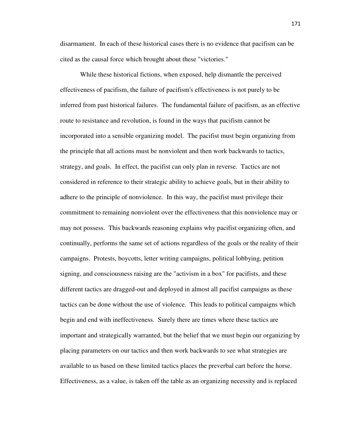disarmament. In each of these historical cases there is no evidence that pacifism can be cited as the causal force which brought about these "victories."

 While these historical fictions, when exposed, help dismantle the perceived effectiveness of pacifism, the failure of pacifism's effectiveness is not purely to be inferred from past historical failures. The fundamental failure of pacifism, as an effective route to resistance and revolution, is found in the ways that pacifism cannot be incorporated into a sensible organizing model. The pacifist must begin organizing from the principle that all actions must be nonviolent and then work backwards to tactics, strategy, and goals. In effect, the pacifist can only plan in reverse. Tactics are not considered in reference to their strategic ability to achieve goals, but in their ability to adhere to the principle of nonviolence. In this way, the pacifist must privilege their commitment to remaining nonviolent over the effectiveness that this nonviolence may or may not possess. This backwards reasoning explains why pacifist organizing often, and continually, performs the same set of actions regardless of the goals or the reality of their campaigns. Protests, boycotts, letter writing campaigns, political lobbying, petition signing, and consciousness raising are the "activism in a box" for pacifists, and these different tactics are dragged-out and deployed in almost all pacifist campaigns as these tactics can be done without the use of violence. This leads to political campaigns which begin and end with ineffectiveness. Surely there are times where these tactics are important and strategically warranted, but the belief that we must begin our organizing by placing parameters on our tactics and then work backwards to see what strategies are available to us based on these limited tactics places the preverbal cart before the horse. Effectiveness, as a value, is taken off the table as an organizing necessity and is replaced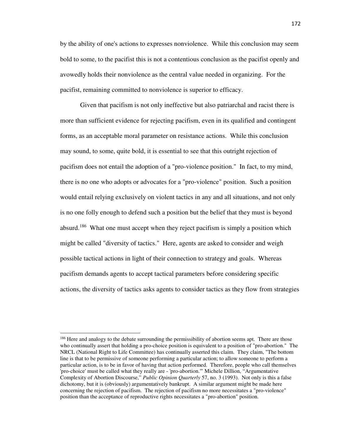by the ability of one's actions to expresses nonviolence. While this conclusion may seem bold to some, to the pacifist this is not a contentious conclusion as the pacifist openly and avowedly holds their nonviolence as the central value needed in organizing. For the pacifist, remaining committed to nonviolence is superior to efficacy.

 Given that pacifism is not only ineffective but also patriarchal and racist there is more than sufficient evidence for rejecting pacifism, even in its qualified and contingent forms, as an acceptable moral parameter on resistance actions. While this conclusion may sound, to some, quite bold, it is essential to see that this outright rejection of pacifism does not entail the adoption of a "pro-violence position." In fact, to my mind, there is no one who adopts or advocates for a "pro-violence" position. Such a position would entail relying exclusively on violent tactics in any and all situations, and not only is no one folly enough to defend such a position but the belief that they must is beyond absurd.<sup>186</sup> What one must accept when they reject pacifism is simply a position which might be called "diversity of tactics." Here, agents are asked to consider and weigh possible tactical actions in light of their connection to strategy and goals. Whereas pacifism demands agents to accept tactical parameters before considering specific actions, the diversity of tactics asks agents to consider tactics as they flow from strategies

<sup>&</sup>lt;sup>186</sup> Here and analogy to the debate surrounding the permissibility of abortion seems apt. There are those who continually assert that holding a pro-choice position is equivalent to a position of "pro-abortion." The NRCL (National Right to Life Committee) has continually asserted this claim. They claim, "The bottom line is that to be permissive of someone performing a particular action; to allow someone to perform a particular action, is to be in favor of having that action performed. Therefore, people who call themselves 'pro-choice' must be called what they really are - 'pro-abortion.'" Michele Dillion, "Argumentative Complexity of Abortion Discourse," *Public Opinion Quarterly* 57, no. 3 (1993). Not only is this a false dichotomy, but it is (obviously) argumentatively bankrupt. A similar argument might be made here concerning the rejection of pacifism. The rejection of pacifism no more necessitates a "pro-violence" position than the acceptance of reproductive rights necessitates a "pro-abortion" position.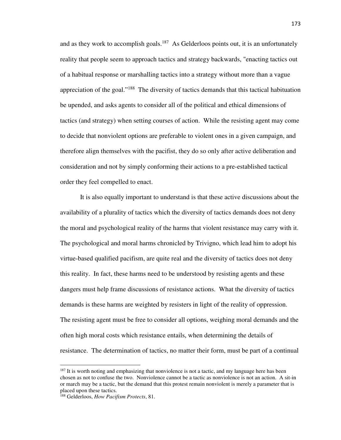and as they work to accomplish goals.<sup>187</sup> As Gelderloos points out, it is an unfortunately reality that people seem to approach tactics and strategy backwards, "enacting tactics out of a habitual response or marshalling tactics into a strategy without more than a vague appreciation of the goal."<sup>188</sup> The diversity of tactics demands that this tactical habituation be upended, and asks agents to consider all of the political and ethical dimensions of tactics (and strategy) when setting courses of action. While the resisting agent may come to decide that nonviolent options are preferable to violent ones in a given campaign, and therefore align themselves with the pacifist, they do so only after active deliberation and consideration and not by simply conforming their actions to a pre-established tactical order they feel compelled to enact.

 It is also equally important to understand is that these active discussions about the availability of a plurality of tactics which the diversity of tactics demands does not deny the moral and psychological reality of the harms that violent resistance may carry with it. The psychological and moral harms chronicled by Trivigno, which lead him to adopt his virtue-based qualified pacifism, are quite real and the diversity of tactics does not deny this reality. In fact, these harms need to be understood by resisting agents and these dangers must help frame discussions of resistance actions. What the diversity of tactics demands is these harms are weighted by resisters in light of the reality of oppression. The resisting agent must be free to consider all options, weighing moral demands and the often high moral costs which resistance entails, when determining the details of resistance. The determination of tactics, no matter their form, must be part of a continual

-

 $187$  It is worth noting and emphasizing that nonviolence is not a tactic, and my language here has been chosen as not to confuse the two. Nonviolence cannot be a tactic as nonviolence is not an action. A sit-in or march may be a tactic, but the demand that this protest remain nonviolent is merely a parameter that is placed upon these tactics.

<sup>188</sup> Gelderloos, *How Pacifism Protects*, 81.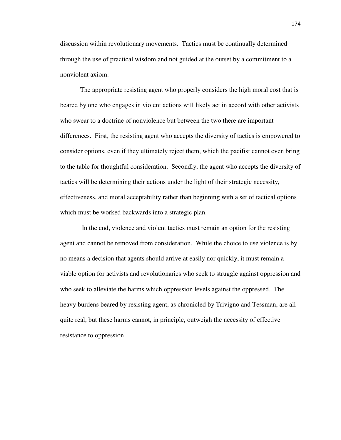discussion within revolutionary movements. Tactics must be continually determined through the use of practical wisdom and not guided at the outset by a commitment to a nonviolent axiom.

 The appropriate resisting agent who properly considers the high moral cost that is beared by one who engages in violent actions will likely act in accord with other activists who swear to a doctrine of nonviolence but between the two there are important differences. First, the resisting agent who accepts the diversity of tactics is empowered to consider options, even if they ultimately reject them, which the pacifist cannot even bring to the table for thoughtful consideration. Secondly, the agent who accepts the diversity of tactics will be determining their actions under the light of their strategic necessity, effectiveness, and moral acceptability rather than beginning with a set of tactical options which must be worked backwards into a strategic plan.

 In the end, violence and violent tactics must remain an option for the resisting agent and cannot be removed from consideration. While the choice to use violence is by no means a decision that agents should arrive at easily nor quickly, it must remain a viable option for activists and revolutionaries who seek to struggle against oppression and who seek to alleviate the harms which oppression levels against the oppressed. The heavy burdens beared by resisting agent, as chronicled by Trivigno and Tessman, are all quite real, but these harms cannot, in principle, outweigh the necessity of effective resistance to oppression.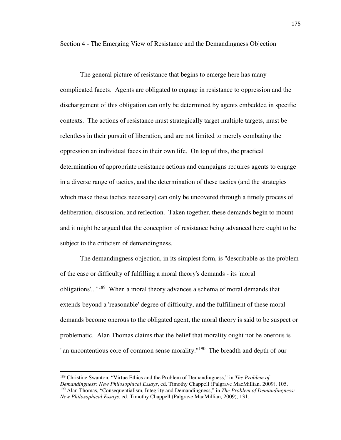Section 4 - The Emerging View of Resistance and the Demandingness Objection

 The general picture of resistance that begins to emerge here has many complicated facets. Agents are obligated to engage in resistance to oppression and the dischargement of this obligation can only be determined by agents embedded in specific contexts. The actions of resistance must strategically target multiple targets, must be relentless in their pursuit of liberation, and are not limited to merely combating the oppression an individual faces in their own life. On top of this, the practical determination of appropriate resistance actions and campaigns requires agents to engage in a diverse range of tactics, and the determination of these tactics (and the strategies which make these tactics necessary) can only be uncovered through a timely process of deliberation, discussion, and reflection. Taken together, these demands begin to mount and it might be argued that the conception of resistance being advanced here ought to be subject to the criticism of demandingness.

 The demandingness objection, in its simplest form, is "describable as the problem of the ease or difficulty of fulfilling a moral theory's demands - its 'moral obligations'..."<sup>189</sup> When a moral theory advances a schema of moral demands that extends beyond a 'reasonable' degree of difficulty, and the fulfillment of these moral demands become onerous to the obligated agent, the moral theory is said to be suspect or problematic. Alan Thomas claims that the belief that morality ought not be onerous is "an uncontentious core of common sense morality."<sup>190</sup> The breadth and depth of our

<sup>189</sup> Christine Swanton, "Virtue Ethics and the Problem of Demandingness," in *The Problem of Demandingness: New Philosophical Essays*, ed. Timothy Chappell (Palgrave MacMillian, 2009), 105. <sup>190</sup> Alan Thomas, "Consequentialism, Integrity and Demandingness," in *The Problem of Demandingness: New Philosophical Essays*, ed. Timothy Chappell (Palgrave MacMillian, 2009), 131.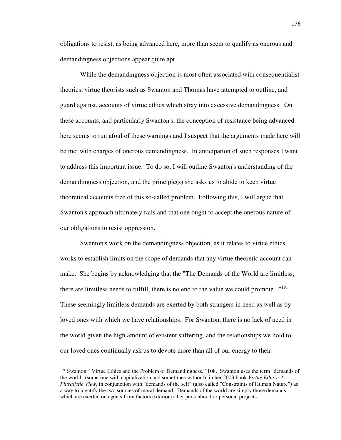obligations to resist, as being advanced here, more than seem to qualify as onerous and demandingness objections appear quite apt.

 While the demandingness objection is most often associated with consequentialist theories, virtue theorists such as Swanton and Thomas have attempted to outline, and guard against, accounts of virtue ethics which stray into excessive demandingness. On these accounts, and particularly Swanton's, the conception of resistance being advanced here seems to run afoul of these warnings and I suspect that the arguments made here will be met with charges of onerous demandingness. In anticipation of such responses I want to address this important issue. To do so, I will outline Swanton's understanding of the demandingness objection, and the principle(s) she asks us to abide to keep virtue theoretical accounts free of this so-called problem. Following this, I will argue that Swanton's approach ultimately fails and that one ought to accept the onerous nature of our obligations to resist oppression.

 Swanton's work on the demandingness objection, as it relates to virtue ethics, works to establish limits on the scope of demands that any virtue theoretic account can make. She begins by acknowledging that the "The Demands of the World are limitless; there are limitless needs to fulfill, there is no end to the value we could promote..."<sup>191</sup> These seemingly limitless demands are exerted by both strangers in need as well as by loved ones with which we have relationships. For Swanton, there is no lack of need in the world given the high amount of existent suffering, and the relationships we hold to our loved ones continually ask us to devote more than all of our energy to their

<sup>&</sup>lt;sup>191</sup> Swanton, "Virtue Ethics and the Problem of Demandingness," 108. Swanton uses the term "demands of the world" (sometime with capitalization and sometimes without), in her 2003 book *Virtue Ethics: A Pluralistic View*, in conjunction with "demands of the self" (also called "Constraints of Human Nature") as a way to identify the two sources of moral demand. Demands of the world are simply those demands which are exerted on agents from factors exterior to her personhood or personal projects.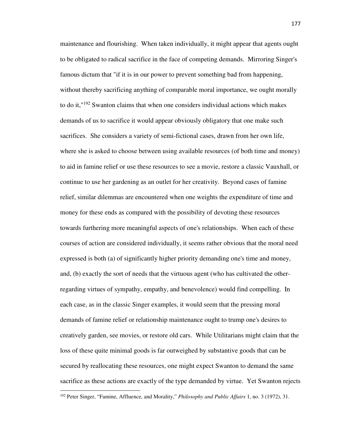maintenance and flourishing. When taken individually, it might appear that agents ought to be obligated to radical sacrifice in the face of competing demands. Mirroring Singer's famous dictum that "if it is in our power to prevent something bad from happening, without thereby sacrificing anything of comparable moral importance, we ought morally to do it,"<sup>192</sup> Swanton claims that when one considers individual actions which makes demands of us to sacrifice it would appear obviously obligatory that one make such sacrifices. She considers a variety of semi-fictional cases, drawn from her own life, where she is asked to choose between using available resources (of both time and money) to aid in famine relief or use these resources to see a movie, restore a classic Vauxhall, or continue to use her gardening as an outlet for her creativity. Beyond cases of famine relief, similar dilemmas are encountered when one weights the expenditure of time and money for these ends as compared with the possibility of devoting these resources towards furthering more meaningful aspects of one's relationships. When each of these courses of action are considered individually, it seems rather obvious that the moral need expressed is both (a) of significantly higher priority demanding one's time and money, and, (b) exactly the sort of needs that the virtuous agent (who has cultivated the otherregarding virtues of sympathy, empathy, and benevolence) would find compelling. In each case, as in the classic Singer examples, it would seem that the pressing moral demands of famine relief or relationship maintenance ought to trump one's desires to creatively garden, see movies, or restore old cars. While Utilitarians might claim that the loss of these quite minimal goods is far outweighed by substantive goods that can be secured by reallocating these resources, one might expect Swanton to demand the same sacrifice as these actions are exactly of the type demanded by virtue. Yet Swanton rejects

<sup>192</sup> Peter Singer, "Famine, Affluence, and Morality," *Philosophy and Public Affairs* 1, no. 3 (1972), 31.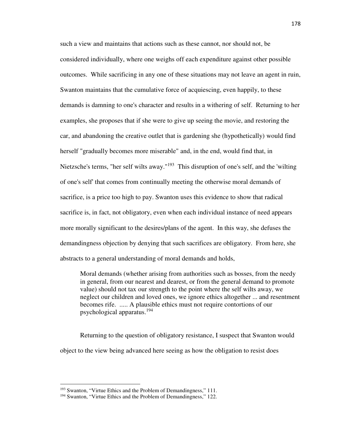such a view and maintains that actions such as these cannot, nor should not, be considered individually, where one weighs off each expenditure against other possible outcomes. While sacrificing in any one of these situations may not leave an agent in ruin, Swanton maintains that the cumulative force of acquiescing, even happily, to these demands is damning to one's character and results in a withering of self. Returning to her examples, she proposes that if she were to give up seeing the movie, and restoring the car, and abandoning the creative outlet that is gardening she (hypothetically) would find herself "gradually becomes more miserable" and, in the end, would find that, in Nietzsche's terms, "her self wilts away."<sup>193</sup> This disruption of one's self, and the 'wilting of one's self' that comes from continually meeting the otherwise moral demands of sacrifice, is a price too high to pay. Swanton uses this evidence to show that radical sacrifice is, in fact, not obligatory, even when each individual instance of need appears more morally significant to the desires/plans of the agent. In this way, she defuses the demandingness objection by denying that such sacrifices are obligatory. From here, she abstracts to a general understanding of moral demands and holds,

Moral demands (whether arising from authorities such as bosses, from the needy in general, from our nearest and dearest, or from the general demand to promote value) should not tax our strength to the point where the self wilts away, we neglect our children and loved ones, we ignore ethics altogether ... and resentment becomes rife. ..... A plausible ethics must not require contortions of our psychological apparatus.<sup>194</sup>

 Returning to the question of obligatory resistance, I suspect that Swanton would object to the view being advanced here seeing as how the obligation to resist does

<sup>&</sup>lt;sup>193</sup> Swanton, "Virtue Ethics and the Problem of Demandingness," 111.

<sup>&</sup>lt;sup>194</sup> Swanton, "Virtue Ethics and the Problem of Demandingness," 122.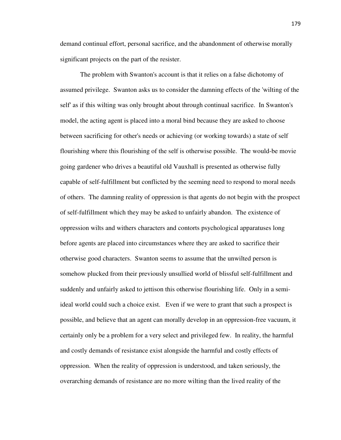demand continual effort, personal sacrifice, and the abandonment of otherwise morally significant projects on the part of the resister.

 The problem with Swanton's account is that it relies on a false dichotomy of assumed privilege. Swanton asks us to consider the damning effects of the 'wilting of the self' as if this wilting was only brought about through continual sacrifice. In Swanton's model, the acting agent is placed into a moral bind because they are asked to choose between sacrificing for other's needs or achieving (or working towards) a state of self flourishing where this flourishing of the self is otherwise possible. The would-be movie going gardener who drives a beautiful old Vauxhall is presented as otherwise fully capable of self-fulfillment but conflicted by the seeming need to respond to moral needs of others. The damning reality of oppression is that agents do not begin with the prospect of self-fulfillment which they may be asked to unfairly abandon. The existence of oppression wilts and withers characters and contorts psychological apparatuses long before agents are placed into circumstances where they are asked to sacrifice their otherwise good characters. Swanton seems to assume that the unwilted person is somehow plucked from their previously unsullied world of blissful self-fulfillment and suddenly and unfairly asked to jettison this otherwise flourishing life. Only in a semiideal world could such a choice exist. Even if we were to grant that such a prospect is possible, and believe that an agent can morally develop in an oppression-free vacuum, it certainly only be a problem for a very select and privileged few. In reality, the harmful and costly demands of resistance exist alongside the harmful and costly effects of oppression. When the reality of oppression is understood, and taken seriously, the overarching demands of resistance are no more wilting than the lived reality of the

179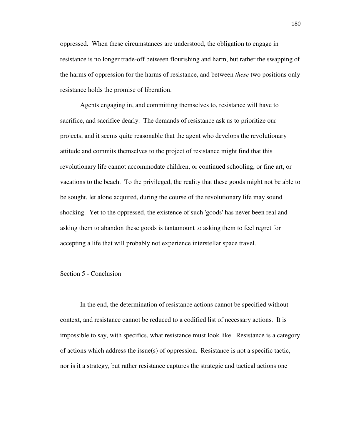oppressed. When these circumstances are understood, the obligation to engage in resistance is no longer trade-off between flourishing and harm, but rather the swapping of the harms of oppression for the harms of resistance, and between *these* two positions only resistance holds the promise of liberation.

 Agents engaging in, and committing themselves to, resistance will have to sacrifice, and sacrifice dearly. The demands of resistance ask us to prioritize our projects, and it seems quite reasonable that the agent who develops the revolutionary attitude and commits themselves to the project of resistance might find that this revolutionary life cannot accommodate children, or continued schooling, or fine art, or vacations to the beach. To the privileged, the reality that these goods might not be able to be sought, let alone acquired, during the course of the revolutionary life may sound shocking. Yet to the oppressed, the existence of such 'goods' has never been real and asking them to abandon these goods is tantamount to asking them to feel regret for accepting a life that will probably not experience interstellar space travel.

## Section 5 - Conclusion

 In the end, the determination of resistance actions cannot be specified without context, and resistance cannot be reduced to a codified list of necessary actions. It is impossible to say, with specifics, what resistance must look like. Resistance is a category of actions which address the issue(s) of oppression. Resistance is not a specific tactic, nor is it a strategy, but rather resistance captures the strategic and tactical actions one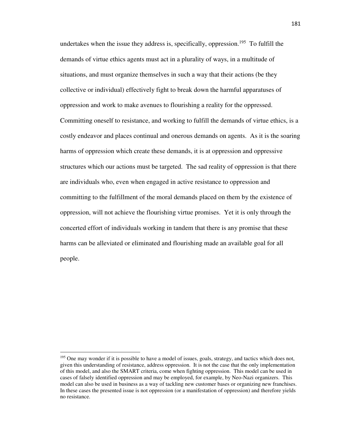undertakes when the issue they address is, specifically, oppression.<sup>195</sup> To fulfill the demands of virtue ethics agents must act in a plurality of ways, in a multitude of situations, and must organize themselves in such a way that their actions (be they collective or individual) effectively fight to break down the harmful apparatuses of oppression and work to make avenues to flourishing a reality for the oppressed. Committing oneself to resistance, and working to fulfill the demands of virtue ethics, is a costly endeavor and places continual and onerous demands on agents. As it is the soaring harms of oppression which create these demands, it is at oppression and oppressive structures which our actions must be targeted. The sad reality of oppression is that there are individuals who, even when engaged in active resistance to oppression and committing to the fulfillment of the moral demands placed on them by the existence of oppression, will not achieve the flourishing virtue promises. Yet it is only through the concerted effort of individuals working in tandem that there is any promise that these harms can be alleviated or eliminated and flourishing made an available goal for all people.

<sup>&</sup>lt;sup>195</sup> One may wonder if it is possible to have a model of issues, goals, strategy, and tactics which does not, given this understanding of resistance, address oppression. It is not the case that the only implementation of this model, and also the SMART criteria, come when fighting oppression. This model can be used in cases of falsely identified oppression and may be employed, for example, by Neo-Nazi organizers. This model can also be used in business as a way of tackling new customer bases or organizing new franchises. In these cases the presented issue is not oppression (or a manifestation of oppression) and therefore yields no resistance.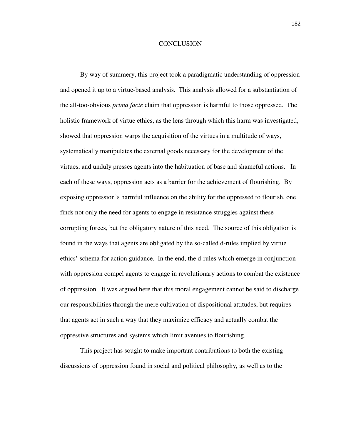## **CONCLUSION**

By way of summery, this project took a paradigmatic understanding of oppression and opened it up to a virtue-based analysis. This analysis allowed for a substantiation of the all-too-obvious *prima facie* claim that oppression is harmful to those oppressed. The holistic framework of virtue ethics, as the lens through which this harm was investigated, showed that oppression warps the acquisition of the virtues in a multitude of ways, systematically manipulates the external goods necessary for the development of the virtues, and unduly presses agents into the habituation of base and shameful actions. In each of these ways, oppression acts as a barrier for the achievement of flourishing. By exposing oppression's harmful influence on the ability for the oppressed to flourish, one finds not only the need for agents to engage in resistance struggles against these corrupting forces, but the obligatory nature of this need. The source of this obligation is found in the ways that agents are obligated by the so-called d-rules implied by virtue ethics' schema for action guidance. In the end, the d-rules which emerge in conjunction with oppression compel agents to engage in revolutionary actions to combat the existence of oppression. It was argued here that this moral engagement cannot be said to discharge our responsibilities through the mere cultivation of dispositional attitudes, but requires that agents act in such a way that they maximize efficacy and actually combat the oppressive structures and systems which limit avenues to flourishing.

This project has sought to make important contributions to both the existing discussions of oppression found in social and political philosophy, as well as to the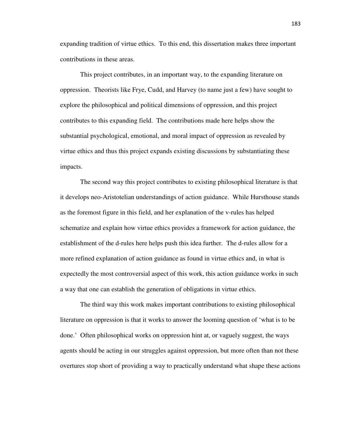expanding tradition of virtue ethics. To this end, this dissertation makes three important contributions in these areas.

This project contributes, in an important way, to the expanding literature on oppression. Theorists like Frye, Cudd, and Harvey (to name just a few) have sought to explore the philosophical and political dimensions of oppression, and this project contributes to this expanding field. The contributions made here helps show the substantial psychological, emotional, and moral impact of oppression as revealed by virtue ethics and thus this project expands existing discussions by substantiating these impacts.

The second way this project contributes to existing philosophical literature is that it develops neo-Aristotelian understandings of action guidance. While Hursthouse stands as the foremost figure in this field, and her explanation of the v-rules has helped schematize and explain how virtue ethics provides a framework for action guidance, the establishment of the d-rules here helps push this idea further. The d-rules allow for a more refined explanation of action guidance as found in virtue ethics and, in what is expectedly the most controversial aspect of this work, this action guidance works in such a way that one can establish the generation of obligations in virtue ethics.

The third way this work makes important contributions to existing philosophical literature on oppression is that it works to answer the looming question of 'what is to be done.' Often philosophical works on oppression hint at, or vaguely suggest, the ways agents should be acting in our struggles against oppression, but more often than not these overtures stop short of providing a way to practically understand what shape these actions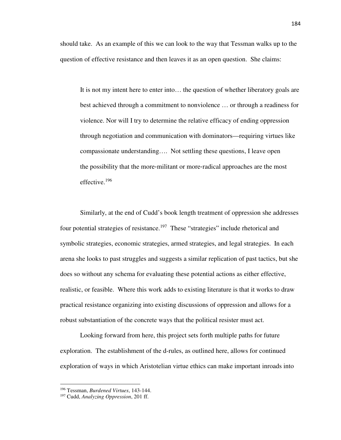should take. As an example of this we can look to the way that Tessman walks up to the question of effective resistance and then leaves it as an open question. She claims:

It is not my intent here to enter into… the question of whether liberatory goals are best achieved through a commitment to nonviolence … or through a readiness for violence. Nor will I try to determine the relative efficacy of ending oppression through negotiation and communication with dominators—requiring virtues like compassionate understanding…. Not settling these questions, I leave open the possibility that the more‐militant or more‐radical approaches are the most effective.<sup>196</sup>

Similarly, at the end of Cudd's book length treatment of oppression she addresses four potential strategies of resistance.<sup>197</sup> These "strategies" include rhetorical and symbolic strategies, economic strategies, armed strategies, and legal strategies. In each arena she looks to past struggles and suggests a similar replication of past tactics, but she does so without any schema for evaluating these potential actions as either effective, realistic, or feasible. Where this work adds to existing literature is that it works to draw practical resistance organizing into existing discussions of oppression and allows for a robust substantiation of the concrete ways that the political resister must act.

Looking forward from here, this project sets forth multiple paths for future exploration. The establishment of the d-rules, as outlined here, allows for continued exploration of ways in which Aristotelian virtue ethics can make important inroads into

<sup>196</sup> Tessman, *Burdened Virtues*, 143-144.

<sup>197</sup> Cudd, *Analyzing Oppression*, 201 ff.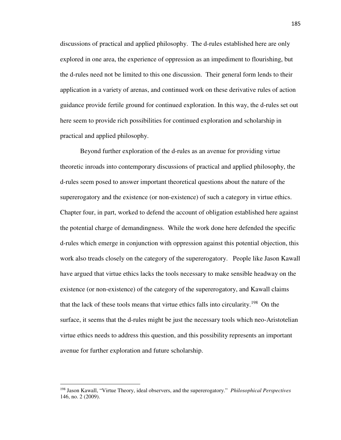discussions of practical and applied philosophy. The d-rules established here are only explored in one area, the experience of oppression as an impediment to flourishing, but the d-rules need not be limited to this one discussion. Their general form lends to their application in a variety of arenas, and continued work on these derivative rules of action guidance provide fertile ground for continued exploration. In this way, the d-rules set out here seem to provide rich possibilities for continued exploration and scholarship in practical and applied philosophy.

Beyond further exploration of the d-rules as an avenue for providing virtue theoretic inroads into contemporary discussions of practical and applied philosophy, the d-rules seem posed to answer important theoretical questions about the nature of the supererogatory and the existence (or non-existence) of such a category in virtue ethics. Chapter four, in part, worked to defend the account of obligation established here against the potential charge of demandingness. While the work done here defended the specific d-rules which emerge in conjunction with oppression against this potential objection, this work also treads closely on the category of the supererogatory. People like Jason Kawall have argued that virtue ethics lacks the tools necessary to make sensible headway on the existence (or non-existence) of the category of the supererogatory, and Kawall claims that the lack of these tools means that virtue ethics falls into circularity.<sup>198</sup> On the surface, it seems that the d-rules might be just the necessary tools which neo-Aristotelian virtue ethics needs to address this question, and this possibility represents an important avenue for further exploration and future scholarship.

<sup>198</sup> Jason Kawall, "Virtue Theory, ideal observers, and the supererogatory." *Philosophical Perspectives* 146, no. 2 (2009).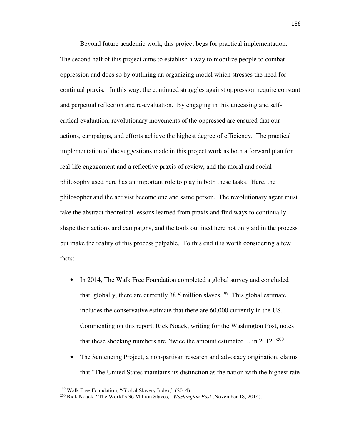Beyond future academic work, this project begs for practical implementation. The second half of this project aims to establish a way to mobilize people to combat oppression and does so by outlining an organizing model which stresses the need for continual praxis. In this way, the continued struggles against oppression require constant and perpetual reflection and re-evaluation. By engaging in this unceasing and selfcritical evaluation, revolutionary movements of the oppressed are ensured that our actions, campaigns, and efforts achieve the highest degree of efficiency. The practical implementation of the suggestions made in this project work as both a forward plan for real-life engagement and a reflective praxis of review, and the moral and social philosophy used here has an important role to play in both these tasks. Here, the philosopher and the activist become one and same person. The revolutionary agent must take the abstract theoretical lessons learned from praxis and find ways to continually shape their actions and campaigns, and the tools outlined here not only aid in the process but make the reality of this process palpable. To this end it is worth considering a few facts:

- In 2014, The Walk Free Foundation completed a global survey and concluded that, globally, there are currently  $38.5$  million slaves.<sup>199</sup> This global estimate includes the conservative estimate that there are 60,000 currently in the US. Commenting on this report, Rick Noack, writing for the Washington Post, notes that these shocking numbers are "twice the amount estimated… in 2012."<sup>200</sup>
- The Sentencing Project, a non-partisan research and advocacy origination, claims that "The United States maintains its distinction as the nation with the highest rate

<sup>&</sup>lt;sup>199</sup> Walk Free Foundation, "Global Slavery Index," (2014).

<sup>200</sup> Rick Noack, "The World's 36 Million Slaves," *Washington Post* (November 18, 2014).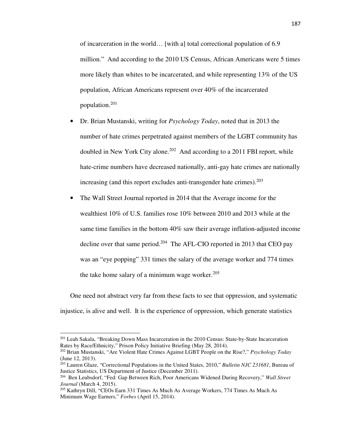of incarceration in the world… [with a] total correctional population of 6.9 million." And according to the 2010 US Census, African Americans were 5 times more likely than whites to be incarcerated, and while representing 13% of the US population, African Americans represent over 40% of the incarcerated population.<sup>201</sup>

- Dr. Brian Mustanski, writing for *Psychology Today*, noted that in 2013 the number of hate crimes perpetrated against members of the LGBT community has doubled in New York City alone.<sup>202</sup> And according to a 2011 FBI report, while hate-crime numbers have decreased nationally, anti-gay hate crimes are nationally increasing (and this report excludes anti-transgender hate crimes). $^{203}$
- The Wall Street Journal reported in 2014 that the Average income for the wealthiest 10% of U.S. families rose 10% between 2010 and 2013 while at the same time families in the bottom 40% saw their average inflation-adjusted income decline over that same period.<sup>204</sup> The AFL-CIO reported in 2013 that CEO pay was an "eye popping" 331 times the salary of the average worker and 774 times the take home salary of a minimum wage worker. $205$

One need not abstract very far from these facts to see that oppression, and systematic injustice, is alive and well. It is the experience of oppression, which generate statistics

<sup>&</sup>lt;sup>201</sup> Leah Sakala, "Breaking Down Mass Incarceration in the 2010 Census: State-by-State Incarceration Rates by Race/Ethnicity," Prison Policy Initiative Briefing (May 28, 2014).

<sup>202</sup> Brian Mustanski, "Are Violent Hate Crimes Against LGBT People on the Rise?," *Psychology Today* (June 12, 2013).

<sup>203</sup> Lauren Glaze, "Correctional Populations in the United States, 2010," *Bulletin NJC 231681*, Bureau of Justice Statistics, US Department of Justice (December 2011).

<sup>204</sup> Ben Leubsdorf, "Fed: Gap Between Rich, Poor Americans Widened During Recovery," *Wall Street Journal* (March 4, 2015).

<sup>205</sup> Kathryn Dill, "CEOs Earn 331 Times As Much As Average Workers, 774 Times As Much As Minimum Wage Earners," *Forbes* (April 15, 2014).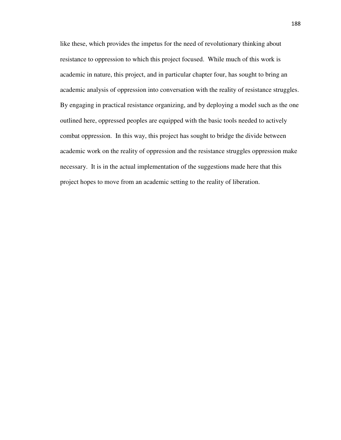like these, which provides the impetus for the need of revolutionary thinking about resistance to oppression to which this project focused. While much of this work is academic in nature, this project, and in particular chapter four, has sought to bring an academic analysis of oppression into conversation with the reality of resistance struggles. By engaging in practical resistance organizing, and by deploying a model such as the one outlined here, oppressed peoples are equipped with the basic tools needed to actively combat oppression. In this way, this project has sought to bridge the divide between academic work on the reality of oppression and the resistance struggles oppression make necessary. It is in the actual implementation of the suggestions made here that this project hopes to move from an academic setting to the reality of liberation.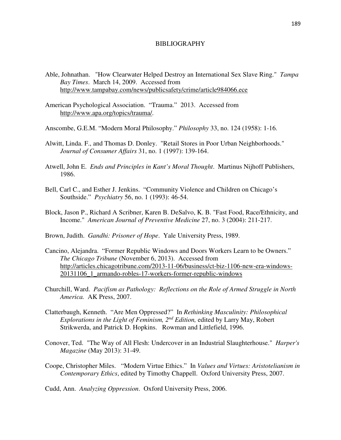## BIBLIOGRAPHY

- Able, Johnathan. "How Clearwater Helped Destroy an International Sex Slave Ring." *Tampa Bay Times*. March 14, 2009. Accessed from http://www.tampabay.com/news/publicsafety/crime/article984066.ece
- American Psychological Association. "Trauma." 2013. Accessed from http://www.apa.org/topics/trauma/.
- Anscombe, G.E.M. "Modern Moral Philosophy." *Philosophy* 33, no. 124 (1958): 1-16.
- Alwitt, Linda. F., and Thomas D. Donley. "Retail Stores in Poor Urban Neighborhoods." *Journal of Consumer Affairs* 31, no. 1 (1997): 139-164.
- Atwell, John E. *Ends and Principles in Kant's Moral Thought*. Martinus Nijhoff Publishers, 1986.
- Bell, Carl C., and Esther J. Jenkins. "Community Violence and Children on Chicago's Southside." *Psychiatry* 56, no. 1 (1993): 46-54.
- Block, Jason P., Richard A Scribner, Karen B. DeSalvo, K. B. "Fast Food, Race/Ethnicity, and Income." *American Journal of Preventive Medicine* 27, no. 3 (2004): 211-217.
- Brown, Judith. *Gandhi: Prisoner of Hope*. Yale University Press, 1989.
- Cancino, Alejandra. "Former Republic Windows and Doors Workers Learn to be Owners." *The Chicago Tribune* (November 6, 2013). Accessed from http://articles.chicagotribune.com/2013-11-06/business/ct-biz-1106-new-era-windows-20131106\_1\_armando-robles-17-workers-former-republic-windows
- Churchill, Ward. *Pacifism as Pathology: Reflections on the Role of Armed Struggle in North America.* AK Press, 2007.
- Clatterbaugh, Kenneth. "Are Men Oppressed?" In *Rethinking Masculinity: Philosophical Explorations in the Light of Feminism, 2nd Edition,* edited by Larry May, Robert Strikwerda, and Patrick D. Hopkins. Rowman and Littlefield, 1996.
- Conover, Ted. "The Way of All Flesh: Undercover in an Industrial Slaughterhouse." *Harper's Magazine* (May 2013): 31-49.
- Coope, Christopher Miles. "Modern Virtue Ethics." In *Values and Virtues: Aristotelianism in Contemporary Ethics*, edited by Timothy Chappell. Oxford University Press, 2007.

Cudd, Ann. *Analyzing Oppression*. Oxford University Press, 2006.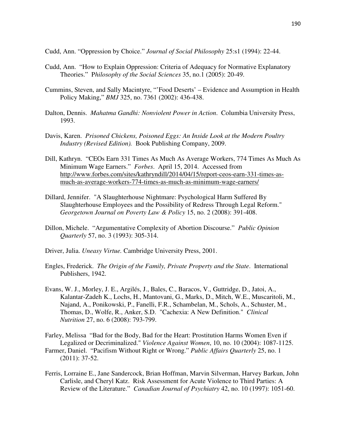Cudd, Ann. "Oppression by Choice." *Journal of Social Philosophy* 25:s1 (1994): 22-44.

- Cudd, Ann. "How to Explain Oppression: Criteria of Adequacy for Normative Explanatory Theories." P*hilosophy of the Social Sciences* 35, no.1 (2005): 20-49.
- Cummins, Steven, and Sally Macintyre, "'Food Deserts' Evidence and Assumption in Health Policy Making," *BMJ* 325, no. 7361 (2002): 436-438.
- Dalton, Dennis. *Mahatma Gandhi: Nonviolent Power in Action*. Columbia University Press, 1993.
- Davis, Karen. *Prisoned Chickens, Poisoned Eggs: An Inside Look at the Modern Poultry Industry (Revised Edition).* Book Publishing Company, 2009.
- Dill, Kathryn. "CEOs Earn 331 Times As Much As Average Workers, 774 Times As Much As Minimum Wage Earners." *Forbes*. April 15, 2014. Accessed from http://www.forbes.com/sites/kathryndill/2014/04/15/report-ceos-earn-331-times-asmuch-as-average-workers-774-times-as-much-as-minimum-wage-earners/
- Dillard, Jennifer. "A Slaughterhouse Nightmare: Psychological Harm Suffered By Slaughterhouse Employees and the Possibility of Redress Through Legal Reform." *Georgetown Journal on Poverty Law & Policy* 15, no. 2 (2008): 391-408.
- Dillon, Michele. "Argumentative Complexity of Abortion Discourse." *Public Opinion Quarterly* 57, no. 3 (1993): 305-314.
- Driver, Julia. *Uneasy Virtue.* Cambridge University Press, 2001.
- Engles, Frederick. *The Origin of the Family, Private Property and the State*. International Publishers, 1942.
- Evans, W. J., Morley, J. E., Argilés, J., Bales, C., Baracos, V., Guttridge, D., Jatoi, A., Kalantar-Zadeh K., Lochs, H., Mantovani, G., Marks, D., Mitch, W.E., Muscaritoli, M., Najand, A., Ponikowski, P., Fanelli, F.R., Schambelan, M., Schols, A., Schuster, M., Thomas, D., Wolfe, R., Anker, S.D. "Cachexia: A New Definition." *Clinical Nutrition* 27, no. 6 (2008): 793-799.

Farley, Melissa "Bad for the Body, Bad for the Heart: Prostitution Harms Women Even if Legalized or Decriminalized." *Violence Against Women*, 10, no. 10 (2004): 1087-1125.

- Farmer, Daniel. "Pacifism Without Right or Wrong." *Public Affairs Quarterly* 25, no. 1 (2011): 37-52.
- Ferris, Lorraine E., Jane Sandercock, Brian Hoffman, Marvin Silverman, Harvey Barkun, John Carlisle, and Cheryl Katz. Risk Assessment for Acute Violence to Third Parties: A Review of the Literature." *Canadian Journal of Psychiatry* 42, no. 10 (1997): 1051-60.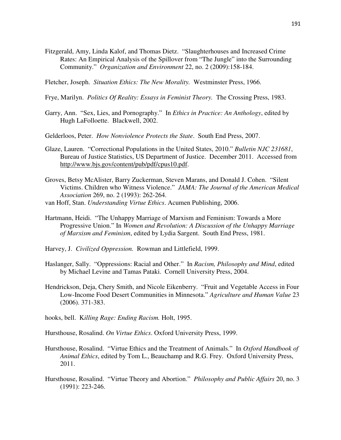- Fitzgerald, Amy, Linda Kalof, and Thomas Dietz. "Slaughterhouses and Increased Crime Rates: An Empirical Analysis of the Spillover from "The Jungle" into the Surrounding Community." *Organization and Environment* 22, no. 2 (2009):158-184.
- Fletcher, Joseph. *Situation Ethics: The New Morality.* Westminster Press, 1966.
- Frye, Marilyn. *Politics Of Reality: Essays in Feminist Theory.* The Crossing Press, 1983.
- Garry, Ann. "Sex, Lies, and Pornography." In *Ethics in Practice: An Anthology*, edited by Hugh LaFolloette. Blackwell, 2002.
- Gelderloos, Peter. *How Nonviolence Protects the State*. South End Press, 2007.
- Glaze, Lauren. "Correctional Populations in the United States, 2010." *Bulletin NJC 231681*, Bureau of Justice Statistics, US Department of Justice. December 2011. Accessed from http://www.bjs.gov/content/pub/pdf/cpus10.pdf.
- Groves, Betsy McAlister, Barry Zuckerman, Steven Marans, and Donald J. Cohen. "Silent Victims. Children who Witness Violence." *JAMA: The Journal of the American Medical Association* 269, no. 2 (1993): 262-264.
- van Hoff, Stan. *Understanding Virtue Ethics*. Acumen Publishing, 2006.
- Hartmann, Heidi. "The Unhappy Marriage of Marxism and Feminism: Towards a More Progressive Union." In *Women and Revolution: A Discussion of the Unhappy Marriage of Marxism and Feminism*, edited by Lydia Sargent. South End Press, 1981.
- Harvey, J. *Civilized Oppression.* Rowman and Littlefield, 1999.
- Haslanger, Sally. "Oppressions: Racial and Other." In *Racism, Philosophy and Mind*, edited by Michael Levine and Tamas Pataki. Cornell University Press, 2004.
- Hendrickson, Deja, Chery Smith, and Nicole Eikenberry. "Fruit and Vegetable Access in Four Low-Income Food Desert Communities in Minnesota." *Agriculture and Human Value* 23 (2006). 371-383.
- hooks, bell. K*illing Rage: Ending Racism.* Holt, 1995.
- Hursthouse, Rosalind. *On Virtue Ethics*. Oxford University Press, 1999.
- Hursthouse, Rosalind. "Virtue Ethics and the Treatment of Animals." In *Oxford Handbook of Animal Ethics*, edited by Tom L., Beauchamp and R.G. Frey. Oxford University Press, 2011.
- Hursthouse, Rosalind. "Virtue Theory and Abortion." *Philosophy and Public Affairs* 20, no. 3 (1991): 223-246.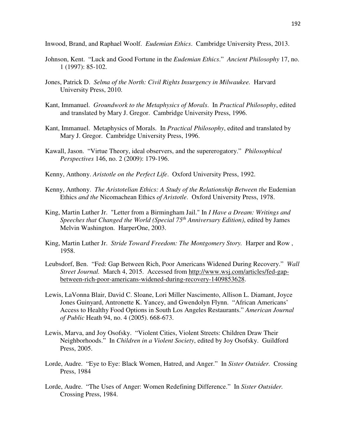Inwood, Brand, and Raphael Woolf. *Eudemian Ethics*. Cambridge University Press, 2013.

- Johnson, Kent. "Luck and Good Fortune in the *Eudemian Ethics*." *Ancient Philosophy* 17, no. 1 (1997): 85-102.
- Jones, Patrick D. *Selma of the North: Civil Rights Insurgency in Milwaukee.* Harvard University Press, 2010.
- Kant, Immanuel. *Groundwork to the Metaphysics of Morals*. In *Practical Philosophy*, edited and translated by Mary J. Gregor. Cambridge University Press, 1996.
- Kant, Immanuel. Metaphysics of Morals. In *Practical Philosophy*, edited and translated by Mary J. Gregor. Cambridge University Press, 1996.
- Kawall, Jason. "Virtue Theory, ideal observers, and the supererogatory." *Philosophical Perspectives* 146, no. 2 (2009): 179-196.
- Kenny, Anthony. *Aristotle on the Perfect Life*. Oxford University Press, 1992.
- Kenny, Anthony. *The Aristotelian Ethics: A Study of the Relationship Between the Eudemian* Ethics *and the* Nicomachean Ethics *of Aristotle*. Oxford University Press, 1978.
- King, Martin Luther Jr. "Letter from a Birmingham Jail." In *I Have a Dream: Writings and Speeches that Changed the World (Special 75th Anniversary Edition)*, edited by James Melvin Washington. HarperOne, 2003.
- King, Martin Luther Jr. *Stride Toward Freedom: The Montgomery Story.* Harper and Row , 1958.
- Leubsdorf, Ben. "Fed: Gap Between Rich, Poor Americans Widened During Recovery." *Wall Street Journal.* March 4, 2015. Accessed from http://www.wsj.com/articles/fed-gapbetween-rich-poor-americans-widened-during-recovery-1409853628.
- Lewis, LaVonna Blair, David C. Sloane, Lori Miller Nascimento, Allison L. Diamant, Joyce Jones Guinyard, Antronette K. Yancey, and Gwendolyn Flynn. "African Americans' Access to Healthy Food Options in South Los Angeles Restaurants." *American Journal of Public* Heath 94, no. 4 (2005). 668-673.
- Lewis, Marva, and Joy Osofsky. "Violent Cities, Violent Streets: Children Draw Their Neighborhoods." In *Children in a Violent Society*, edited by Joy Osofsky. Guildford Press, 2005.
- Lorde, Audre. "Eye to Eye: Black Women, Hatred, and Anger." In *Sister Outsider.* Crossing Press, 1984
- Lorde, Audre. "The Uses of Anger: Women Redefining Difference." In *Sister Outsider.*  Crossing Press, 1984.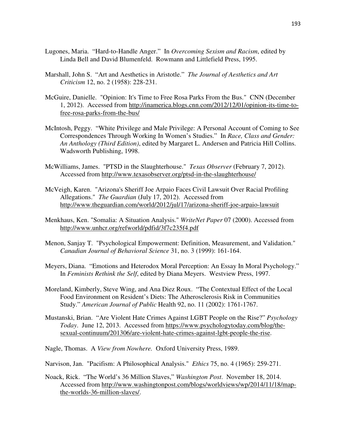- Lugones, Maria. "Hard-to-Handle Anger." In *Overcoming Sexism and Racism*, edited by Linda Bell and David Blumenfeld. Rowmann and Littlefield Press, 1995.
- Marshall, John S. "Art and Aesthetics in Aristotle." *The Journal of Aesthetics and Art Criticism* 12, no. 2 (1958): 228-231.
- McGuire, Danielle. "Opinion: It's Time to Free Rosa Parks From the Bus." CNN (December 1, 2012). Accessed from http://inamerica.blogs.cnn.com/2012/12/01/opinion-its-time-tofree-rosa-parks-from-the-bus/
- McIntosh, Peggy. "White Privilege and Male Privilege: A Personal Account of Coming to See Correspondences Through Working In Women's Studies." In *Race, Class and Gender: An Anthology (Third Edition)*, edited by Margaret L. Andersen and Patricia Hill Collins. Wadsworth Publishing, 1998.
- McWilliams, James. "PTSD in the Slaughterhouse." *Texas Observer* (February 7, 2012). Accessed from http://www.texasobserver.org/ptsd-in-the-slaughterhouse/
- McVeigh, Karen. "Arizona's Sheriff Joe Arpaio Faces Civil Lawsuit Over Racial Profiling Allegations." *The Guardian* (July 17, 2012). Accessed from http://www.theguardian.com/world/2012/jul/17/arizona-sheriff-joe-arpaio-lawsuit
- Menkhaus, Ken. "Somalia: A Situation Analysis." *WriteNet Paper* 07 (2000). Accessed from http://www.unhcr.org/refworld/pdfid/3f7c235f4.pdf
- Menon, Sanjay T. "Psychological Empowerment: Definition, Measurement, and Validation." *Canadian Journal of Behavioral Science* 31, no. 3 (1999): 161-164.
- Meyers, Diana. "Emotions and Heterodox Moral Perception: An Essay In Moral Psychology." In *Feminists Rethink the Self*, edited by Diana Meyers. Westview Press, 1997.
- Moreland, Kimberly, Steve Wing, and Ana Diez Roux. "The Contextual Effect of the Local Food Environment on Resident's Diets: The Atherosclerosis Risk in Communities Study." *American Journal of Public* Health 92, no. 11 (2002): 1761-1767.
- Mustanski, Brian. "Are Violent Hate Crimes Against LGBT People on the Rise?" *Psychology Today*. June 12, 2013. Accessed from https://www.psychologytoday.com/blog/thesexual-continuum/201306/are-violent-hate-crimes-against-lgbt-people-the-rise.

Nagle, Thomas. A *View from Nowhere.* Oxford University Press, 1989.

- Narvison, Jan. "Pacifism: A Philosophical Analysis." *Ethics* 75, no. 4 (1965): 259-271.
- Noack, Rick. "The World's 36 Million Slaves," *Washington Post*. November 18, 2014. Accessed from http://www.washingtonpost.com/blogs/worldviews/wp/2014/11/18/mapthe-worlds-36-million-slaves/.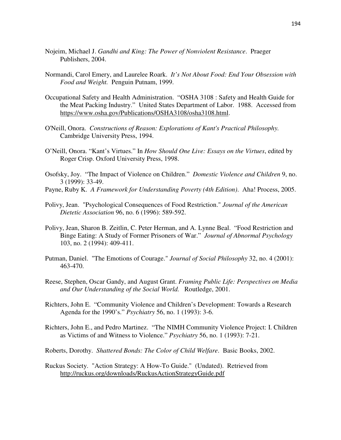- Nojeim, Michael J. *Gandhi and King: The Power of Nonviolent Resistance*. Praeger Publishers, 2004.
- Normandi, Carol Emery, and Laurelee Roark. *It's Not About Food: End Your Obsession with Food and Weight.* Penguin Putnam, 1999.
- Occupational Safety and Health Administration. "OSHA 3108 : Safety and Health Guide for the Meat Packing Industry." United States Department of Labor. 1988. Accessed from https://www.osha.gov/Publications/OSHA3108/osha3108.html.
- O'Neill, Onora. *Constructions of Reason: Explorations of Kant's Practical Philosophy.*  Cambridge University Press, 1994.
- O'Neill, Onora. "Kant's Virtues." In *How Should One Live: Essays on the Virtues*, edited by Roger Crisp. Oxford University Press, 1998.
- Osofsky, Joy. "The Impact of Violence on Children." *Domestic Violence and Children* 9, no. 3 (1999): 33-49.
- Payne, Ruby K. *A Framework for Understanding Poverty (4th Edition)*. Aha! Process, 2005.
- Polivy, Jean. "Psychological Consequences of Food Restriction." *Journal of the American Dietetic Association* 96, no. 6 (1996): 589-592.
- Polivy, Jean, Sharon B. Zeitlin, C. Peter Herman, and A. Lynne Beal. "Food Restriction and Binge Eating: A Study of Former Prisoners of War." *Journal of Abnormal Psychology* 103, no. 2 (1994): 409-411.
- Putman, Daniel. "The Emotions of Courage." *Journal of Social Philosophy* 32, no. 4 (2001): 463-470.
- Reese, Stephen, Oscar Gandy, and August Grant. *Framing Public Life: Perspectives on Media and Our Understanding of the Social World.* Routledge, 2001.
- Richters, John E. "Community Violence and Children's Development: Towards a Research Agenda for the 1990's." *Psychiatry* 56, no. 1 (1993): 3-6.
- Richters, John E., and Pedro Martinez. "The NIMH Community Violence Project: I. Children as Victims of and Witness to Violence." *Psychiatry* 56, no. 1 (1993): 7-21.
- Roberts, Dorothy. *Shattered Bonds: The Color of Child Welfare*. Basic Books, 2002.
- Ruckus Society. "Action Strategy: A How-To Guide." (Undated). Retrieved from http://ruckus.org/downloads/RuckusActionStrategyGuide.pdf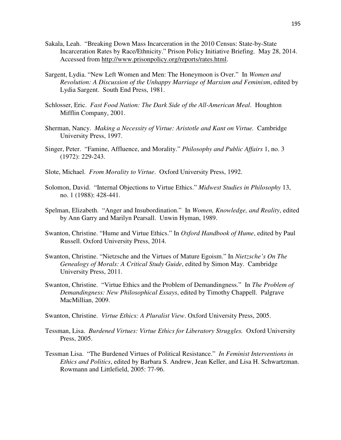- Sakala, Leah. "Breaking Down Mass Incarceration in the 2010 Census: State-by-State Incarceration Rates by Race/Ethnicity." Prison Policy Initiative Briefing. May 28, 2014. Accessed from http://www.prisonpolicy.org/reports/rates.html.
- Sargent, Lydia. "New Left Women and Men: The Honeymoon is Over." In *Women and Revolution: A Discussion of the Unhappy Marriage of Marxism and Feminism*, edited by Lydia Sargent. South End Press, 1981.
- Schlosser, Eric. *Fast Food Nation: The Dark Side of the All-American Meal*. Houghton Mifflin Company, 2001.
- Sherman, Nancy. *Making a Necessity of Virtue: Aristotle and Kant on Virtue.* Cambridge University Press, 1997.
- Singer, Peter. "Famine, Affluence, and Morality." *Philosophy and Public Affairs* 1, no. 3 (1972): 229-243.
- Slote, Michael. *From Morality to Virtue*. Oxford University Press, 1992.
- Solomon, David. "Internal Objections to Virtue Ethics." *Midwest Studies in Philosophy* 13, no. 1 (1988): 428-441.
- Spelman, Elizabeth. "Anger and Insubordination." In *Women, Knowledge, and Reality*, edited by Ann Garry and Marilyn Pearsall. Unwin Hyman, 1989.
- Swanton, Christine. "Hume and Virtue Ethics." In *Oxford Handbook of Hume*, edited by Paul Russell. Oxford University Press, 2014.
- Swanton, Christine. "Nietzsche and the Virtues of Mature Egoism." In *Nietzsche's On The Genealogy of Morals: A Critical Study Guide*, edited by Simon May. Cambridge University Press, 2011.
- Swanton, Christine. "Virtue Ethics and the Problem of Demandingness." In *The Problem of Demandingness: New Philosophical Essays*, edited by Timothy Chappell. Palgrave MacMillian, 2009.
- Swanton, Christine. *Virtue Ethics: A Pluralist View*. Oxford University Press, 2005.
- Tessman, Lisa. *Burdened Virtues: Virtue Ethics for Liberatory Struggles.* Oxford University Press, 2005.
- Tessman Lisa. "The Burdened Virtues of Political Resistance." *In Feminist Interventions in Ethics and Politics*, edited by Barbara S. Andrew, Jean Keller, and Lisa H. Schwartzman. Rowmann and Littlefield, 2005: 77-96.